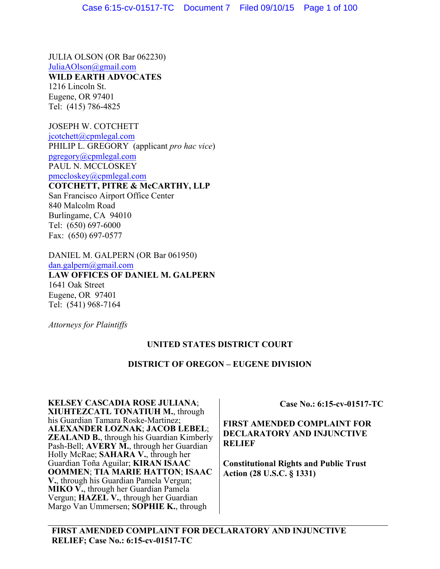JULIA OLSON (OR Bar 062230) JuliaAOlson@gmail.com

**WILD EARTH ADVOCATES**

1216 Lincoln St. Eugene, OR 97401 Tel: (415) 786-4825

JOSEPH W. COTCHETT jcotchett@cpmlegal.com PHILIP L. GREGORY (applicant *pro hac vice*) pgregory@cpmlegal.com PAUL N. MCCLOSKEY pmccloskey@cpmlegal.com **COTCHETT, PITRE & McCARTHY, LLP** San Francisco Airport Office Center

840 Malcolm Road Burlingame, CA 94010 Tel: (650) 697-6000 Fax: (650) 697-0577

DANIEL M. GALPERN (OR Bar 061950) dan.galpern@gmail.com

**LAW OFFICES OF DANIEL M. GALPERN** 1641 Oak Street Eugene, OR 97401 Tel: (541) 968-7164

*Attorneys for Plaintiffs*

# **UNITED STATES DISTRICT COURT**

# **DISTRICT OF OREGON – EUGENE DIVISION**

**KELSEY CASCADIA ROSE JULIANA**; **XIUHTEZCATL TONATIUH M.**, through his Guardian Tamara Roske-Martinez; **ALEXANDER LOZNAK**; **JACOB LEBEL**; **ZEALAND B.**, through his Guardian Kimberly Pash-Bell; **AVERY M.**, through her Guardian Holly McRae; **SAHARA V.**, through her Guardian Toña Aguilar; **KIRAN ISAAC OOMMEN**; **TIA MARIE HATTON**; **ISAAC V.**, through his Guardian Pamela Vergun; **MIKO V.**, through her Guardian Pamela Vergun; **HAZEL V.**, through her Guardian Margo Van Ummersen; **SOPHIE K.**, through

**Case No.: 6:15-cv-01517-TC** 

**FIRST AMENDED COMPLAINT FOR DECLARATORY AND INJUNCTIVE RELIEF**

**Constitutional Rights and Public Trust Action (28 U.S.C. § 1331)**

**FIRST AMENDED COMPLAINT FOR DECLARATORY AND INJUNCTIVE RELIEF; Case No.: 6:15-cv-01517-TC**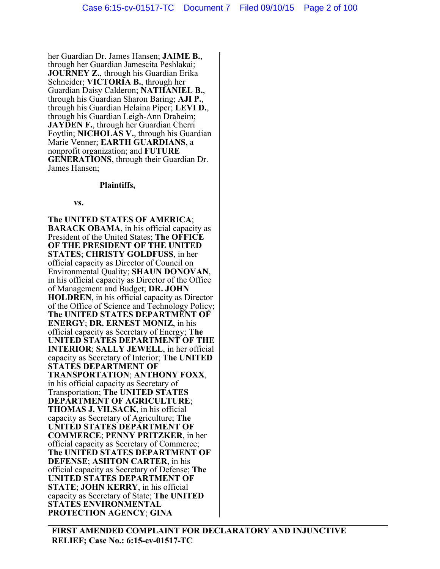her Guardian Dr. James Hansen; **JAIME B.**, through her Guardian Jamescita Peshlakai; **JOURNEY Z.**, through his Guardian Erika Schneider; **VICTORIA B.**, through her Guardian Daisy Calderon; **NATHANIEL B.**, through his Guardian Sharon Baring; **AJI P.**, through his Guardian Helaina Piper; **LEVI D.**, through his Guardian Leigh-Ann Draheim; **JAYDEN F.**, through her Guardian Cherri Foytlin; **NICHOLAS V.**, through his Guardian Marie Venner; **EARTH GUARDIANS**, a nonprofit organization; and **FUTURE GENERATIONS**, through their Guardian Dr. James Hansen;

#### **Plaintiffs,**

#### **vs.**

**The UNITED STATES OF AMERICA**; **BARACK OBAMA**, in his official capacity as President of the United States; **The OFFICE OF THE PRESIDENT OF THE UNITED STATES**; **CHRISTY GOLDFUSS**, in her official capacity as Director of Council on Environmental Quality; **SHAUN DONOVAN**, in his official capacity as Director of the Office of Management and Budget; **DR. JOHN HOLDREN**, in his official capacity as Director of the Office of Science and Technology Policy; **The UNITED STATES DEPARTMENT OF ENERGY**; **DR. ERNEST MONIZ**, in his official capacity as Secretary of Energy; **The UNITED STATES DEPARTMENT OF THE INTERIOR**; **SALLY JEWELL**, in her official capacity as Secretary of Interior; **The UNITED STATES DEPARTMENT OF TRANSPORTATION**; **ANTHONY FOXX**, in his official capacity as Secretary of Transportation; **The UNITED STATES DEPARTMENT OF AGRICULTURE**; **THOMAS J. VILSACK**, in his official capacity as Secretary of Agriculture; **The UNITED STATES DEPARTMENT OF COMMERCE**; **PENNY PRITZKER**, in her official capacity as Secretary of Commerce; **The UNITED STATES DEPARTMENT OF DEFENSE**; **ASHTON CARTER**, in his official capacity as Secretary of Defense; **The UNITED STATES DEPARTMENT OF STATE**; **JOHN KERRY**, in his official capacity as Secretary of State; **The UNITED STATES ENVIRONMENTAL PROTECTION AGENCY**; **GINA**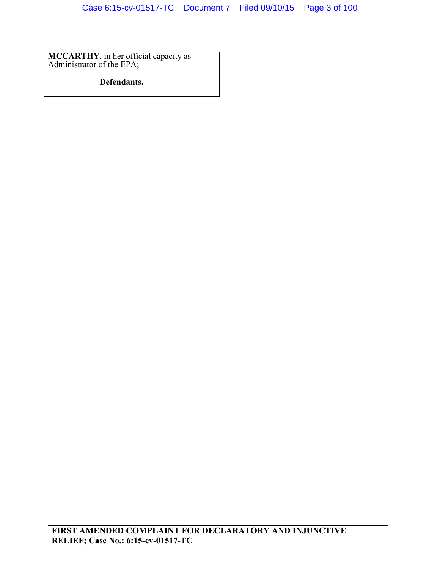**MCCARTHY**, in her official capacity as Administrator of the EPA;

# **Defendants.**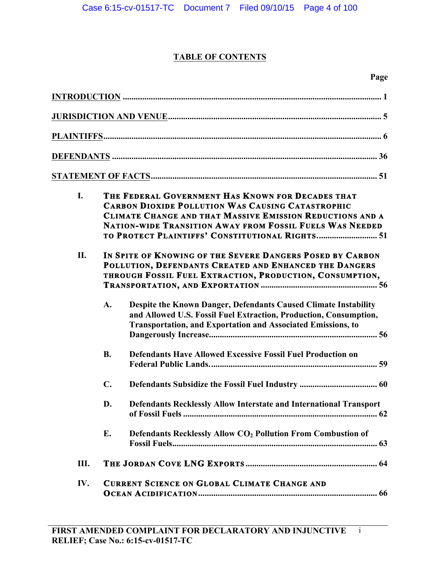# **TABLE OF CONTENTS**

| I.  | THE FEDERAL GOVERNMENT HAS KNOWN FOR DECADES THAT<br><b>CARBON DIOXIDE POLLUTION WAS CAUSING CATASTROPHIC</b><br>CLIMATE CHANGE AND THAT MASSIVE EMISSION REDUCTIONS AND A<br><b>NATION-WIDE TRANSITION AWAY FROM FOSSIL FUELS WAS NEEDED</b><br>TO PROTECT PLAINTIFFS' CONSTITUTIONAL RIGHTS 51 |                                                                                                                                                                                                             |
|-----|--------------------------------------------------------------------------------------------------------------------------------------------------------------------------------------------------------------------------------------------------------------------------------------------------|-------------------------------------------------------------------------------------------------------------------------------------------------------------------------------------------------------------|
| II. | IN SPITE OF KNOWING OF THE SEVERE DANGERS POSED BY CARBON<br>POLLUTION, DEFENDANTS CREATED AND ENHANCED THE DANGERS<br>THROUGH FOSSIL FUEL EXTRACTION, PRODUCTION, CONSUMPTION,                                                                                                                  |                                                                                                                                                                                                             |
|     | A.                                                                                                                                                                                                                                                                                               | Despite the Known Danger, Defendants Caused Climate Instability<br>and Allowed U.S. Fossil Fuel Extraction, Production, Consumption,<br><b>Transportation, and Exportation and Associated Emissions, to</b> |
|     | <b>B.</b>                                                                                                                                                                                                                                                                                        | <b>Defendants Have Allowed Excessive Fossil Fuel Production on</b>                                                                                                                                          |
|     | $C_{\bullet}$                                                                                                                                                                                                                                                                                    |                                                                                                                                                                                                             |
|     | D.                                                                                                                                                                                                                                                                                               | Defendants Recklessly Allow Interstate and International Transport                                                                                                                                          |
|     | E.                                                                                                                                                                                                                                                                                               | Defendants Recklessly Allow CO <sub>2</sub> Pollution From Combustion of                                                                                                                                    |
| Ш.  |                                                                                                                                                                                                                                                                                                  |                                                                                                                                                                                                             |
| IV. | <b>CURRENT SCIENCE ON GLOBAL CLIMATE CHANGE AND</b>                                                                                                                                                                                                                                              |                                                                                                                                                                                                             |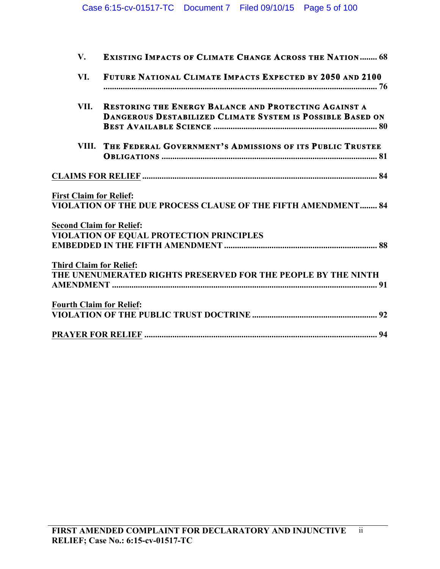| $V_{\star}$                     | <b>EXISTING IMPACTS OF CLIMATE CHANGE ACROSS THE NATION 68</b>                                                                    |
|---------------------------------|-----------------------------------------------------------------------------------------------------------------------------------|
| VI.                             | FUTURE NATIONAL CLIMATE IMPACTS EXPECTED BY 2050 AND 2100                                                                         |
| VII.                            | <b>RESTORING THE ENERGY BALANCE AND PROTECTING AGAINST A</b><br><b>DANGEROUS DESTABILIZED CLIMATE SYSTEM IS POSSIBLE BASED ON</b> |
| VIII.                           | THE FEDERAL GOVERNMENT'S ADMISSIONS OF ITS PUBLIC TRUSTEE                                                                         |
|                                 |                                                                                                                                   |
| <b>First Claim for Relief:</b>  | VIOLATION OF THE DUE PROCESS CLAUSE OF THE FIFTH AMENDMENT 84                                                                     |
| <b>Second Claim for Relief:</b> | <b>VIOLATION OF EQUAL PROTECTION PRINCIPLES</b>                                                                                   |
| <b>Third Claim for Relief:</b>  |                                                                                                                                   |
|                                 | THE UNENUMERATED RIGHTS PRESERVED FOR THE PEOPLE BY THE NINTH                                                                     |
| <b>Fourth Claim for Relief:</b> |                                                                                                                                   |
|                                 |                                                                                                                                   |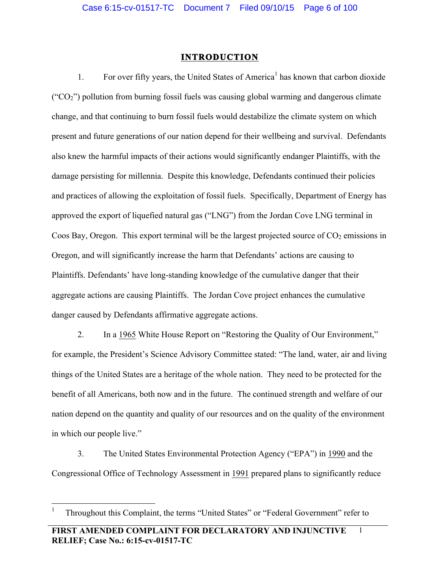# **INTRODUCTION**

1. For over fifty years, the United States of America<sup>1</sup> has known that carbon dioxide (" $CO<sub>2</sub>$ ") pollution from burning fossil fuels was causing global warming and dangerous climate change, and that continuing to burn fossil fuels would destabilize the climate system on which present and future generations of our nation depend for their wellbeing and survival. Defendants also knew the harmful impacts of their actions would significantly endanger Plaintiffs, with the damage persisting for millennia. Despite this knowledge, Defendants continued their policies and practices of allowing the exploitation of fossil fuels. Specifically, Department of Energy has approved the export of liquefied natural gas ("LNG") from the Jordan Cove LNG terminal in Coos Bay, Oregon. This export terminal will be the largest projected source of  $CO<sub>2</sub>$  emissions in Oregon, and will significantly increase the harm that Defendants' actions are causing to Plaintiffs. Defendants' have long-standing knowledge of the cumulative danger that their aggregate actions are causing Plaintiffs. The Jordan Cove project enhances the cumulative danger caused by Defendants affirmative aggregate actions.

2. In a 1965 White House Report on "Restoring the Quality of Our Environment," for example, the President's Science Advisory Committee stated: "The land, water, air and living things of the United States are a heritage of the whole nation. They need to be protected for the benefit of all Americans, both now and in the future. The continued strength and welfare of our nation depend on the quantity and quality of our resources and on the quality of the environment in which our people live."

3. The United States Environmental Protection Agency ("EPA") in 1990 and the Congressional Office of Technology Assessment in 1991 prepared plans to significantly reduce

1

 $\frac{1}{1}$ Throughout this Complaint, the terms "United States" or "Federal Government" refer to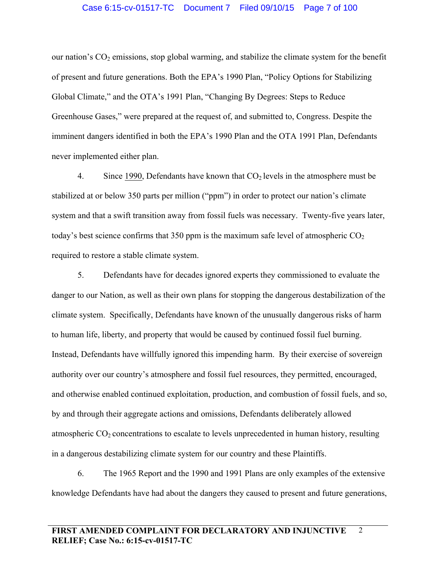# Case 6:15-cv-01517-TC Document 7 Filed 09/10/15 Page 7 of 100

our nation's  $CO<sub>2</sub>$  emissions, stop global warming, and stabilize the climate system for the benefit of present and future generations. Both the EPA's 1990 Plan, "Policy Options for Stabilizing Global Climate," and the OTA's 1991 Plan, "Changing By Degrees: Steps to Reduce Greenhouse Gases," were prepared at the request of, and submitted to, Congress. Despite the imminent dangers identified in both the EPA's 1990 Plan and the OTA 1991 Plan, Defendants never implemented either plan.

4. Since 1990, Defendants have known that  $CO<sub>2</sub>$  levels in the atmosphere must be stabilized at or below 350 parts per million ("ppm") in order to protect our nation's climate system and that a swift transition away from fossil fuels was necessary. Twenty-five years later, today's best science confirms that 350 ppm is the maximum safe level of atmospheric  $CO<sub>2</sub>$ required to restore a stable climate system.

5. Defendants have for decades ignored experts they commissioned to evaluate the danger to our Nation, as well as their own plans for stopping the dangerous destabilization of the climate system. Specifically, Defendants have known of the unusually dangerous risks of harm to human life, liberty, and property that would be caused by continued fossil fuel burning. Instead, Defendants have willfully ignored this impending harm. By their exercise of sovereign authority over our country's atmosphere and fossil fuel resources, they permitted, encouraged, and otherwise enabled continued exploitation, production, and combustion of fossil fuels, and so, by and through their aggregate actions and omissions, Defendants deliberately allowed atmospheric  $CO<sub>2</sub>$  concentrations to escalate to levels unprecedented in human history, resulting in a dangerous destabilizing climate system for our country and these Plaintiffs.

6. The 1965 Report and the 1990 and 1991 Plans are only examples of the extensive knowledge Defendants have had about the dangers they caused to present and future generations,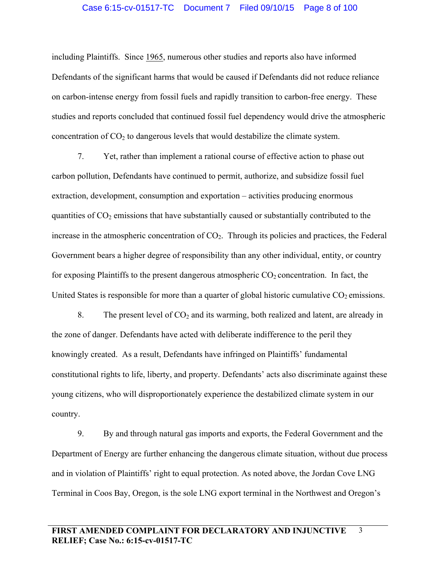#### Case 6:15-cv-01517-TC Document 7 Filed 09/10/15 Page 8 of 100

including Plaintiffs. Since 1965, numerous other studies and reports also have informed Defendants of the significant harms that would be caused if Defendants did not reduce reliance on carbon-intense energy from fossil fuels and rapidly transition to carbon-free energy. These studies and reports concluded that continued fossil fuel dependency would drive the atmospheric concentration of  $CO<sub>2</sub>$  to dangerous levels that would destabilize the climate system.

7. Yet, rather than implement a rational course of effective action to phase out carbon pollution, Defendants have continued to permit, authorize, and subsidize fossil fuel extraction, development, consumption and exportation – activities producing enormous quantities of  $CO<sub>2</sub>$  emissions that have substantially caused or substantially contributed to the increase in the atmospheric concentration of  $CO<sub>2</sub>$ . Through its policies and practices, the Federal Government bears a higher degree of responsibility than any other individual, entity, or country for exposing Plaintiffs to the present dangerous atmospheric  $CO<sub>2</sub>$  concentration. In fact, the United States is responsible for more than a quarter of global historic cumulative  $CO<sub>2</sub>$  emissions.

8. The present level of  $CO<sub>2</sub>$  and its warming, both realized and latent, are already in the zone of danger. Defendants have acted with deliberate indifference to the peril they knowingly created. As a result, Defendants have infringed on Plaintiffs' fundamental constitutional rights to life, liberty, and property. Defendants' acts also discriminate against these young citizens, who will disproportionately experience the destabilized climate system in our country.

9. By and through natural gas imports and exports, the Federal Government and the Department of Energy are further enhancing the dangerous climate situation, without due process and in violation of Plaintiffs' right to equal protection. As noted above, the Jordan Cove LNG Terminal in Coos Bay, Oregon, is the sole LNG export terminal in the Northwest and Oregon's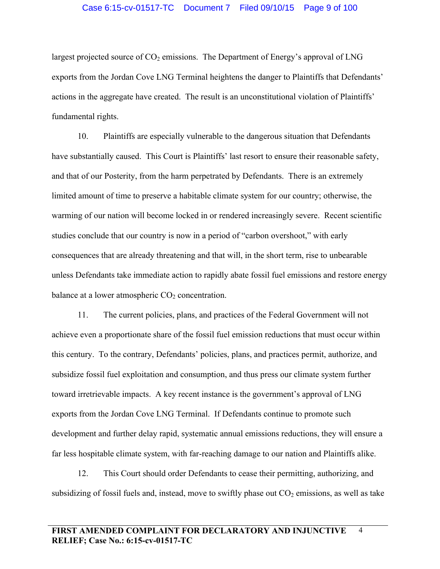# Case 6:15-cv-01517-TC Document 7 Filed 09/10/15 Page 9 of 100

largest projected source of  $CO<sub>2</sub>$  emissions. The Department of Energy's approval of LNG exports from the Jordan Cove LNG Terminal heightens the danger to Plaintiffs that Defendants' actions in the aggregate have created. The result is an unconstitutional violation of Plaintiffs' fundamental rights.

10. Plaintiffs are especially vulnerable to the dangerous situation that Defendants have substantially caused. This Court is Plaintiffs' last resort to ensure their reasonable safety, and that of our Posterity, from the harm perpetrated by Defendants. There is an extremely limited amount of time to preserve a habitable climate system for our country; otherwise, the warming of our nation will become locked in or rendered increasingly severe. Recent scientific studies conclude that our country is now in a period of "carbon overshoot," with early consequences that are already threatening and that will, in the short term, rise to unbearable unless Defendants take immediate action to rapidly abate fossil fuel emissions and restore energy balance at a lower atmospheric  $CO<sub>2</sub>$  concentration.

11. The current policies, plans, and practices of the Federal Government will not achieve even a proportionate share of the fossil fuel emission reductions that must occur within this century. To the contrary, Defendants' policies, plans, and practices permit, authorize, and subsidize fossil fuel exploitation and consumption, and thus press our climate system further toward irretrievable impacts. A key recent instance is the government's approval of LNG exports from the Jordan Cove LNG Terminal. If Defendants continue to promote such development and further delay rapid, systematic annual emissions reductions, they will ensure a far less hospitable climate system, with far-reaching damage to our nation and Plaintiffs alike.

12. This Court should order Defendants to cease their permitting, authorizing, and subsidizing of fossil fuels and, instead, move to swiftly phase out  $CO<sub>2</sub>$  emissions, as well as take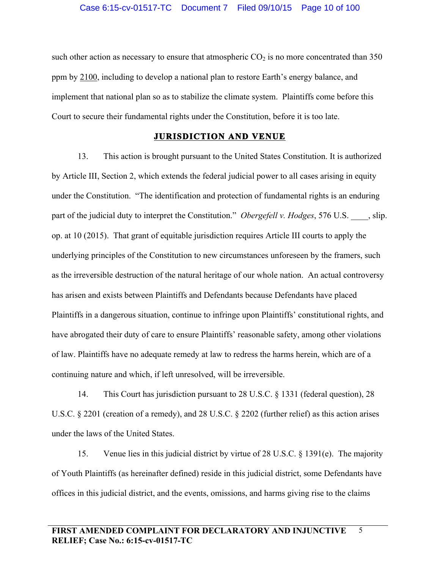such other action as necessary to ensure that atmospheric  $CO<sub>2</sub>$  is no more concentrated than 350 ppm by 2100, including to develop a national plan to restore Earth's energy balance, and implement that national plan so as to stabilize the climate system. Plaintiffs come before this Court to secure their fundamental rights under the Constitution, before it is too late.

## **JURISDICTION AND VENUE**

13. This action is brought pursuant to the United States Constitution. It is authorized by Article III, Section 2, which extends the federal judicial power to all cases arising in equity under the Constitution. "The identification and protection of fundamental rights is an enduring part of the judicial duty to interpret the Constitution." *Obergefell v. Hodges*, 576 U.S. \_\_\_\_, slip. op. at 10 (2015). That grant of equitable jurisdiction requires Article III courts to apply the underlying principles of the Constitution to new circumstances unforeseen by the framers, such as the irreversible destruction of the natural heritage of our whole nation. An actual controversy has arisen and exists between Plaintiffs and Defendants because Defendants have placed Plaintiffs in a dangerous situation, continue to infringe upon Plaintiffs' constitutional rights, and have abrogated their duty of care to ensure Plaintiffs' reasonable safety, among other violations of law. Plaintiffs have no adequate remedy at law to redress the harms herein, which are of a continuing nature and which, if left unresolved, will be irreversible.

14. This Court has jurisdiction pursuant to 28 U.S.C. § 1331 (federal question), 28 U.S.C. § 2201 (creation of a remedy), and 28 U.S.C. § 2202 (further relief) as this action arises under the laws of the United States.

15. Venue lies in this judicial district by virtue of 28 U.S.C. § 1391(e). The majority of Youth Plaintiffs (as hereinafter defined) reside in this judicial district, some Defendants have offices in this judicial district, and the events, omissions, and harms giving rise to the claims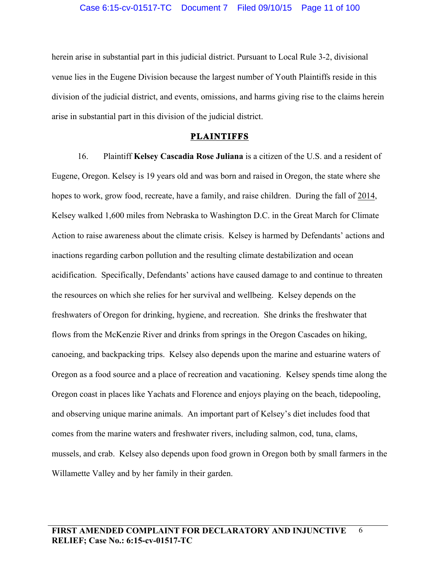herein arise in substantial part in this judicial district. Pursuant to Local Rule 3-2, divisional venue lies in the Eugene Division because the largest number of Youth Plaintiffs reside in this division of the judicial district, and events, omissions, and harms giving rise to the claims herein arise in substantial part in this division of the judicial district.

#### **PLAINTIFFS**

16. Plaintiff **Kelsey Cascadia Rose Juliana** is a citizen of the U.S. and a resident of Eugene, Oregon. Kelsey is 19 years old and was born and raised in Oregon, the state where she hopes to work, grow food, recreate, have a family, and raise children. During the fall of 2014, Kelsey walked 1,600 miles from Nebraska to Washington D.C. in the Great March for Climate Action to raise awareness about the climate crisis. Kelsey is harmed by Defendants' actions and inactions regarding carbon pollution and the resulting climate destabilization and ocean acidification. Specifically, Defendants' actions have caused damage to and continue to threaten the resources on which she relies for her survival and wellbeing. Kelsey depends on the freshwaters of Oregon for drinking, hygiene, and recreation. She drinks the freshwater that flows from the McKenzie River and drinks from springs in the Oregon Cascades on hiking, canoeing, and backpacking trips. Kelsey also depends upon the marine and estuarine waters of Oregon as a food source and a place of recreation and vacationing. Kelsey spends time along the Oregon coast in places like Yachats and Florence and enjoys playing on the beach, tidepooling, and observing unique marine animals. An important part of Kelsey's diet includes food that comes from the marine waters and freshwater rivers, including salmon, cod, tuna, clams, mussels, and crab. Kelsey also depends upon food grown in Oregon both by small farmers in the Willamette Valley and by her family in their garden.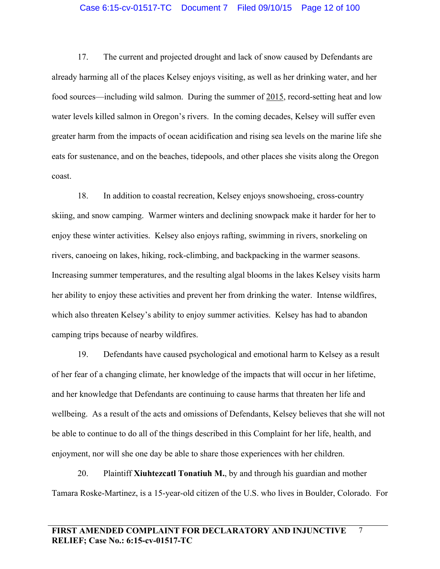## Case 6:15-cv-01517-TC Document 7 Filed 09/10/15 Page 12 of 100

17. The current and projected drought and lack of snow caused by Defendants are already harming all of the places Kelsey enjoys visiting, as well as her drinking water, and her food sources—including wild salmon. During the summer of 2015, record-setting heat and low water levels killed salmon in Oregon's rivers. In the coming decades, Kelsey will suffer even greater harm from the impacts of ocean acidification and rising sea levels on the marine life she eats for sustenance, and on the beaches, tidepools, and other places she visits along the Oregon coast.

18. In addition to coastal recreation, Kelsey enjoys snowshoeing, cross-country skiing, and snow camping. Warmer winters and declining snowpack make it harder for her to enjoy these winter activities. Kelsey also enjoys rafting, swimming in rivers, snorkeling on rivers, canoeing on lakes, hiking, rock-climbing, and backpacking in the warmer seasons. Increasing summer temperatures, and the resulting algal blooms in the lakes Kelsey visits harm her ability to enjoy these activities and prevent her from drinking the water. Intense wildfires, which also threaten Kelsey's ability to enjoy summer activities. Kelsey has had to abandon camping trips because of nearby wildfires.

19. Defendants have caused psychological and emotional harm to Kelsey as a result of her fear of a changing climate, her knowledge of the impacts that will occur in her lifetime, and her knowledge that Defendants are continuing to cause harms that threaten her life and wellbeing. As a result of the acts and omissions of Defendants, Kelsey believes that she will not be able to continue to do all of the things described in this Complaint for her life, health, and enjoyment, nor will she one day be able to share those experiences with her children.

20. Plaintiff **Xiuhtezcatl Tonatiuh M.**, by and through his guardian and mother Tamara Roske-Martinez, is a 15-year-old citizen of the U.S. who lives in Boulder, Colorado. For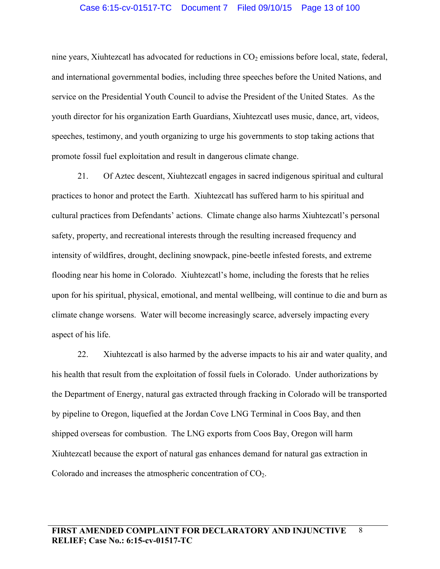### Case 6:15-cv-01517-TC Document 7 Filed 09/10/15 Page 13 of 100

nine years, Xiuhtezcatl has advocated for reductions in  $CO<sub>2</sub>$  emissions before local, state, federal, and international governmental bodies, including three speeches before the United Nations, and service on the Presidential Youth Council to advise the President of the United States. As the youth director for his organization Earth Guardians, Xiuhtezcatl uses music, dance, art, videos, speeches, testimony, and youth organizing to urge his governments to stop taking actions that promote fossil fuel exploitation and result in dangerous climate change.

21. Of Aztec descent, Xiuhtezcatl engages in sacred indigenous spiritual and cultural practices to honor and protect the Earth. Xiuhtezcatl has suffered harm to his spiritual and cultural practices from Defendants' actions. Climate change also harms Xiuhtezcatl's personal safety, property, and recreational interests through the resulting increased frequency and intensity of wildfires, drought, declining snowpack, pine-beetle infested forests, and extreme flooding near his home in Colorado. Xiuhtezcatl's home, including the forests that he relies upon for his spiritual, physical, emotional, and mental wellbeing, will continue to die and burn as climate change worsens. Water will become increasingly scarce, adversely impacting every aspect of his life.

22. Xiuhtezcatl is also harmed by the adverse impacts to his air and water quality, and his health that result from the exploitation of fossil fuels in Colorado. Under authorizations by the Department of Energy, natural gas extracted through fracking in Colorado will be transported by pipeline to Oregon, liquefied at the Jordan Cove LNG Terminal in Coos Bay, and then shipped overseas for combustion. The LNG exports from Coos Bay, Oregon will harm Xiuhtezcatl because the export of natural gas enhances demand for natural gas extraction in Colorado and increases the atmospheric concentration of CO2.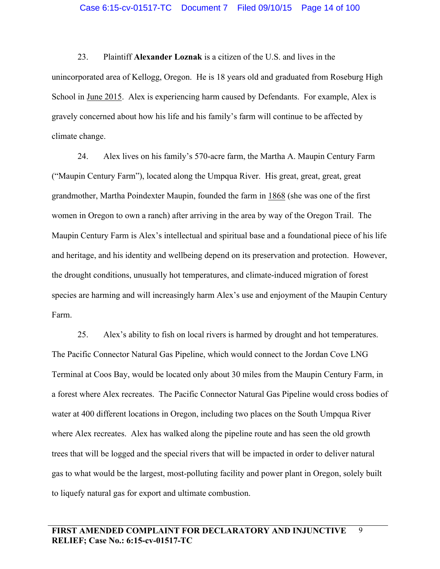23. Plaintiff **Alexander Loznak** is a citizen of the U.S. and lives in the unincorporated area of Kellogg, Oregon. He is 18 years old and graduated from Roseburg High School in June 2015. Alex is experiencing harm caused by Defendants. For example, Alex is gravely concerned about how his life and his family's farm will continue to be affected by climate change.

24. Alex lives on his family's 570-acre farm, the Martha A. Maupin Century Farm ("Maupin Century Farm"), located along the Umpqua River. His great, great, great, great grandmother, Martha Poindexter Maupin, founded the farm in 1868 (she was one of the first women in Oregon to own a ranch) after arriving in the area by way of the Oregon Trail. The Maupin Century Farm is Alex's intellectual and spiritual base and a foundational piece of his life and heritage, and his identity and wellbeing depend on its preservation and protection. However, the drought conditions, unusually hot temperatures, and climate-induced migration of forest species are harming and will increasingly harm Alex's use and enjoyment of the Maupin Century Farm.

25. Alex's ability to fish on local rivers is harmed by drought and hot temperatures. The Pacific Connector Natural Gas Pipeline, which would connect to the Jordan Cove LNG Terminal at Coos Bay, would be located only about 30 miles from the Maupin Century Farm, in a forest where Alex recreates. The Pacific Connector Natural Gas Pipeline would cross bodies of water at 400 different locations in Oregon, including two places on the South Umpqua River where Alex recreates. Alex has walked along the pipeline route and has seen the old growth trees that will be logged and the special rivers that will be impacted in order to deliver natural gas to what would be the largest, most-polluting facility and power plant in Oregon, solely built to liquefy natural gas for export and ultimate combustion.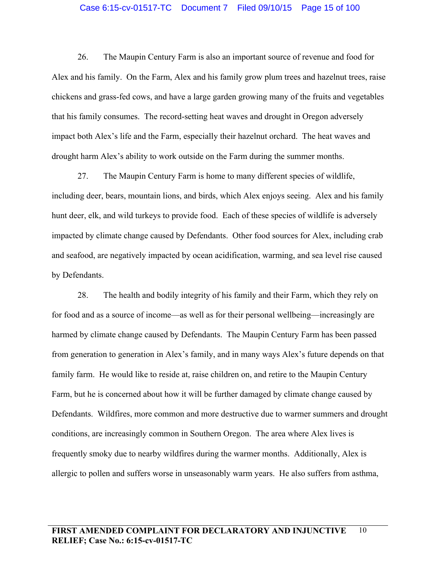#### Case 6:15-cv-01517-TC Document 7 Filed 09/10/15 Page 15 of 100

26. The Maupin Century Farm is also an important source of revenue and food for Alex and his family. On the Farm, Alex and his family grow plum trees and hazelnut trees, raise chickens and grass-fed cows, and have a large garden growing many of the fruits and vegetables that his family consumes. The record-setting heat waves and drought in Oregon adversely impact both Alex's life and the Farm, especially their hazelnut orchard. The heat waves and drought harm Alex's ability to work outside on the Farm during the summer months.

27. The Maupin Century Farm is home to many different species of wildlife, including deer, bears, mountain lions, and birds, which Alex enjoys seeing. Alex and his family hunt deer, elk, and wild turkeys to provide food. Each of these species of wildlife is adversely impacted by climate change caused by Defendants. Other food sources for Alex, including crab and seafood, are negatively impacted by ocean acidification, warming, and sea level rise caused by Defendants.

28. The health and bodily integrity of his family and their Farm, which they rely on for food and as a source of income—as well as for their personal wellbeing—increasingly are harmed by climate change caused by Defendants. The Maupin Century Farm has been passed from generation to generation in Alex's family, and in many ways Alex's future depends on that family farm. He would like to reside at, raise children on, and retire to the Maupin Century Farm, but he is concerned about how it will be further damaged by climate change caused by Defendants. Wildfires, more common and more destructive due to warmer summers and drought conditions, are increasingly common in Southern Oregon. The area where Alex lives is frequently smoky due to nearby wildfires during the warmer months. Additionally, Alex is allergic to pollen and suffers worse in unseasonably warm years. He also suffers from asthma,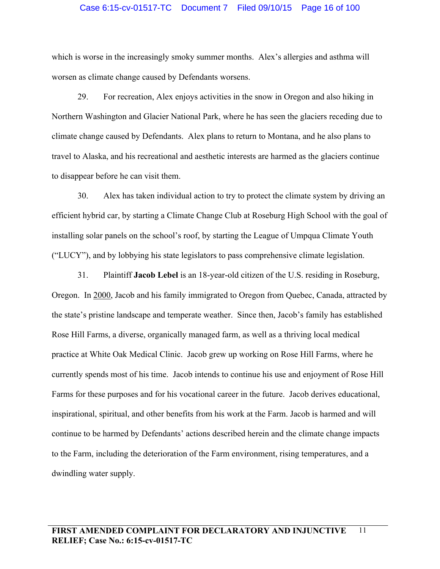# Case 6:15-cv-01517-TC Document 7 Filed 09/10/15 Page 16 of 100

which is worse in the increasingly smoky summer months. Alex's allergies and asthma will worsen as climate change caused by Defendants worsens.

29. For recreation, Alex enjoys activities in the snow in Oregon and also hiking in Northern Washington and Glacier National Park, where he has seen the glaciers receding due to climate change caused by Defendants. Alex plans to return to Montana, and he also plans to travel to Alaska, and his recreational and aesthetic interests are harmed as the glaciers continue to disappear before he can visit them.

30. Alex has taken individual action to try to protect the climate system by driving an efficient hybrid car, by starting a Climate Change Club at Roseburg High School with the goal of installing solar panels on the school's roof, by starting the League of Umpqua Climate Youth ("LUCY"), and by lobbying his state legislators to pass comprehensive climate legislation.

31. Plaintiff **Jacob Lebel** is an 18-year-old citizen of the U.S. residing in Roseburg, Oregon. In 2000, Jacob and his family immigrated to Oregon from Quebec, Canada, attracted by the state's pristine landscape and temperate weather. Since then, Jacob's family has established Rose Hill Farms, a diverse, organically managed farm, as well as a thriving local medical practice at White Oak Medical Clinic. Jacob grew up working on Rose Hill Farms, where he currently spends most of his time. Jacob intends to continue his use and enjoyment of Rose Hill Farms for these purposes and for his vocational career in the future. Jacob derives educational, inspirational, spiritual, and other benefits from his work at the Farm. Jacob is harmed and will continue to be harmed by Defendants' actions described herein and the climate change impacts to the Farm, including the deterioration of the Farm environment, rising temperatures, and a dwindling water supply.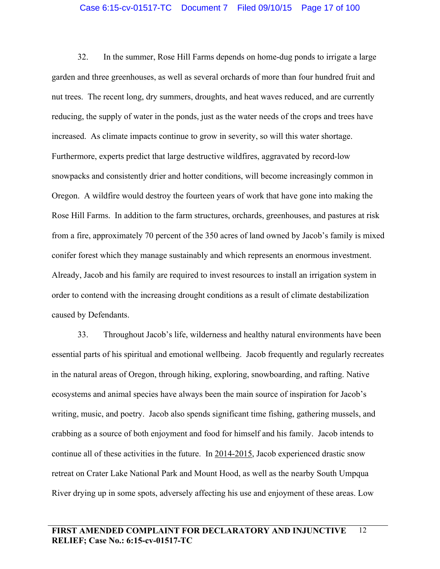32. In the summer, Rose Hill Farms depends on home-dug ponds to irrigate a large garden and three greenhouses, as well as several orchards of more than four hundred fruit and nut trees. The recent long, dry summers, droughts, and heat waves reduced, and are currently reducing, the supply of water in the ponds, just as the water needs of the crops and trees have increased. As climate impacts continue to grow in severity, so will this water shortage. Furthermore, experts predict that large destructive wildfires, aggravated by record-low snowpacks and consistently drier and hotter conditions, will become increasingly common in Oregon. A wildfire would destroy the fourteen years of work that have gone into making the Rose Hill Farms. In addition to the farm structures, orchards, greenhouses, and pastures at risk from a fire, approximately 70 percent of the 350 acres of land owned by Jacob's family is mixed conifer forest which they manage sustainably and which represents an enormous investment. Already, Jacob and his family are required to invest resources to install an irrigation system in order to contend with the increasing drought conditions as a result of climate destabilization caused by Defendants.

33. Throughout Jacob's life, wilderness and healthy natural environments have been essential parts of his spiritual and emotional wellbeing. Jacob frequently and regularly recreates in the natural areas of Oregon, through hiking, exploring, snowboarding, and rafting. Native ecosystems and animal species have always been the main source of inspiration for Jacob's writing, music, and poetry. Jacob also spends significant time fishing, gathering mussels, and crabbing as a source of both enjoyment and food for himself and his family. Jacob intends to continue all of these activities in the future. In 2014-2015, Jacob experienced drastic snow retreat on Crater Lake National Park and Mount Hood, as well as the nearby South Umpqua River drying up in some spots, adversely affecting his use and enjoyment of these areas. Low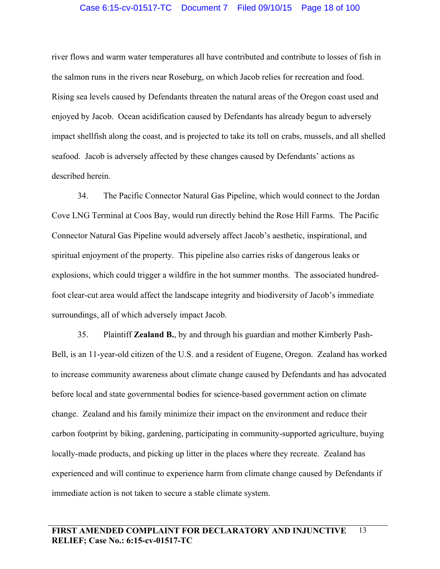# Case 6:15-cv-01517-TC Document 7 Filed 09/10/15 Page 18 of 100

river flows and warm water temperatures all have contributed and contribute to losses of fish in the salmon runs in the rivers near Roseburg, on which Jacob relies for recreation and food. Rising sea levels caused by Defendants threaten the natural areas of the Oregon coast used and enjoyed by Jacob. Ocean acidification caused by Defendants has already begun to adversely impact shellfish along the coast, and is projected to take its toll on crabs, mussels, and all shelled seafood. Jacob is adversely affected by these changes caused by Defendants' actions as described herein.

34. The Pacific Connector Natural Gas Pipeline, which would connect to the Jordan Cove LNG Terminal at Coos Bay, would run directly behind the Rose Hill Farms. The Pacific Connector Natural Gas Pipeline would adversely affect Jacob's aesthetic, inspirational, and spiritual enjoyment of the property. This pipeline also carries risks of dangerous leaks or explosions, which could trigger a wildfire in the hot summer months. The associated hundredfoot clear-cut area would affect the landscape integrity and biodiversity of Jacob's immediate surroundings, all of which adversely impact Jacob.

35. Plaintiff **Zealand B.**, by and through his guardian and mother Kimberly Pash-Bell, is an 11-year-old citizen of the U.S. and a resident of Eugene, Oregon. Zealand has worked to increase community awareness about climate change caused by Defendants and has advocated before local and state governmental bodies for science-based government action on climate change. Zealand and his family minimize their impact on the environment and reduce their carbon footprint by biking, gardening, participating in community-supported agriculture, buying locally-made products, and picking up litter in the places where they recreate. Zealand has experienced and will continue to experience harm from climate change caused by Defendants if immediate action is not taken to secure a stable climate system.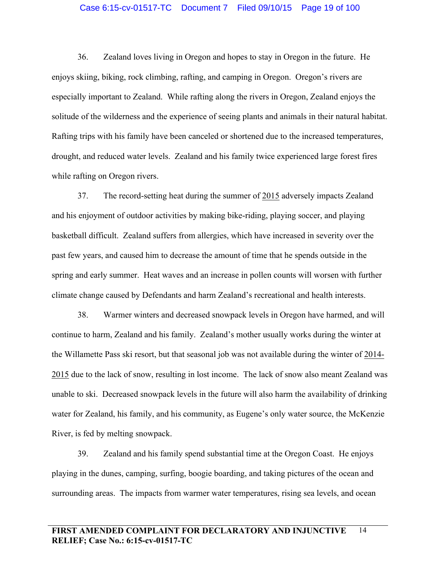#### Case 6:15-cv-01517-TC Document 7 Filed 09/10/15 Page 19 of 100

36. Zealand loves living in Oregon and hopes to stay in Oregon in the future. He enjoys skiing, biking, rock climbing, rafting, and camping in Oregon. Oregon's rivers are especially important to Zealand. While rafting along the rivers in Oregon, Zealand enjoys the solitude of the wilderness and the experience of seeing plants and animals in their natural habitat. Rafting trips with his family have been canceled or shortened due to the increased temperatures, drought, and reduced water levels. Zealand and his family twice experienced large forest fires while rafting on Oregon rivers.

37. The record-setting heat during the summer of 2015 adversely impacts Zealand and his enjoyment of outdoor activities by making bike-riding, playing soccer, and playing basketball difficult. Zealand suffers from allergies, which have increased in severity over the past few years, and caused him to decrease the amount of time that he spends outside in the spring and early summer. Heat waves and an increase in pollen counts will worsen with further climate change caused by Defendants and harm Zealand's recreational and health interests.

38. Warmer winters and decreased snowpack levels in Oregon have harmed, and will continue to harm, Zealand and his family. Zealand's mother usually works during the winter at the Willamette Pass ski resort, but that seasonal job was not available during the winter of 2014- 2015 due to the lack of snow, resulting in lost income. The lack of snow also meant Zealand was unable to ski. Decreased snowpack levels in the future will also harm the availability of drinking water for Zealand, his family, and his community, as Eugene's only water source, the McKenzie River, is fed by melting snowpack.

39. Zealand and his family spend substantial time at the Oregon Coast. He enjoys playing in the dunes, camping, surfing, boogie boarding, and taking pictures of the ocean and surrounding areas. The impacts from warmer water temperatures, rising sea levels, and ocean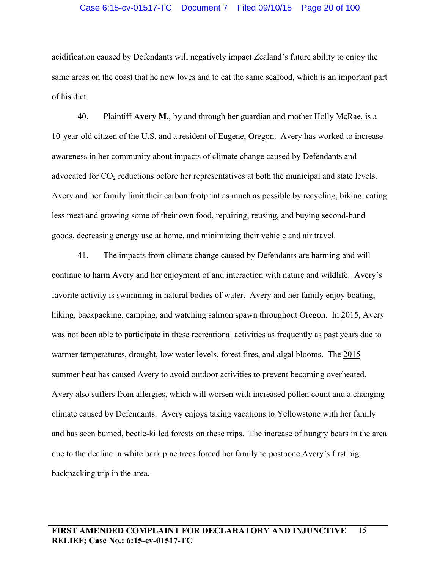### Case 6:15-cv-01517-TC Document 7 Filed 09/10/15 Page 20 of 100

acidification caused by Defendants will negatively impact Zealand's future ability to enjoy the same areas on the coast that he now loves and to eat the same seafood, which is an important part of his diet.

40. Plaintiff **Avery M.**, by and through her guardian and mother Holly McRae, is a 10-year-old citizen of the U.S. and a resident of Eugene, Oregon. Avery has worked to increase awareness in her community about impacts of climate change caused by Defendants and advocated for  $CO<sub>2</sub>$  reductions before her representatives at both the municipal and state levels. Avery and her family limit their carbon footprint as much as possible by recycling, biking, eating less meat and growing some of their own food, repairing, reusing, and buying second-hand goods, decreasing energy use at home, and minimizing their vehicle and air travel.

41. The impacts from climate change caused by Defendants are harming and will continue to harm Avery and her enjoyment of and interaction with nature and wildlife. Avery's favorite activity is swimming in natural bodies of water. Avery and her family enjoy boating, hiking, backpacking, camping, and watching salmon spawn throughout Oregon. In 2015, Avery was not been able to participate in these recreational activities as frequently as past years due to warmer temperatures, drought, low water levels, forest fires, and algal blooms. The 2015 summer heat has caused Avery to avoid outdoor activities to prevent becoming overheated. Avery also suffers from allergies, which will worsen with increased pollen count and a changing climate caused by Defendants. Avery enjoys taking vacations to Yellowstone with her family and has seen burned, beetle-killed forests on these trips. The increase of hungry bears in the area due to the decline in white bark pine trees forced her family to postpone Avery's first big backpacking trip in the area.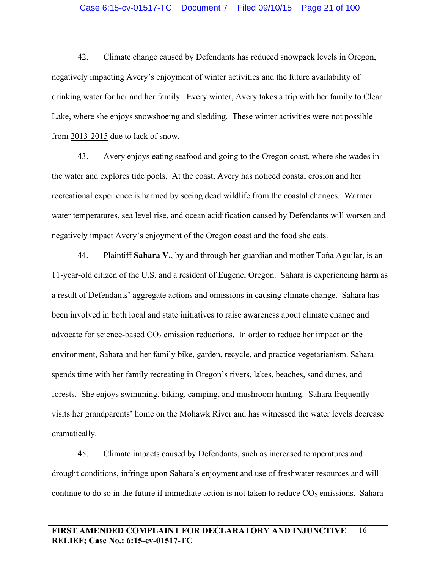#### Case 6:15-cv-01517-TC Document 7 Filed 09/10/15 Page 21 of 100

42. Climate change caused by Defendants has reduced snowpack levels in Oregon, negatively impacting Avery's enjoyment of winter activities and the future availability of drinking water for her and her family. Every winter, Avery takes a trip with her family to Clear Lake, where she enjoys snowshoeing and sledding. These winter activities were not possible from 2013-2015 due to lack of snow.

43. Avery enjoys eating seafood and going to the Oregon coast, where she wades in the water and explores tide pools. At the coast, Avery has noticed coastal erosion and her recreational experience is harmed by seeing dead wildlife from the coastal changes. Warmer water temperatures, sea level rise, and ocean acidification caused by Defendants will worsen and negatively impact Avery's enjoyment of the Oregon coast and the food she eats.

44. Plaintiff **Sahara V.**, by and through her guardian and mother Toña Aguilar, is an 11-year-old citizen of the U.S. and a resident of Eugene, Oregon. Sahara is experiencing harm as a result of Defendants' aggregate actions and omissions in causing climate change. Sahara has been involved in both local and state initiatives to raise awareness about climate change and advocate for science-based  $CO<sub>2</sub>$  emission reductions. In order to reduce her impact on the environment, Sahara and her family bike, garden, recycle, and practice vegetarianism. Sahara spends time with her family recreating in Oregon's rivers, lakes, beaches, sand dunes, and forests. She enjoys swimming, biking, camping, and mushroom hunting. Sahara frequently visits her grandparents' home on the Mohawk River and has witnessed the water levels decrease dramatically.

45. Climate impacts caused by Defendants, such as increased temperatures and drought conditions, infringe upon Sahara's enjoyment and use of freshwater resources and will continue to do so in the future if immediate action is not taken to reduce  $CO<sub>2</sub>$  emissions. Sahara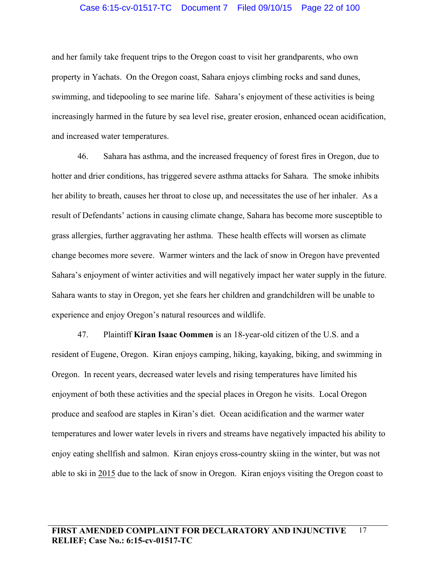#### Case 6:15-cv-01517-TC Document 7 Filed 09/10/15 Page 22 of 100

and her family take frequent trips to the Oregon coast to visit her grandparents, who own property in Yachats. On the Oregon coast, Sahara enjoys climbing rocks and sand dunes, swimming, and tidepooling to see marine life. Sahara's enjoyment of these activities is being increasingly harmed in the future by sea level rise, greater erosion, enhanced ocean acidification, and increased water temperatures.

46. Sahara has asthma, and the increased frequency of forest fires in Oregon, due to hotter and drier conditions, has triggered severe asthma attacks for Sahara. The smoke inhibits her ability to breath, causes her throat to close up, and necessitates the use of her inhaler. As a result of Defendants' actions in causing climate change, Sahara has become more susceptible to grass allergies, further aggravating her asthma. These health effects will worsen as climate change becomes more severe. Warmer winters and the lack of snow in Oregon have prevented Sahara's enjoyment of winter activities and will negatively impact her water supply in the future. Sahara wants to stay in Oregon, yet she fears her children and grandchildren will be unable to experience and enjoy Oregon's natural resources and wildlife.

47. Plaintiff **Kiran Isaac Oommen** is an 18-year-old citizen of the U.S. and a resident of Eugene, Oregon. Kiran enjoys camping, hiking, kayaking, biking, and swimming in Oregon. In recent years, decreased water levels and rising temperatures have limited his enjoyment of both these activities and the special places in Oregon he visits. Local Oregon produce and seafood are staples in Kiran's diet. Ocean acidification and the warmer water temperatures and lower water levels in rivers and streams have negatively impacted his ability to enjoy eating shellfish and salmon. Kiran enjoys cross-country skiing in the winter, but was not able to ski in 2015 due to the lack of snow in Oregon. Kiran enjoys visiting the Oregon coast to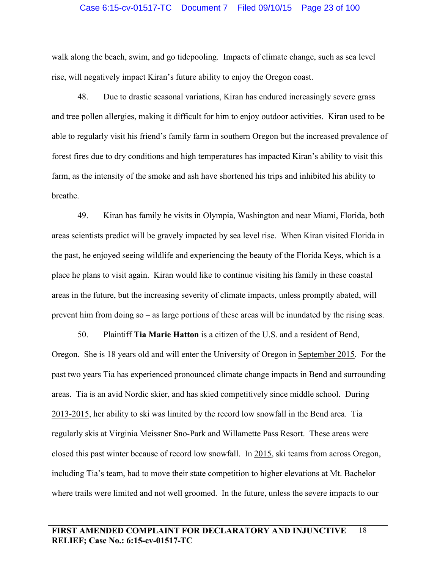#### Case 6:15-cv-01517-TC Document 7 Filed 09/10/15 Page 23 of 100

walk along the beach, swim, and go tidepooling. Impacts of climate change, such as sea level rise, will negatively impact Kiran's future ability to enjoy the Oregon coast.

48. Due to drastic seasonal variations, Kiran has endured increasingly severe grass and tree pollen allergies, making it difficult for him to enjoy outdoor activities. Kiran used to be able to regularly visit his friend's family farm in southern Oregon but the increased prevalence of forest fires due to dry conditions and high temperatures has impacted Kiran's ability to visit this farm, as the intensity of the smoke and ash have shortened his trips and inhibited his ability to breathe.

49. Kiran has family he visits in Olympia, Washington and near Miami, Florida, both areas scientists predict will be gravely impacted by sea level rise. When Kiran visited Florida in the past, he enjoyed seeing wildlife and experiencing the beauty of the Florida Keys, which is a place he plans to visit again. Kiran would like to continue visiting his family in these coastal areas in the future, but the increasing severity of climate impacts, unless promptly abated, will prevent him from doing so – as large portions of these areas will be inundated by the rising seas.

50. Plaintiff **Tia Marie Hatton** is a citizen of the U.S. and a resident of Bend, Oregon. She is 18 years old and will enter the University of Oregon in September 2015. For the past two years Tia has experienced pronounced climate change impacts in Bend and surrounding areas. Tia is an avid Nordic skier, and has skied competitively since middle school. During 2013-2015, her ability to ski was limited by the record low snowfall in the Bend area. Tia regularly skis at Virginia Meissner Sno-Park and Willamette Pass Resort. These areas were closed this past winter because of record low snowfall. In 2015, ski teams from across Oregon, including Tia's team, had to move their state competition to higher elevations at Mt. Bachelor where trails were limited and not well groomed. In the future, unless the severe impacts to our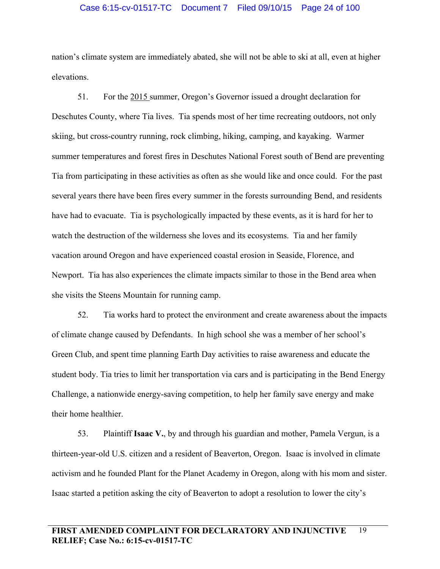#### Case 6:15-cv-01517-TC Document 7 Filed 09/10/15 Page 24 of 100

nation's climate system are immediately abated, she will not be able to ski at all, even at higher elevations.

51. For the 2015 summer, Oregon's Governor issued a drought declaration for Deschutes County, where Tia lives. Tia spends most of her time recreating outdoors, not only skiing, but cross-country running, rock climbing, hiking, camping, and kayaking. Warmer summer temperatures and forest fires in Deschutes National Forest south of Bend are preventing Tia from participating in these activities as often as she would like and once could. For the past several years there have been fires every summer in the forests surrounding Bend, and residents have had to evacuate. Tia is psychologically impacted by these events, as it is hard for her to watch the destruction of the wilderness she loves and its ecosystems. Tia and her family vacation around Oregon and have experienced coastal erosion in Seaside, Florence, and Newport. Tia has also experiences the climate impacts similar to those in the Bend area when she visits the Steens Mountain for running camp.

52. Tia works hard to protect the environment and create awareness about the impacts of climate change caused by Defendants. In high school she was a member of her school's Green Club, and spent time planning Earth Day activities to raise awareness and educate the student body. Tia tries to limit her transportation via cars and is participating in the Bend Energy Challenge, a nationwide energy-saving competition, to help her family save energy and make their home healthier.

53. Plaintiff **Isaac V.**, by and through his guardian and mother, Pamela Vergun, is a thirteen-year-old U.S. citizen and a resident of Beaverton, Oregon. Isaac is involved in climate activism and he founded Plant for the Planet Academy in Oregon, along with his mom and sister. Isaac started a petition asking the city of Beaverton to adopt a resolution to lower the city's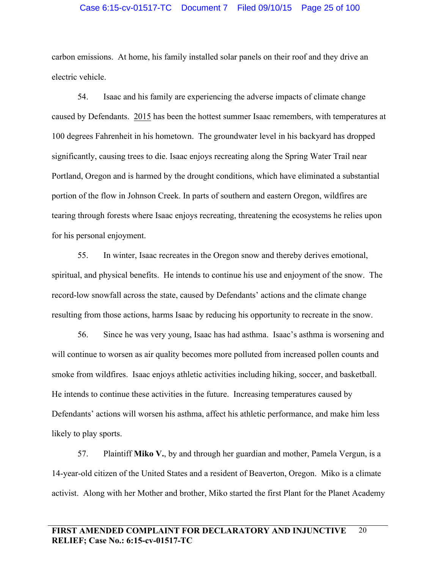#### Case 6:15-cv-01517-TC Document 7 Filed 09/10/15 Page 25 of 100

carbon emissions. At home, his family installed solar panels on their roof and they drive an electric vehicle.

54. Isaac and his family are experiencing the adverse impacts of climate change caused by Defendants. 2015 has been the hottest summer Isaac remembers, with temperatures at 100 degrees Fahrenheit in his hometown. The groundwater level in his backyard has dropped significantly, causing trees to die. Isaac enjoys recreating along the Spring Water Trail near Portland, Oregon and is harmed by the drought conditions, which have eliminated a substantial portion of the flow in Johnson Creek. In parts of southern and eastern Oregon, wildfires are tearing through forests where Isaac enjoys recreating, threatening the ecosystems he relies upon for his personal enjoyment.

55. In winter, Isaac recreates in the Oregon snow and thereby derives emotional, spiritual, and physical benefits. He intends to continue his use and enjoyment of the snow. The record-low snowfall across the state, caused by Defendants' actions and the climate change resulting from those actions, harms Isaac by reducing his opportunity to recreate in the snow.

56. Since he was very young, Isaac has had asthma. Isaac's asthma is worsening and will continue to worsen as air quality becomes more polluted from increased pollen counts and smoke from wildfires. Isaac enjoys athletic activities including hiking, soccer, and basketball. He intends to continue these activities in the future. Increasing temperatures caused by Defendants' actions will worsen his asthma, affect his athletic performance, and make him less likely to play sports.

57. Plaintiff **Miko V.**, by and through her guardian and mother, Pamela Vergun, is a 14-year-old citizen of the United States and a resident of Beaverton, Oregon. Miko is a climate activist. Along with her Mother and brother, Miko started the first Plant for the Planet Academy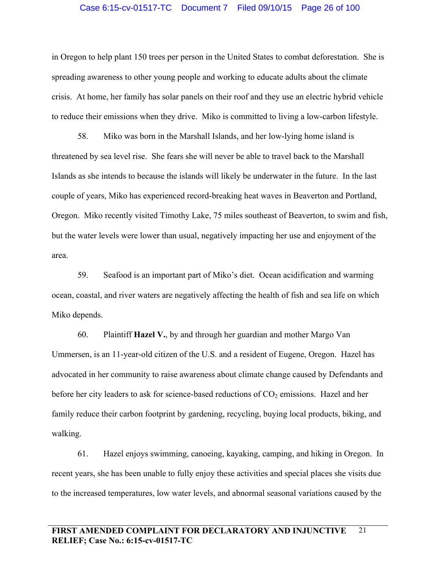#### Case 6:15-cv-01517-TC Document 7 Filed 09/10/15 Page 26 of 100

in Oregon to help plant 150 trees per person in the United States to combat deforestation. She is spreading awareness to other young people and working to educate adults about the climate crisis. At home, her family has solar panels on their roof and they use an electric hybrid vehicle to reduce their emissions when they drive. Miko is committed to living a low-carbon lifestyle.

58. Miko was born in the Marshall Islands, and her low-lying home island is threatened by sea level rise. She fears she will never be able to travel back to the Marshall Islands as she intends to because the islands will likely be underwater in the future. In the last couple of years, Miko has experienced record-breaking heat waves in Beaverton and Portland, Oregon. Miko recently visited Timothy Lake, 75 miles southeast of Beaverton, to swim and fish, but the water levels were lower than usual, negatively impacting her use and enjoyment of the area.

59. Seafood is an important part of Miko's diet. Ocean acidification and warming ocean, coastal, and river waters are negatively affecting the health of fish and sea life on which Miko depends.

60. Plaintiff **Hazel V.**, by and through her guardian and mother Margo Van Ummersen, is an 11-year-old citizen of the U.S. and a resident of Eugene, Oregon. Hazel has advocated in her community to raise awareness about climate change caused by Defendants and before her city leaders to ask for science-based reductions of  $CO<sub>2</sub>$  emissions. Hazel and her family reduce their carbon footprint by gardening, recycling, buying local products, biking, and walking.

61. Hazel enjoys swimming, canoeing, kayaking, camping, and hiking in Oregon. In recent years, she has been unable to fully enjoy these activities and special places she visits due to the increased temperatures, low water levels, and abnormal seasonal variations caused by the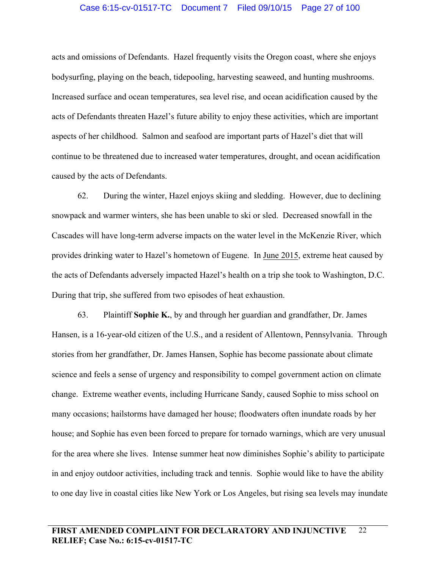## Case 6:15-cv-01517-TC Document 7 Filed 09/10/15 Page 27 of 100

acts and omissions of Defendants. Hazel frequently visits the Oregon coast, where she enjoys bodysurfing, playing on the beach, tidepooling, harvesting seaweed, and hunting mushrooms. Increased surface and ocean temperatures, sea level rise, and ocean acidification caused by the acts of Defendants threaten Hazel's future ability to enjoy these activities, which are important aspects of her childhood. Salmon and seafood are important parts of Hazel's diet that will continue to be threatened due to increased water temperatures, drought, and ocean acidification caused by the acts of Defendants.

62. During the winter, Hazel enjoys skiing and sledding. However, due to declining snowpack and warmer winters, she has been unable to ski or sled. Decreased snowfall in the Cascades will have long-term adverse impacts on the water level in the McKenzie River, which provides drinking water to Hazel's hometown of Eugene. In June 2015, extreme heat caused by the acts of Defendants adversely impacted Hazel's health on a trip she took to Washington, D.C. During that trip, she suffered from two episodes of heat exhaustion.

63. Plaintiff **Sophie K.**, by and through her guardian and grandfather, Dr. James Hansen, is a 16-year-old citizen of the U.S., and a resident of Allentown, Pennsylvania. Through stories from her grandfather, Dr. James Hansen, Sophie has become passionate about climate science and feels a sense of urgency and responsibility to compel government action on climate change. Extreme weather events, including Hurricane Sandy, caused Sophie to miss school on many occasions; hailstorms have damaged her house; floodwaters often inundate roads by her house; and Sophie has even been forced to prepare for tornado warnings, which are very unusual for the area where she lives. Intense summer heat now diminishes Sophie's ability to participate in and enjoy outdoor activities, including track and tennis. Sophie would like to have the ability to one day live in coastal cities like New York or Los Angeles, but rising sea levels may inundate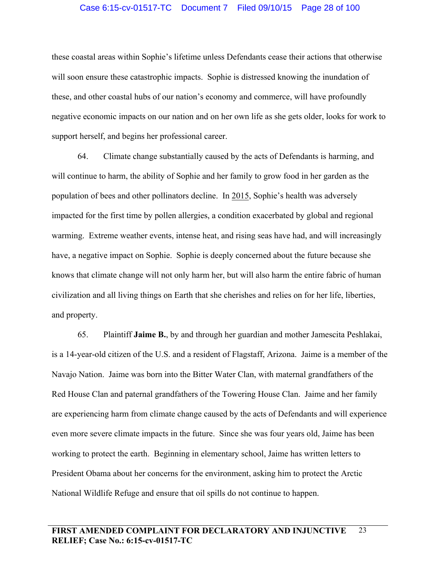# Case 6:15-cv-01517-TC Document 7 Filed 09/10/15 Page 28 of 100

these coastal areas within Sophie's lifetime unless Defendants cease their actions that otherwise will soon ensure these catastrophic impacts. Sophie is distressed knowing the inundation of these, and other coastal hubs of our nation's economy and commerce, will have profoundly negative economic impacts on our nation and on her own life as she gets older, looks for work to support herself, and begins her professional career.

64. Climate change substantially caused by the acts of Defendants is harming, and will continue to harm, the ability of Sophie and her family to grow food in her garden as the population of bees and other pollinators decline. In 2015, Sophie's health was adversely impacted for the first time by pollen allergies, a condition exacerbated by global and regional warming. Extreme weather events, intense heat, and rising seas have had, and will increasingly have, a negative impact on Sophie. Sophie is deeply concerned about the future because she knows that climate change will not only harm her, but will also harm the entire fabric of human civilization and all living things on Earth that she cherishes and relies on for her life, liberties, and property.

65. Plaintiff **Jaime B.**, by and through her guardian and mother Jamescita Peshlakai, is a 14-year-old citizen of the U.S. and a resident of Flagstaff, Arizona. Jaime is a member of the Navajo Nation. Jaime was born into the Bitter Water Clan, with maternal grandfathers of the Red House Clan and paternal grandfathers of the Towering House Clan. Jaime and her family are experiencing harm from climate change caused by the acts of Defendants and will experience even more severe climate impacts in the future. Since she was four years old, Jaime has been working to protect the earth. Beginning in elementary school, Jaime has written letters to President Obama about her concerns for the environment, asking him to protect the Arctic National Wildlife Refuge and ensure that oil spills do not continue to happen.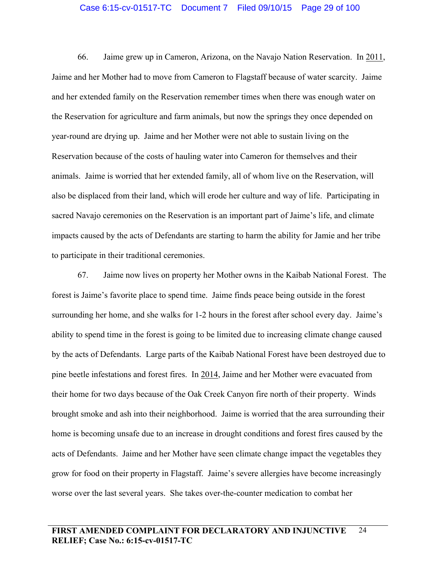#### Case 6:15-cv-01517-TC Document 7 Filed 09/10/15 Page 29 of 100

66. Jaime grew up in Cameron, Arizona, on the Navajo Nation Reservation. In 2011, Jaime and her Mother had to move from Cameron to Flagstaff because of water scarcity. Jaime and her extended family on the Reservation remember times when there was enough water on the Reservation for agriculture and farm animals, but now the springs they once depended on year-round are drying up. Jaime and her Mother were not able to sustain living on the Reservation because of the costs of hauling water into Cameron for themselves and their animals. Jaime is worried that her extended family, all of whom live on the Reservation, will also be displaced from their land, which will erode her culture and way of life. Participating in sacred Navajo ceremonies on the Reservation is an important part of Jaime's life, and climate impacts caused by the acts of Defendants are starting to harm the ability for Jamie and her tribe to participate in their traditional ceremonies.

67. Jaime now lives on property her Mother owns in the Kaibab National Forest. The forest is Jaime's favorite place to spend time. Jaime finds peace being outside in the forest surrounding her home, and she walks for 1-2 hours in the forest after school every day. Jaime's ability to spend time in the forest is going to be limited due to increasing climate change caused by the acts of Defendants. Large parts of the Kaibab National Forest have been destroyed due to pine beetle infestations and forest fires. In 2014, Jaime and her Mother were evacuated from their home for two days because of the Oak Creek Canyon fire north of their property. Winds brought smoke and ash into their neighborhood. Jaime is worried that the area surrounding their home is becoming unsafe due to an increase in drought conditions and forest fires caused by the acts of Defendants. Jaime and her Mother have seen climate change impact the vegetables they grow for food on their property in Flagstaff. Jaime's severe allergies have become increasingly worse over the last several years. She takes over-the-counter medication to combat her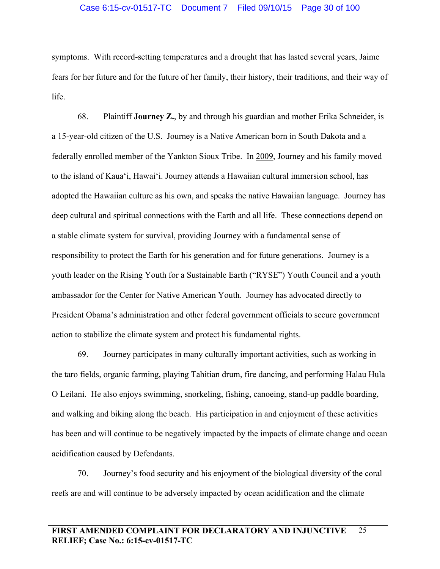## Case 6:15-cv-01517-TC Document 7 Filed 09/10/15 Page 30 of 100

symptoms. With record-setting temperatures and a drought that has lasted several years, Jaime fears for her future and for the future of her family, their history, their traditions, and their way of life.

68. Plaintiff **Journey Z.**, by and through his guardian and mother Erika Schneider, is a 15-year-old citizen of the U.S. Journey is a Native American born in South Dakota and a federally enrolled member of the Yankton Sioux Tribe. In 2009, Journey and his family moved to the island of Kaua'i, Hawai'i. Journey attends a Hawaiian cultural immersion school, has adopted the Hawaiian culture as his own, and speaks the native Hawaiian language. Journey has deep cultural and spiritual connections with the Earth and all life. These connections depend on a stable climate system for survival, providing Journey with a fundamental sense of responsibility to protect the Earth for his generation and for future generations. Journey is a youth leader on the Rising Youth for a Sustainable Earth ("RYSE") Youth Council and a youth ambassador for the Center for Native American Youth. Journey has advocated directly to President Obama's administration and other federal government officials to secure government action to stabilize the climate system and protect his fundamental rights.

69. Journey participates in many culturally important activities, such as working in the taro fields, organic farming, playing Tahitian drum, fire dancing, and performing Halau Hula O Leilani. He also enjoys swimming, snorkeling, fishing, canoeing, stand-up paddle boarding, and walking and biking along the beach. His participation in and enjoyment of these activities has been and will continue to be negatively impacted by the impacts of climate change and ocean acidification caused by Defendants.

70. Journey's food security and his enjoyment of the biological diversity of the coral reefs are and will continue to be adversely impacted by ocean acidification and the climate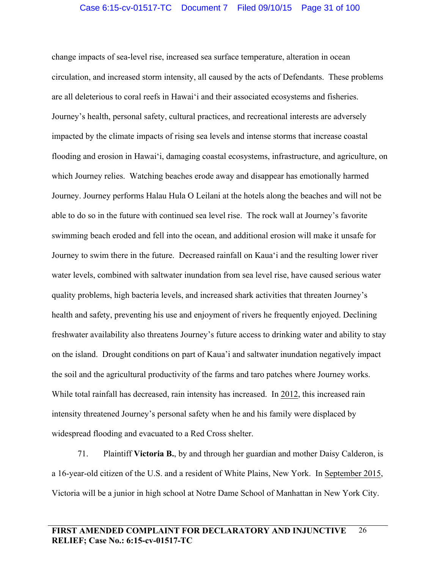change impacts of sea-level rise, increased sea surface temperature, alteration in ocean circulation, and increased storm intensity, all caused by the acts of Defendants. These problems are all deleterious to coral reefs in Hawai'i and their associated ecosystems and fisheries. Journey's health, personal safety, cultural practices, and recreational interests are adversely impacted by the climate impacts of rising sea levels and intense storms that increase coastal flooding and erosion in Hawai'i, damaging coastal ecosystems, infrastructure, and agriculture, on which Journey relies. Watching beaches erode away and disappear has emotionally harmed Journey. Journey performs Halau Hula O Leilani at the hotels along the beaches and will not be able to do so in the future with continued sea level rise. The rock wall at Journey's favorite swimming beach eroded and fell into the ocean, and additional erosion will make it unsafe for Journey to swim there in the future. Decreased rainfall on Kaua'i and the resulting lower river water levels, combined with saltwater inundation from sea level rise, have caused serious water quality problems, high bacteria levels, and increased shark activities that threaten Journey's health and safety, preventing his use and enjoyment of rivers he frequently enjoyed. Declining freshwater availability also threatens Journey's future access to drinking water and ability to stay on the island. Drought conditions on part of Kaua'i and saltwater inundation negatively impact the soil and the agricultural productivity of the farms and taro patches where Journey works. While total rainfall has decreased, rain intensity has increased. In 2012, this increased rain intensity threatened Journey's personal safety when he and his family were displaced by widespread flooding and evacuated to a Red Cross shelter.

71. Plaintiff **Victoria B.**, by and through her guardian and mother Daisy Calderon, is a 16-year-old citizen of the U.S. and a resident of White Plains, New York. In September 2015, Victoria will be a junior in high school at Notre Dame School of Manhattan in New York City.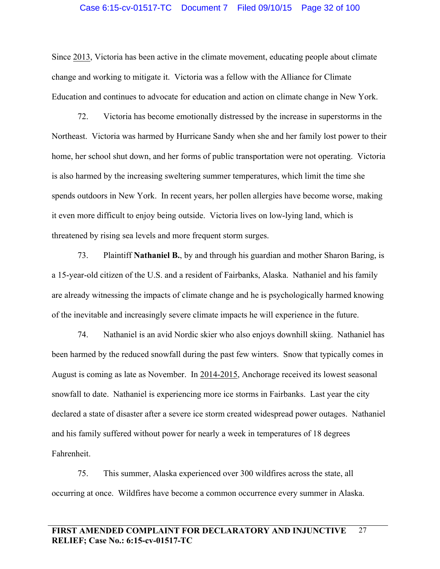#### Case 6:15-cv-01517-TC Document 7 Filed 09/10/15 Page 32 of 100

Since 2013, Victoria has been active in the climate movement, educating people about climate change and working to mitigate it. Victoria was a fellow with the Alliance for Climate Education and continues to advocate for education and action on climate change in New York.

72. Victoria has become emotionally distressed by the increase in superstorms in the Northeast. Victoria was harmed by Hurricane Sandy when she and her family lost power to their home, her school shut down, and her forms of public transportation were not operating. Victoria is also harmed by the increasing sweltering summer temperatures, which limit the time she spends outdoors in New York. In recent years, her pollen allergies have become worse, making it even more difficult to enjoy being outside. Victoria lives on low-lying land, which is threatened by rising sea levels and more frequent storm surges.

73. Plaintiff **Nathaniel B.**, by and through his guardian and mother Sharon Baring, is a 15-year-old citizen of the U.S. and a resident of Fairbanks, Alaska. Nathaniel and his family are already witnessing the impacts of climate change and he is psychologically harmed knowing of the inevitable and increasingly severe climate impacts he will experience in the future.

74. Nathaniel is an avid Nordic skier who also enjoys downhill skiing. Nathaniel has been harmed by the reduced snowfall during the past few winters. Snow that typically comes in August is coming as late as November. In 2014-2015, Anchorage received its lowest seasonal snowfall to date. Nathaniel is experiencing more ice storms in Fairbanks. Last year the city declared a state of disaster after a severe ice storm created widespread power outages. Nathaniel and his family suffered without power for nearly a week in temperatures of 18 degrees Fahrenheit.

75. This summer, Alaska experienced over 300 wildfires across the state, all occurring at once. Wildfires have become a common occurrence every summer in Alaska.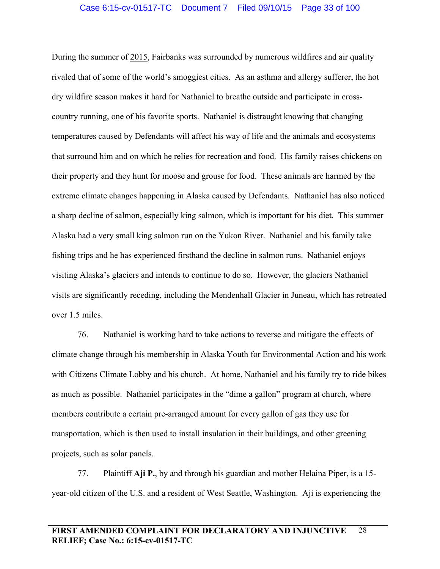During the summer of 2015, Fairbanks was surrounded by numerous wildfires and air quality rivaled that of some of the world's smoggiest cities. As an asthma and allergy sufferer, the hot dry wildfire season makes it hard for Nathaniel to breathe outside and participate in crosscountry running, one of his favorite sports. Nathaniel is distraught knowing that changing temperatures caused by Defendants will affect his way of life and the animals and ecosystems that surround him and on which he relies for recreation and food. His family raises chickens on their property and they hunt for moose and grouse for food. These animals are harmed by the extreme climate changes happening in Alaska caused by Defendants. Nathaniel has also noticed a sharp decline of salmon, especially king salmon, which is important for his diet. This summer Alaska had a very small king salmon run on the Yukon River. Nathaniel and his family take fishing trips and he has experienced firsthand the decline in salmon runs. Nathaniel enjoys visiting Alaska's glaciers and intends to continue to do so. However, the glaciers Nathaniel visits are significantly receding, including the Mendenhall Glacier in Juneau, which has retreated over 1.5 miles.

76. Nathaniel is working hard to take actions to reverse and mitigate the effects of climate change through his membership in Alaska Youth for Environmental Action and his work with Citizens Climate Lobby and his church. At home, Nathaniel and his family try to ride bikes as much as possible. Nathaniel participates in the "dime a gallon" program at church, where members contribute a certain pre-arranged amount for every gallon of gas they use for transportation, which is then used to install insulation in their buildings, and other greening projects, such as solar panels.

77. Plaintiff **Aji P.**, by and through his guardian and mother Helaina Piper, is a 15 year-old citizen of the U.S. and a resident of West Seattle, Washington. Aji is experiencing the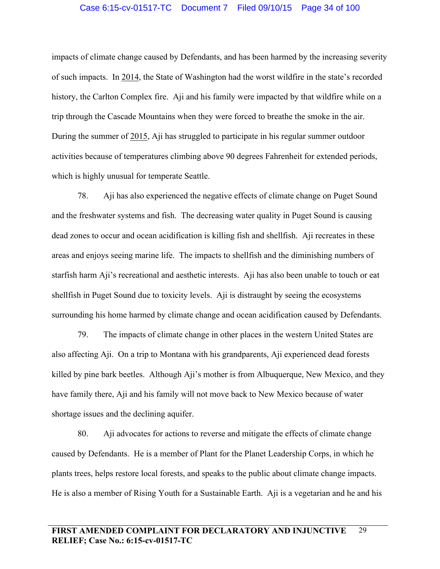#### Case 6:15-cv-01517-TC Document 7 Filed 09/10/15 Page 34 of 100

impacts of climate change caused by Defendants, and has been harmed by the increasing severity of such impacts. In 2014, the State of Washington had the worst wildfire in the state's recorded history, the Carlton Complex fire. Aji and his family were impacted by that wildfire while on a trip through the Cascade Mountains when they were forced to breathe the smoke in the air. During the summer of 2015, Aji has struggled to participate in his regular summer outdoor activities because of temperatures climbing above 90 degrees Fahrenheit for extended periods, which is highly unusual for temperate Seattle.

78. Aji has also experienced the negative effects of climate change on Puget Sound and the freshwater systems and fish. The decreasing water quality in Puget Sound is causing dead zones to occur and ocean acidification is killing fish and shellfish. Aji recreates in these areas and enjoys seeing marine life. The impacts to shellfish and the diminishing numbers of starfish harm Aji's recreational and aesthetic interests. Aji has also been unable to touch or eat shellfish in Puget Sound due to toxicity levels. Aji is distraught by seeing the ecosystems surrounding his home harmed by climate change and ocean acidification caused by Defendants.

79. The impacts of climate change in other places in the western United States are also affecting Aji. On a trip to Montana with his grandparents, Aji experienced dead forests killed by pine bark beetles. Although Aji's mother is from Albuquerque, New Mexico, and they have family there, Aji and his family will not move back to New Mexico because of water shortage issues and the declining aquifer.

80. Aji advocates for actions to reverse and mitigate the effects of climate change caused by Defendants. He is a member of Plant for the Planet Leadership Corps, in which he plants trees, helps restore local forests, and speaks to the public about climate change impacts. He is also a member of Rising Youth for a Sustainable Earth. Aji is a vegetarian and he and his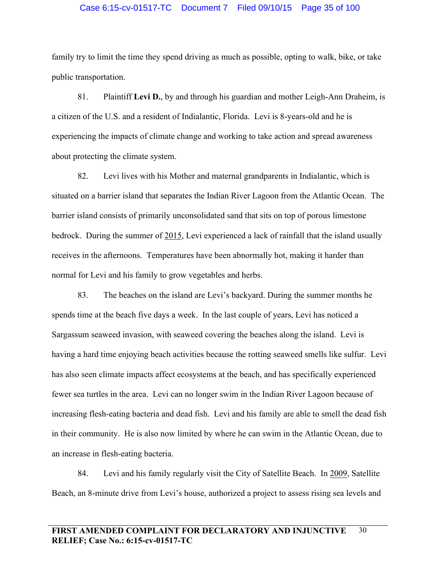#### Case 6:15-cv-01517-TC Document 7 Filed 09/10/15 Page 35 of 100

family try to limit the time they spend driving as much as possible, opting to walk, bike, or take public transportation.

81. Plaintiff **Levi D.**, by and through his guardian and mother Leigh-Ann Draheim, is a citizen of the U.S. and a resident of Indialantic, Florida. Levi is 8-years-old and he is experiencing the impacts of climate change and working to take action and spread awareness about protecting the climate system.

82. Levi lives with his Mother and maternal grandparents in Indialantic, which is situated on a barrier island that separates the Indian River Lagoon from the Atlantic Ocean. The barrier island consists of primarily unconsolidated sand that sits on top of porous limestone bedrock. During the summer of 2015, Levi experienced a lack of rainfall that the island usually receives in the afternoons. Temperatures have been abnormally hot, making it harder than normal for Levi and his family to grow vegetables and herbs.

83. The beaches on the island are Levi's backyard. During the summer months he spends time at the beach five days a week. In the last couple of years, Levi has noticed a Sargassum seaweed invasion, with seaweed covering the beaches along the island. Levi is having a hard time enjoying beach activities because the rotting seaweed smells like sulfur. Levi has also seen climate impacts affect ecosystems at the beach, and has specifically experienced fewer sea turtles in the area. Levi can no longer swim in the Indian River Lagoon because of increasing flesh-eating bacteria and dead fish. Levi and his family are able to smell the dead fish in their community. He is also now limited by where he can swim in the Atlantic Ocean, due to an increase in flesh-eating bacteria.

84. Levi and his family regularly visit the City of Satellite Beach. In 2009, Satellite Beach, an 8-minute drive from Levi's house, authorized a project to assess rising sea levels and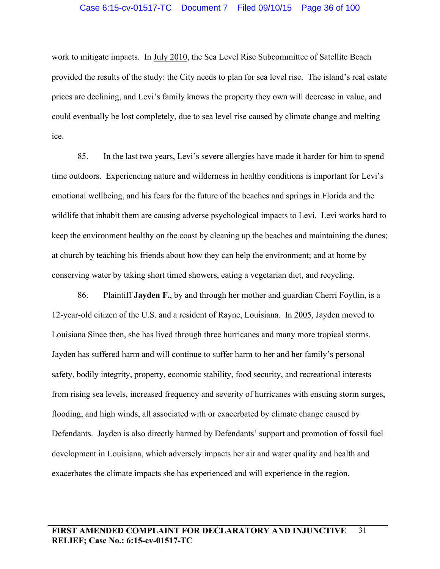#### Case 6:15-cv-01517-TC Document 7 Filed 09/10/15 Page 36 of 100

work to mitigate impacts. In July 2010, the Sea Level Rise Subcommittee of Satellite Beach provided the results of the study: the City needs to plan for sea level rise. The island's real estate prices are declining, and Levi's family knows the property they own will decrease in value, and could eventually be lost completely, due to sea level rise caused by climate change and melting ice.

85. In the last two years, Levi's severe allergies have made it harder for him to spend time outdoors. Experiencing nature and wilderness in healthy conditions is important for Levi's emotional wellbeing, and his fears for the future of the beaches and springs in Florida and the wildlife that inhabit them are causing adverse psychological impacts to Levi. Levi works hard to keep the environment healthy on the coast by cleaning up the beaches and maintaining the dunes; at church by teaching his friends about how they can help the environment; and at home by conserving water by taking short timed showers, eating a vegetarian diet, and recycling.

86. Plaintiff **Jayden F.**, by and through her mother and guardian Cherri Foytlin, is a 12-year-old citizen of the U.S. and a resident of Rayne, Louisiana. In 2005, Jayden moved to Louisiana Since then, she has lived through three hurricanes and many more tropical storms. Jayden has suffered harm and will continue to suffer harm to her and her family's personal safety, bodily integrity, property, economic stability, food security, and recreational interests from rising sea levels, increased frequency and severity of hurricanes with ensuing storm surges, flooding, and high winds, all associated with or exacerbated by climate change caused by Defendants. Jayden is also directly harmed by Defendants' support and promotion of fossil fuel development in Louisiana, which adversely impacts her air and water quality and health and exacerbates the climate impacts she has experienced and will experience in the region.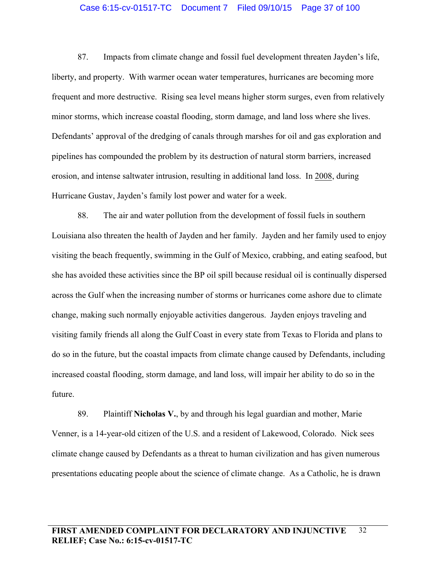#### Case 6:15-cv-01517-TC Document 7 Filed 09/10/15 Page 37 of 100

87. Impacts from climate change and fossil fuel development threaten Jayden's life, liberty, and property. With warmer ocean water temperatures, hurricanes are becoming more frequent and more destructive. Rising sea level means higher storm surges, even from relatively minor storms, which increase coastal flooding, storm damage, and land loss where she lives. Defendants' approval of the dredging of canals through marshes for oil and gas exploration and pipelines has compounded the problem by its destruction of natural storm barriers, increased erosion, and intense saltwater intrusion, resulting in additional land loss. In 2008, during Hurricane Gustav, Jayden's family lost power and water for a week.

88. The air and water pollution from the development of fossil fuels in southern Louisiana also threaten the health of Jayden and her family. Jayden and her family used to enjoy visiting the beach frequently, swimming in the Gulf of Mexico, crabbing, and eating seafood, but she has avoided these activities since the BP oil spill because residual oil is continually dispersed across the Gulf when the increasing number of storms or hurricanes come ashore due to climate change, making such normally enjoyable activities dangerous. Jayden enjoys traveling and visiting family friends all along the Gulf Coast in every state from Texas to Florida and plans to do so in the future, but the coastal impacts from climate change caused by Defendants, including increased coastal flooding, storm damage, and land loss, will impair her ability to do so in the future.

89. Plaintiff **Nicholas V.**, by and through his legal guardian and mother, Marie Venner, is a 14-year-old citizen of the U.S. and a resident of Lakewood, Colorado. Nick sees climate change caused by Defendants as a threat to human civilization and has given numerous presentations educating people about the science of climate change. As a Catholic, he is drawn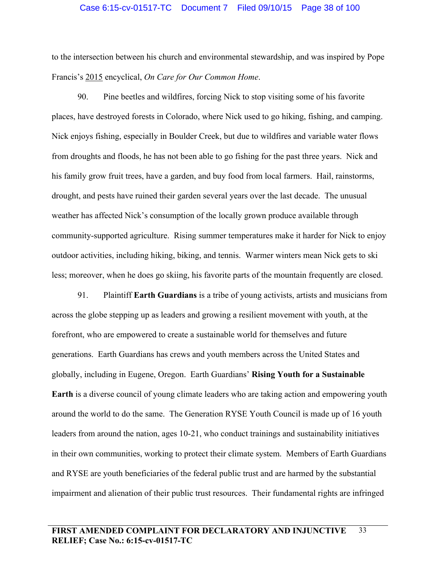### Case 6:15-cv-01517-TC Document 7 Filed 09/10/15 Page 38 of 100

to the intersection between his church and environmental stewardship, and was inspired by Pope Francis's 2015 encyclical, *On Care for Our Common Home*.

90. Pine beetles and wildfires, forcing Nick to stop visiting some of his favorite places, have destroyed forests in Colorado, where Nick used to go hiking, fishing, and camping. Nick enjoys fishing, especially in Boulder Creek, but due to wildfires and variable water flows from droughts and floods, he has not been able to go fishing for the past three years. Nick and his family grow fruit trees, have a garden, and buy food from local farmers. Hail, rainstorms, drought, and pests have ruined their garden several years over the last decade. The unusual weather has affected Nick's consumption of the locally grown produce available through community-supported agriculture. Rising summer temperatures make it harder for Nick to enjoy outdoor activities, including hiking, biking, and tennis. Warmer winters mean Nick gets to ski less; moreover, when he does go skiing, his favorite parts of the mountain frequently are closed.

91. Plaintiff **Earth Guardians** is a tribe of young activists, artists and musicians from across the globe stepping up as leaders and growing a resilient movement with youth, at the forefront, who are empowered to create a sustainable world for themselves and future generations. Earth Guardians has crews and youth members across the United States and globally, including in Eugene, Oregon. Earth Guardians' **Rising Youth for a Sustainable Earth** is a diverse council of young climate leaders who are taking action and empowering youth around the world to do the same. The Generation RYSE Youth Council is made up of 16 youth leaders from around the nation, ages 10-21, who conduct trainings and sustainability initiatives in their own communities, working to protect their climate system. Members of Earth Guardians and RYSE are youth beneficiaries of the federal public trust and are harmed by the substantial impairment and alienation of their public trust resources. Their fundamental rights are infringed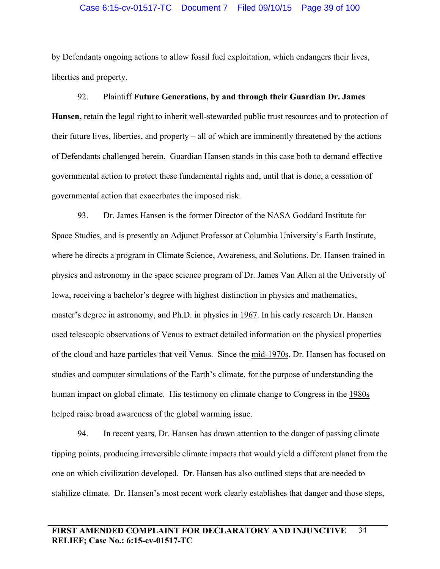## Case 6:15-cv-01517-TC Document 7 Filed 09/10/15 Page 39 of 100

by Defendants ongoing actions to allow fossil fuel exploitation, which endangers their lives, liberties and property.

92. Plaintiff **Future Generations, by and through their Guardian Dr. James Hansen,** retain the legal right to inherit well-stewarded public trust resources and to protection of their future lives, liberties, and property – all of which are imminently threatened by the actions of Defendants challenged herein. Guardian Hansen stands in this case both to demand effective governmental action to protect these fundamental rights and, until that is done, a cessation of governmental action that exacerbates the imposed risk.

93. Dr. James Hansen is the former Director of the NASA Goddard Institute for Space Studies, and is presently an Adjunct Professor at Columbia University's Earth Institute, where he directs a program in Climate Science, Awareness, and Solutions. Dr. Hansen trained in physics and astronomy in the space science program of Dr. James Van Allen at the University of Iowa, receiving a bachelor's degree with highest distinction in physics and mathematics, master's degree in astronomy, and Ph.D. in physics in 1967. In his early research Dr. Hansen used telescopic observations of Venus to extract detailed information on the physical properties of the cloud and haze particles that veil Venus. Since the mid-1970s, Dr. Hansen has focused on studies and computer simulations of the Earth's climate, for the purpose of understanding the human impact on global climate. His testimony on climate change to Congress in the 1980s helped raise broad awareness of the global warming issue.

94. In recent years, Dr. Hansen has drawn attention to the danger of passing climate tipping points, producing irreversible climate impacts that would yield a different planet from the one on which civilization developed. Dr. Hansen has also outlined steps that are needed to stabilize climate. Dr. Hansen's most recent work clearly establishes that danger and those steps,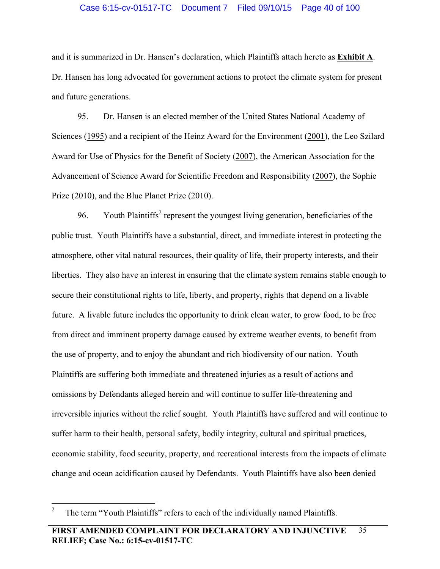## Case 6:15-cv-01517-TC Document 7 Filed 09/10/15 Page 40 of 100

and it is summarized in Dr. Hansen's declaration, which Plaintiffs attach hereto as **Exhibit A**. Dr. Hansen has long advocated for government actions to protect the climate system for present and future generations.

95. Dr. Hansen is an elected member of the United States National Academy of Sciences (1995) and a recipient of the Heinz Award for the Environment (2001), the Leo Szilard Award for Use of Physics for the Benefit of Society (2007), the American Association for the Advancement of Science Award for Scientific Freedom and Responsibility (2007), the Sophie Prize (2010), and the Blue Planet Prize (2010).

96. Youth Plaintiffs<sup>2</sup> represent the youngest living generation, beneficiaries of the public trust. Youth Plaintiffs have a substantial, direct, and immediate interest in protecting the atmosphere, other vital natural resources, their quality of life, their property interests, and their liberties. They also have an interest in ensuring that the climate system remains stable enough to secure their constitutional rights to life, liberty, and property, rights that depend on a livable future. A livable future includes the opportunity to drink clean water, to grow food, to be free from direct and imminent property damage caused by extreme weather events, to benefit from the use of property, and to enjoy the abundant and rich biodiversity of our nation. Youth Plaintiffs are suffering both immediate and threatened injuries as a result of actions and omissions by Defendants alleged herein and will continue to suffer life-threatening and irreversible injuries without the relief sought. Youth Plaintiffs have suffered and will continue to suffer harm to their health, personal safety, bodily integrity, cultural and spiritual practices, economic stability, food security, property, and recreational interests from the impacts of climate change and ocean acidification caused by Defendants. Youth Plaintiffs have also been denied

 <sup>2</sup> The term "Youth Plaintiffs" refers to each of the individually named Plaintiffs.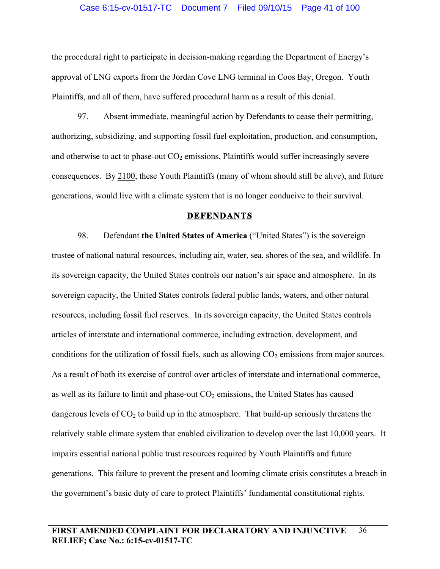the procedural right to participate in decision-making regarding the Department of Energy's approval of LNG exports from the Jordan Cove LNG terminal in Coos Bay, Oregon. Youth Plaintiffs, and all of them, have suffered procedural harm as a result of this denial.

97. Absent immediate, meaningful action by Defendants to cease their permitting, authorizing, subsidizing, and supporting fossil fuel exploitation, production, and consumption, and otherwise to act to phase-out  $CO<sub>2</sub>$  emissions, Plaintiffs would suffer increasingly severe consequences. By 2100, these Youth Plaintiffs (many of whom should still be alive), and future generations, would live with a climate system that is no longer conducive to their survival.

#### **DEFENDANTS**

98. Defendant **the United States of America** ("United States") is the sovereign trustee of national natural resources, including air, water, sea, shores of the sea, and wildlife. In its sovereign capacity, the United States controls our nation's air space and atmosphere. In its sovereign capacity, the United States controls federal public lands, waters, and other natural resources, including fossil fuel reserves. In its sovereign capacity, the United States controls articles of interstate and international commerce, including extraction, development, and conditions for the utilization of fossil fuels, such as allowing  $CO<sub>2</sub>$  emissions from major sources. As a result of both its exercise of control over articles of interstate and international commerce, as well as its failure to limit and phase-out  $CO<sub>2</sub>$  emissions, the United States has caused dangerous levels of  $CO<sub>2</sub>$  to build up in the atmosphere. That build-up seriously threatens the relatively stable climate system that enabled civilization to develop over the last 10,000 years. It impairs essential national public trust resources required by Youth Plaintiffs and future generations. This failure to prevent the present and looming climate crisis constitutes a breach in the government's basic duty of care to protect Plaintiffs' fundamental constitutional rights.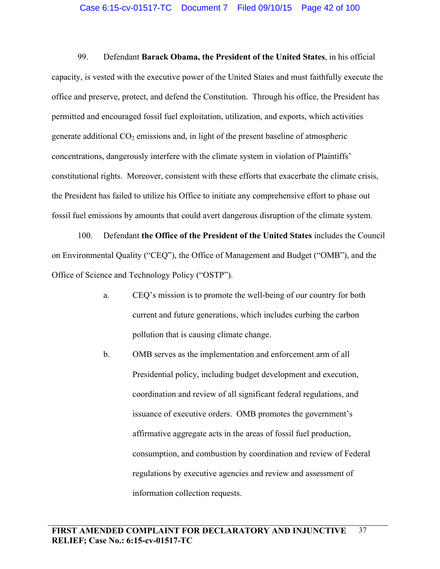99. Defendant **Barack Obama, the President of the United States**, in his official capacity, is vested with the executive power of the United States and must faithfully execute the office and preserve, protect, and defend the Constitution. Through his office, the President has permitted and encouraged fossil fuel exploitation, utilization, and exports, which activities generate additional  $CO<sub>2</sub>$  emissions and, in light of the present baseline of atmospheric concentrations, dangerously interfere with the climate system in violation of Plaintiffs' constitutional rights. Moreover, consistent with these efforts that exacerbate the climate crisis, the President has failed to utilize his Office to initiate any comprehensive effort to phase out fossil fuel emissions by amounts that could avert dangerous disruption of the climate system.

100. Defendant **the Office of the President of the United States** includes the Council on Environmental Quality ("CEQ"), the Office of Management and Budget ("OMB"), and the Office of Science and Technology Policy ("OSTP").

- a. CEQ's mission is to promote the well-being of our country for both current and future generations, which includes curbing the carbon pollution that is causing climate change.
- b. OMB serves as the implementation and enforcement arm of all Presidential policy, including budget development and execution, coordination and review of all significant federal regulations, and issuance of executive orders. OMB promotes the government's affirmative aggregate acts in the areas of fossil fuel production, consumption, and combustion by coordination and review of Federal regulations by executive agencies and review and assessment of information collection requests.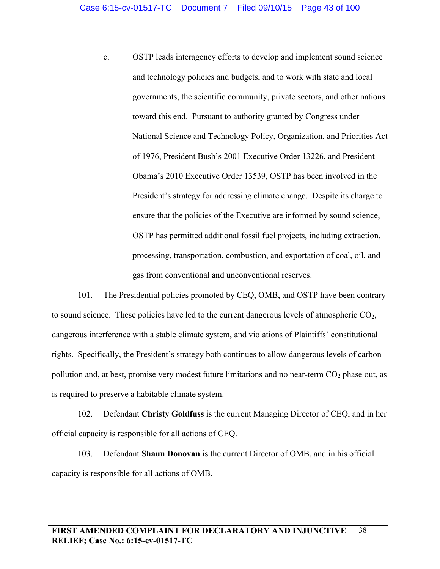c. OSTP leads interagency efforts to develop and implement sound science and technology policies and budgets, and to work with state and local governments, the scientific community, private sectors, and other nations toward this end. Pursuant to authority granted by Congress under National Science and Technology Policy, Organization, and Priorities Act of 1976, President Bush's 2001 Executive Order 13226, and President Obama's 2010 Executive Order 13539, OSTP has been involved in the President's strategy for addressing climate change. Despite its charge to ensure that the policies of the Executive are informed by sound science, OSTP has permitted additional fossil fuel projects, including extraction, processing, transportation, combustion, and exportation of coal, oil, and gas from conventional and unconventional reserves.

101. The Presidential policies promoted by CEQ, OMB, and OSTP have been contrary to sound science. These policies have led to the current dangerous levels of atmospheric  $CO<sub>2</sub>$ , dangerous interference with a stable climate system, and violations of Plaintiffs' constitutional rights. Specifically, the President's strategy both continues to allow dangerous levels of carbon pollution and, at best, promise very modest future limitations and no near-term  $CO<sub>2</sub>$  phase out, as is required to preserve a habitable climate system.

102. Defendant **Christy Goldfuss** is the current Managing Director of CEQ, and in her official capacity is responsible for all actions of CEQ.

103. Defendant **Shaun Donovan** is the current Director of OMB, and in his official capacity is responsible for all actions of OMB.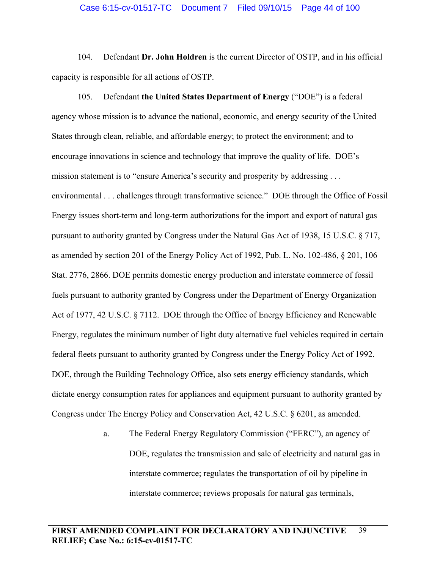104. Defendant **Dr. John Holdren** is the current Director of OSTP, and in his official capacity is responsible for all actions of OSTP.

105. Defendant **the United States Department of Energy** ("DOE") is a federal agency whose mission is to advance the national, economic, and energy security of the United States through clean, reliable, and affordable energy; to protect the environment; and to encourage innovations in science and technology that improve the quality of life. DOE's mission statement is to "ensure America's security and prosperity by addressing . . . environmental . . . challenges through transformative science." DOE through the Office of Fossil Energy issues short-term and long-term authorizations for the import and export of natural gas pursuant to authority granted by Congress under the Natural Gas Act of 1938, 15 U.S.C. § 717, as amended by section 201 of the Energy Policy Act of 1992, Pub. L. No. 102-486, § 201, 106 Stat. 2776, 2866. DOE permits domestic energy production and interstate commerce of fossil fuels pursuant to authority granted by Congress under the Department of Energy Organization Act of 1977, 42 U.S.C. § 7112. DOE through the Office of Energy Efficiency and Renewable Energy, regulates the minimum number of light duty alternative fuel vehicles required in certain federal fleets pursuant to authority granted by Congress under the Energy Policy Act of 1992. DOE, through the Building Technology Office, also sets energy efficiency standards, which dictate energy consumption rates for appliances and equipment pursuant to authority granted by Congress under The Energy Policy and Conservation Act, 42 U.S.C. § 6201, as amended.

> a. The Federal Energy Regulatory Commission ("FERC"), an agency of DOE, regulates the transmission and sale of electricity and natural gas in interstate commerce; regulates the transportation of oil by pipeline in interstate commerce; reviews proposals for natural gas terminals,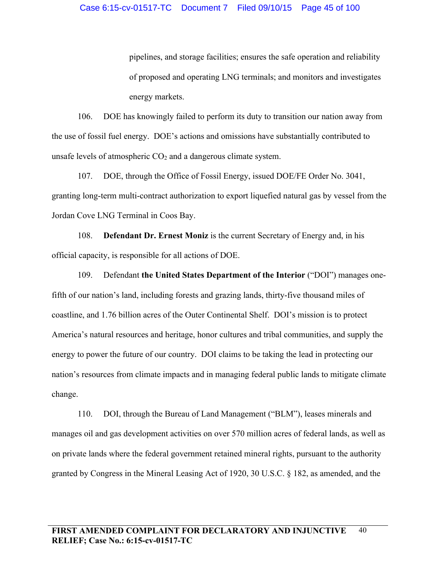pipelines, and storage facilities; ensures the safe operation and reliability of proposed and operating LNG terminals; and monitors and investigates energy markets.

106. DOE has knowingly failed to perform its duty to transition our nation away from the use of fossil fuel energy. DOE's actions and omissions have substantially contributed to unsafe levels of atmospheric  $CO<sub>2</sub>$  and a dangerous climate system.

107. DOE, through the Office of Fossil Energy, issued DOE/FE Order No. 3041, granting long-term multi-contract authorization to export liquefied natural gas by vessel from the Jordan Cove LNG Terminal in Coos Bay.

108. **Defendant Dr. Ernest Moniz** is the current Secretary of Energy and, in his official capacity, is responsible for all actions of DOE.

109. Defendant **the United States Department of the Interior** ("DOI") manages onefifth of our nation's land, including forests and grazing lands, thirty-five thousand miles of coastline, and 1.76 billion acres of the Outer Continental Shelf. DOI's mission is to protect America's natural resources and heritage, honor cultures and tribal communities, and supply the energy to power the future of our country. DOI claims to be taking the lead in protecting our nation's resources from climate impacts and in managing federal public lands to mitigate climate change.

110. DOI, through the Bureau of Land Management ("BLM"), leases minerals and manages oil and gas development activities on over 570 million acres of federal lands, as well as on private lands where the federal government retained mineral rights, pursuant to the authority granted by Congress in the Mineral Leasing Act of 1920, 30 U.S.C. § 182, as amended, and the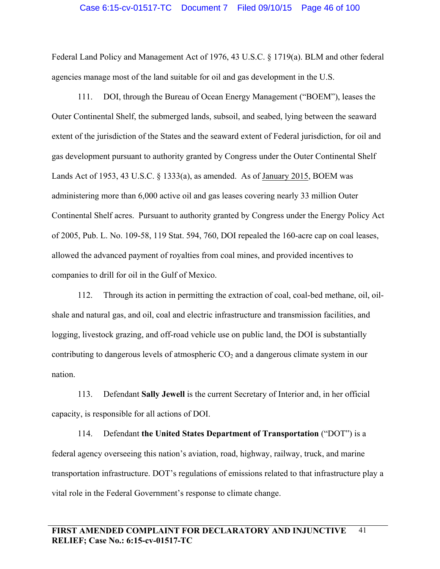#### Case 6:15-cv-01517-TC Document 7 Filed 09/10/15 Page 46 of 100

Federal Land Policy and Management Act of 1976, 43 U.S.C. § 1719(a). BLM and other federal agencies manage most of the land suitable for oil and gas development in the U.S.

111. DOI, through the Bureau of Ocean Energy Management ("BOEM"), leases the Outer Continental Shelf, the submerged lands, subsoil, and seabed, lying between the seaward extent of the jurisdiction of the States and the seaward extent of Federal jurisdiction, for oil and gas development pursuant to authority granted by Congress under the Outer Continental Shelf Lands Act of 1953, 43 U.S.C. § 1333(a), as amended. As of January 2015, BOEM was administering more than 6,000 active oil and gas leases covering nearly 33 million Outer Continental Shelf acres. Pursuant to authority granted by Congress under the Energy Policy Act of 2005, Pub. L. No. 109-58, 119 Stat. 594, 760, DOI repealed the 160-acre cap on coal leases, allowed the advanced payment of royalties from coal mines, and provided incentives to companies to drill for oil in the Gulf of Mexico.

112. Through its action in permitting the extraction of coal, coal-bed methane, oil, oilshale and natural gas, and oil, coal and electric infrastructure and transmission facilities, and logging, livestock grazing, and off-road vehicle use on public land, the DOI is substantially contributing to dangerous levels of atmospheric  $CO<sub>2</sub>$  and a dangerous climate system in our nation.

113. Defendant **Sally Jewell** is the current Secretary of Interior and, in her official capacity, is responsible for all actions of DOI.

114. Defendant **the United States Department of Transportation** ("DOT") is a federal agency overseeing this nation's aviation, road, highway, railway, truck, and marine transportation infrastructure. DOT's regulations of emissions related to that infrastructure play a vital role in the Federal Government's response to climate change.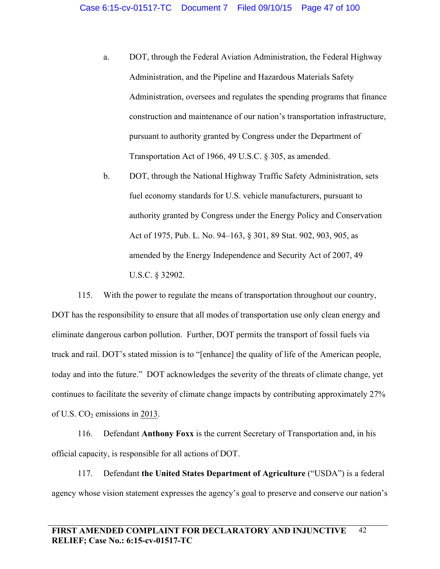- a. DOT, through the Federal Aviation Administration, the Federal Highway Administration, and the Pipeline and Hazardous Materials Safety Administration, oversees and regulates the spending programs that finance construction and maintenance of our nation's transportation infrastructure, pursuant to authority granted by Congress under the Department of Transportation Act of 1966, 49 U.S.C. § 305, as amended.
- b. DOT, through the National Highway Traffic Safety Administration, sets fuel economy standards for U.S. vehicle manufacturers, pursuant to authority granted by Congress under the Energy Policy and Conservation Act of 1975, Pub. L. No. 94–163, § 301, 89 Stat. 902, 903, 905, as amended by the Energy Independence and Security Act of 2007, 49 U.S.C. § 32902.

115. With the power to regulate the means of transportation throughout our country, DOT has the responsibility to ensure that all modes of transportation use only clean energy and eliminate dangerous carbon pollution. Further, DOT permits the transport of fossil fuels via truck and rail. DOT's stated mission is to "[enhance] the quality of life of the American people, today and into the future." DOT acknowledges the severity of the threats of climate change, yet continues to facilitate the severity of climate change impacts by contributing approximately 27% of U.S.  $CO<sub>2</sub>$  emissions in 2013.

116. Defendant **Anthony Foxx** is the current Secretary of Transportation and, in his official capacity, is responsible for all actions of DOT.

117. Defendant **the United States Department of Agriculture** ("USDA") is a federal agency whose vision statement expresses the agency's goal to preserve and conserve our nation's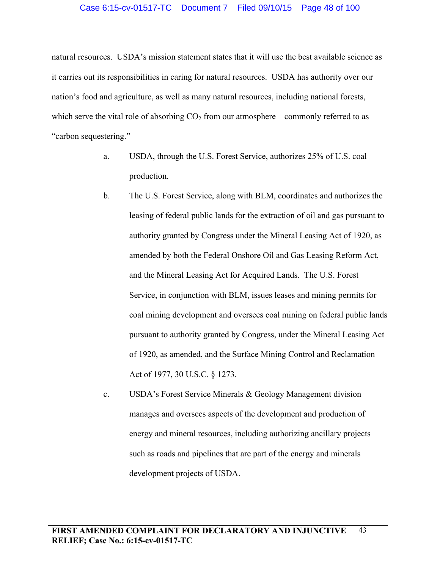natural resources. USDA's mission statement states that it will use the best available science as it carries out its responsibilities in caring for natural resources. USDA has authority over our nation's food and agriculture, as well as many natural resources, including national forests, which serve the vital role of absorbing  $CO<sub>2</sub>$  from our atmosphere—commonly referred to as "carbon sequestering."

- a. USDA, through the U.S. Forest Service, authorizes 25% of U.S. coal production.
- b. The U.S. Forest Service, along with BLM, coordinates and authorizes the leasing of federal public lands for the extraction of oil and gas pursuant to authority granted by Congress under the Mineral Leasing Act of 1920, as amended by both the Federal Onshore Oil and Gas Leasing Reform Act, and the Mineral Leasing Act for Acquired Lands. The U.S. Forest Service, in conjunction with BLM, issues leases and mining permits for coal mining development and oversees coal mining on federal public lands pursuant to authority granted by Congress, under the Mineral Leasing Act of 1920, as amended, and the Surface Mining Control and Reclamation Act of 1977, 30 U.S.C. § 1273.
- c. USDA's Forest Service Minerals & Geology Management division manages and oversees aspects of the development and production of energy and mineral resources, including authorizing ancillary projects such as roads and pipelines that are part of the energy and minerals development projects of USDA.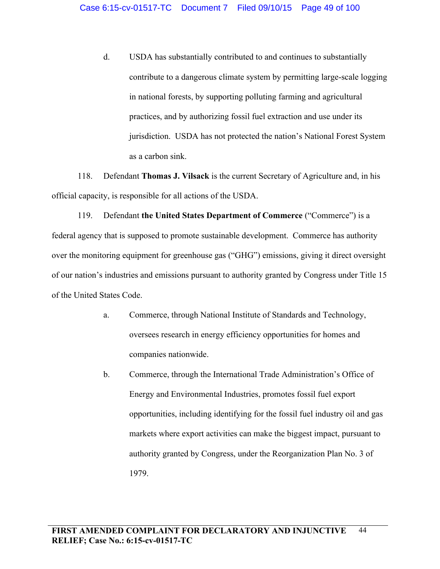d. USDA has substantially contributed to and continues to substantially contribute to a dangerous climate system by permitting large-scale logging in national forests, by supporting polluting farming and agricultural practices, and by authorizing fossil fuel extraction and use under its jurisdiction. USDA has not protected the nation's National Forest System as a carbon sink.

118. Defendant **Thomas J. Vilsack** is the current Secretary of Agriculture and, in his official capacity, is responsible for all actions of the USDA.

119. Defendant **the United States Department of Commerce** ("Commerce") is a federal agency that is supposed to promote sustainable development. Commerce has authority over the monitoring equipment for greenhouse gas ("GHG") emissions, giving it direct oversight of our nation's industries and emissions pursuant to authority granted by Congress under Title 15 of the United States Code.

- a. Commerce, through National Institute of Standards and Technology, oversees research in energy efficiency opportunities for homes and companies nationwide.
- b. Commerce, through the International Trade Administration's Office of Energy and Environmental Industries, promotes fossil fuel export opportunities, including identifying for the fossil fuel industry oil and gas markets where export activities can make the biggest impact, pursuant to authority granted by Congress, under the Reorganization Plan No. 3 of 1979.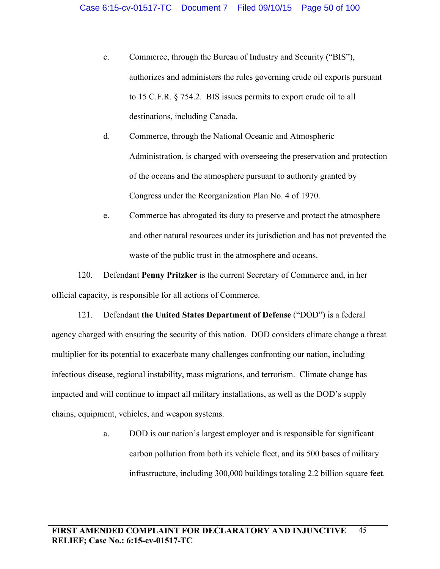- c. Commerce, through the Bureau of Industry and Security ("BIS"), authorizes and administers the rules governing crude oil exports pursuant to 15 C.F.R. § 754.2. BIS issues permits to export crude oil to all destinations, including Canada.
- d. Commerce, through the National Oceanic and Atmospheric Administration, is charged with overseeing the preservation and protection of the oceans and the atmosphere pursuant to authority granted by Congress under the Reorganization Plan No. 4 of 1970.
- e. Commerce has abrogated its duty to preserve and protect the atmosphere and other natural resources under its jurisdiction and has not prevented the waste of the public trust in the atmosphere and oceans.

120. Defendant **Penny Pritzker** is the current Secretary of Commerce and, in her official capacity, is responsible for all actions of Commerce.

121. Defendant **the United States Department of Defense** ("DOD") is a federal agency charged with ensuring the security of this nation. DOD considers climate change a threat multiplier for its potential to exacerbate many challenges confronting our nation, including infectious disease, regional instability, mass migrations, and terrorism. Climate change has impacted and will continue to impact all military installations, as well as the DOD's supply chains, equipment, vehicles, and weapon systems.

> a. DOD is our nation's largest employer and is responsible for significant carbon pollution from both its vehicle fleet, and its 500 bases of military infrastructure, including 300,000 buildings totaling 2.2 billion square feet.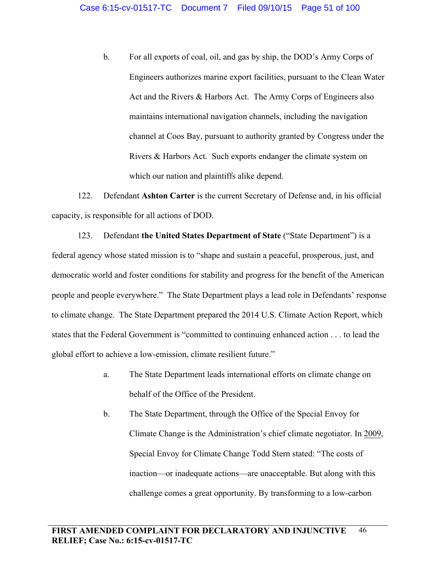b. For all exports of coal, oil, and gas by ship, the DOD's Army Corps of Engineers authorizes marine export facilities, pursuant to the Clean Water Act and the Rivers & Harbors Act. The Army Corps of Engineers also maintains international navigation channels, including the navigation channel at Coos Bay, pursuant to authority granted by Congress under the Rivers & Harbors Act. Such exports endanger the climate system on which our nation and plaintiffs alike depend.

122. Defendant **Ashton Carter** is the current Secretary of Defense and, in his official capacity, is responsible for all actions of DOD.

123. Defendant **the United States Department of State** ("State Department") is a federal agency whose stated mission is to "shape and sustain a peaceful, prosperous, just, and democratic world and foster conditions for stability and progress for the benefit of the American people and people everywhere." The State Department plays a lead role in Defendants' response to climate change. The State Department prepared the 2014 U.S. Climate Action Report, which states that the Federal Government is "committed to continuing enhanced action . . . to lead the global effort to achieve a low-emission, climate resilient future."

- a. The State Department leads international efforts on climate change on behalf of the Office of the President.
- b. The State Department, through the Office of the Special Envoy for Climate Change is the Administration's chief climate negotiator. In 2009, Special Envoy for Climate Change Todd Stern stated: "The costs of inaction—or inadequate actions—are unacceptable. But along with this challenge comes a great opportunity. By transforming to a low-carbon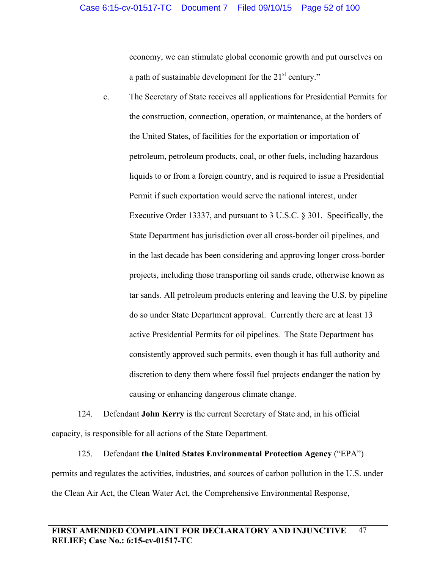economy, we can stimulate global economic growth and put ourselves on a path of sustainable development for the  $21<sup>st</sup>$  century."

c. The Secretary of State receives all applications for Presidential Permits for the construction, connection, operation, or maintenance, at the borders of the United States, of facilities for the exportation or importation of petroleum, petroleum products, coal, or other fuels, including hazardous liquids to or from a foreign country, and is required to issue a Presidential Permit if such exportation would serve the national interest, under Executive Order 13337, and pursuant to 3 U.S.C. § 301. Specifically, the State Department has jurisdiction over all cross-border oil pipelines, and in the last decade has been considering and approving longer cross-border projects, including those transporting oil sands crude, otherwise known as tar sands. All petroleum products entering and leaving the U.S. by pipeline do so under State Department approval. Currently there are at least 13 active Presidential Permits for oil pipelines. The State Department has consistently approved such permits, even though it has full authority and discretion to deny them where fossil fuel projects endanger the nation by causing or enhancing dangerous climate change.

124. Defendant **John Kerry** is the current Secretary of State and, in his official capacity, is responsible for all actions of the State Department.

125. Defendant **the United States Environmental Protection Agency** ("EPA") permits and regulates the activities, industries, and sources of carbon pollution in the U.S. under the Clean Air Act, the Clean Water Act, the Comprehensive Environmental Response,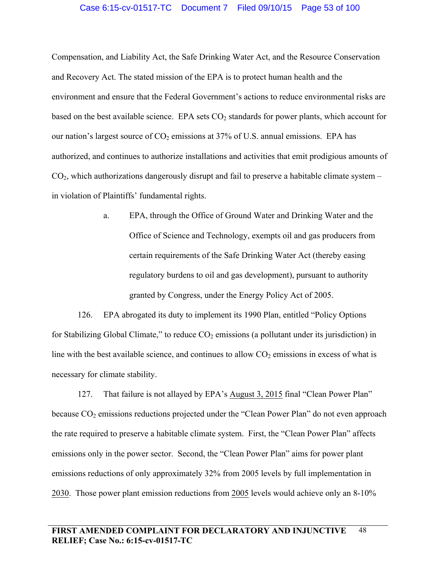### Case 6:15-cv-01517-TC Document 7 Filed 09/10/15 Page 53 of 100

Compensation, and Liability Act, the Safe Drinking Water Act, and the Resource Conservation and Recovery Act. The stated mission of the EPA is to protect human health and the environment and ensure that the Federal Government's actions to reduce environmental risks are based on the best available science. EPA sets  $CO<sub>2</sub>$  standards for power plants, which account for our nation's largest source of  $CO_2$  emissions at 37% of U.S. annual emissions. EPA has authorized, and continues to authorize installations and activities that emit prodigious amounts of  $CO<sub>2</sub>$ , which authorizations dangerously disrupt and fail to preserve a habitable climate system – in violation of Plaintiffs' fundamental rights.

> a. EPA, through the Office of Ground Water and Drinking Water and the Office of Science and Technology, exempts oil and gas producers from certain requirements of the Safe Drinking Water Act (thereby easing regulatory burdens to oil and gas development), pursuant to authority granted by Congress, under the Energy Policy Act of 2005.

126. EPA abrogated its duty to implement its 1990 Plan, entitled "Policy Options for Stabilizing Global Climate," to reduce  $CO<sub>2</sub>$  emissions (a pollutant under its jurisdiction) in line with the best available science, and continues to allow  $CO<sub>2</sub>$  emissions in excess of what is necessary for climate stability.

127. That failure is not allayed by EPA's August 3, 2015 final "Clean Power Plan" because  $CO<sub>2</sub>$  emissions reductions projected under the "Clean Power Plan" do not even approach the rate required to preserve a habitable climate system. First, the "Clean Power Plan" affects emissions only in the power sector. Second, the "Clean Power Plan" aims for power plant emissions reductions of only approximately 32% from 2005 levels by full implementation in 2030. Those power plant emission reductions from 2005 levels would achieve only an 8-10%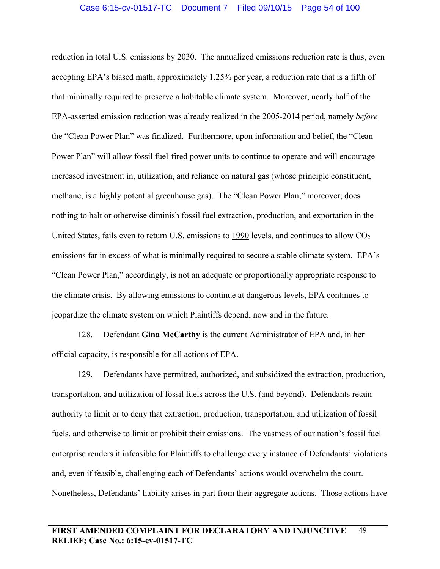reduction in total U.S. emissions by 2030. The annualized emissions reduction rate is thus, even accepting EPA's biased math, approximately 1.25% per year, a reduction rate that is a fifth of that minimally required to preserve a habitable climate system. Moreover, nearly half of the EPA-asserted emission reduction was already realized in the 2005-2014 period, namely *before* the "Clean Power Plan" was finalized. Furthermore, upon information and belief, the "Clean Power Plan" will allow fossil fuel-fired power units to continue to operate and will encourage increased investment in, utilization, and reliance on natural gas (whose principle constituent, methane, is a highly potential greenhouse gas). The "Clean Power Plan," moreover, does nothing to halt or otherwise diminish fossil fuel extraction, production, and exportation in the United States, fails even to return U.S. emissions to 1990 levels, and continues to allow  $CO<sub>2</sub>$ emissions far in excess of what is minimally required to secure a stable climate system. EPA's "Clean Power Plan," accordingly, is not an adequate or proportionally appropriate response to the climate crisis. By allowing emissions to continue at dangerous levels, EPA continues to jeopardize the climate system on which Plaintiffs depend, now and in the future.

128. Defendant **Gina McCarthy** is the current Administrator of EPA and, in her official capacity, is responsible for all actions of EPA.

129. Defendants have permitted, authorized, and subsidized the extraction, production, transportation, and utilization of fossil fuels across the U.S. (and beyond). Defendants retain authority to limit or to deny that extraction, production, transportation, and utilization of fossil fuels, and otherwise to limit or prohibit their emissions. The vastness of our nation's fossil fuel enterprise renders it infeasible for Plaintiffs to challenge every instance of Defendants' violations and, even if feasible, challenging each of Defendants' actions would overwhelm the court. Nonetheless, Defendants' liability arises in part from their aggregate actions. Those actions have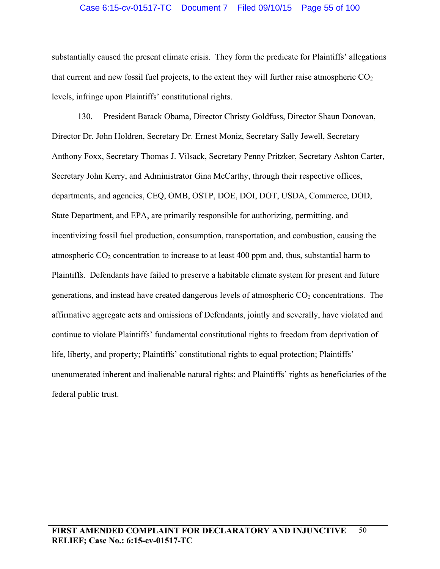### Case 6:15-cv-01517-TC Document 7 Filed 09/10/15 Page 55 of 100

substantially caused the present climate crisis. They form the predicate for Plaintiffs' allegations that current and new fossil fuel projects, to the extent they will further raise atmospheric  $CO<sub>2</sub>$ levels, infringe upon Plaintiffs' constitutional rights.

130. President Barack Obama, Director Christy Goldfuss, Director Shaun Donovan, Director Dr. John Holdren, Secretary Dr. Ernest Moniz, Secretary Sally Jewell, Secretary Anthony Foxx, Secretary Thomas J. Vilsack, Secretary Penny Pritzker, Secretary Ashton Carter, Secretary John Kerry, and Administrator Gina McCarthy, through their respective offices, departments, and agencies, CEQ, OMB, OSTP, DOE, DOI, DOT, USDA, Commerce, DOD, State Department, and EPA, are primarily responsible for authorizing, permitting, and incentivizing fossil fuel production, consumption, transportation, and combustion, causing the atmospheric  $CO<sub>2</sub>$  concentration to increase to at least 400 ppm and, thus, substantial harm to Plaintiffs. Defendants have failed to preserve a habitable climate system for present and future generations, and instead have created dangerous levels of atmospheric  $CO<sub>2</sub>$  concentrations. The affirmative aggregate acts and omissions of Defendants, jointly and severally, have violated and continue to violate Plaintiffs' fundamental constitutional rights to freedom from deprivation of life, liberty, and property; Plaintiffs' constitutional rights to equal protection; Plaintiffs' unenumerated inherent and inalienable natural rights; and Plaintiffs' rights as beneficiaries of the federal public trust.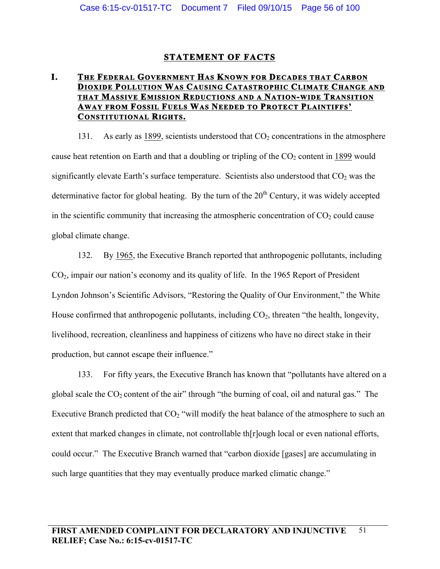# **STATEMENT OF FACTS**

# **I. THE FEDERAL GOVERNMENT HAS KNOWN FOR DECADES THAT CARBON DIOXIDE POLLUTION WAS CAUSING CATASTROPHIC CLIMATE CHANGE AND THAT MASSIVE EMISSION REDUCTIONS AND A NATION-WIDE TRANSITION AWAY FROM FOSSIL FUELS WAS NEEDED TO PROTECT PLAINTIFFS' CONSTITUTIONAL RIGHTS.**

131. As early as 1899, scientists understood that  $CO<sub>2</sub>$  concentrations in the atmosphere cause heat retention on Earth and that a doubling or tripling of the  $CO<sub>2</sub>$  content in 1899 would significantly elevate Earth's surface temperature. Scientists also understood that  $CO<sub>2</sub>$  was the determinative factor for global heating. By the turn of the  $20<sup>th</sup>$  Century, it was widely accepted in the scientific community that increasing the atmospheric concentration of  $CO<sub>2</sub>$  could cause global climate change.

132. By 1965, the Executive Branch reported that anthropogenic pollutants, including CO2, impair our nation's economy and its quality of life. In the 1965 Report of President Lyndon Johnson's Scientific Advisors, "Restoring the Quality of Our Environment," the White House confirmed that anthropogenic pollutants, including  $CO<sub>2</sub>$ , threaten "the health, longevity, livelihood, recreation, cleanliness and happiness of citizens who have no direct stake in their production, but cannot escape their influence."

133. For fifty years, the Executive Branch has known that "pollutants have altered on a global scale the  $CO_2$  content of the air" through "the burning of coal, oil and natural gas." The Executive Branch predicted that  $CO<sub>2</sub>$  "will modify the heat balance of the atmosphere to such an extent that marked changes in climate, not controllable th[r]ough local or even national efforts, could occur." The Executive Branch warned that "carbon dioxide [gases] are accumulating in such large quantities that they may eventually produce marked climatic change."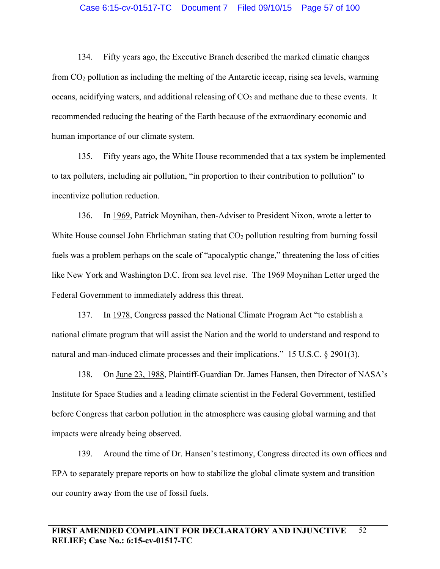### Case 6:15-cv-01517-TC Document 7 Filed 09/10/15 Page 57 of 100

134. Fifty years ago, the Executive Branch described the marked climatic changes from  $CO<sub>2</sub>$  pollution as including the melting of the Antarctic icecap, rising sea levels, warming oceans, acidifying waters, and additional releasing of  $CO<sub>2</sub>$  and methane due to these events. It recommended reducing the heating of the Earth because of the extraordinary economic and human importance of our climate system.

135. Fifty years ago, the White House recommended that a tax system be implemented to tax polluters, including air pollution, "in proportion to their contribution to pollution" to incentivize pollution reduction.

136. In 1969, Patrick Moynihan, then-Adviser to President Nixon, wrote a letter to White House counsel John Ehrlichman stating that  $CO<sub>2</sub>$  pollution resulting from burning fossil fuels was a problem perhaps on the scale of "apocalyptic change," threatening the loss of cities like New York and Washington D.C. from sea level rise. The 1969 Moynihan Letter urged the Federal Government to immediately address this threat.

137. In 1978, Congress passed the National Climate Program Act "to establish a national climate program that will assist the Nation and the world to understand and respond to natural and man-induced climate processes and their implications." 15 U.S.C. § 2901(3).

138. On June 23, 1988, Plaintiff-Guardian Dr. James Hansen, then Director of NASA's Institute for Space Studies and a leading climate scientist in the Federal Government, testified before Congress that carbon pollution in the atmosphere was causing global warming and that impacts were already being observed.

139. Around the time of Dr. Hansen's testimony, Congress directed its own offices and EPA to separately prepare reports on how to stabilize the global climate system and transition our country away from the use of fossil fuels.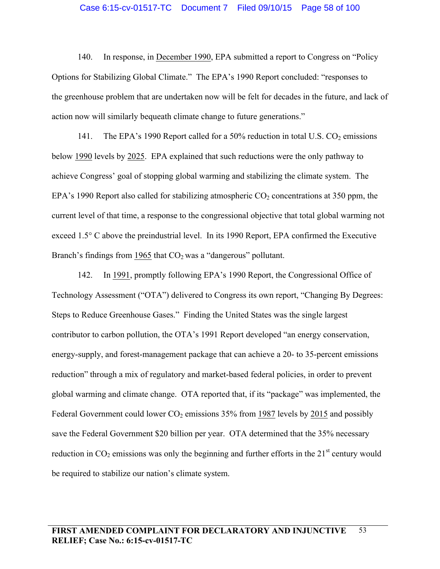#### Case 6:15-cv-01517-TC Document 7 Filed 09/10/15 Page 58 of 100

140. In response, in December 1990, EPA submitted a report to Congress on "Policy Options for Stabilizing Global Climate." The EPA's 1990 Report concluded: "responses to the greenhouse problem that are undertaken now will be felt for decades in the future, and lack of action now will similarly bequeath climate change to future generations."

141. The EPA's 1990 Report called for a 50% reduction in total U.S.  $CO_2$  emissions below 1990 levels by 2025. EPA explained that such reductions were the only pathway to achieve Congress' goal of stopping global warming and stabilizing the climate system. The EPA's 1990 Report also called for stabilizing atmospheric  $CO_2$  concentrations at 350 ppm, the current level of that time, a response to the congressional objective that total global warming not exceed 1.5° C above the preindustrial level. In its 1990 Report, EPA confirmed the Executive Branch's findings from 1965 that  $CO<sub>2</sub>$  was a "dangerous" pollutant.

142. In 1991, promptly following EPA's 1990 Report, the Congressional Office of Technology Assessment ("OTA") delivered to Congress its own report, "Changing By Degrees: Steps to Reduce Greenhouse Gases." Finding the United States was the single largest contributor to carbon pollution, the OTA's 1991 Report developed "an energy conservation, energy-supply, and forest-management package that can achieve a 20- to 35-percent emissions reduction" through a mix of regulatory and market-based federal policies, in order to prevent global warming and climate change. OTA reported that, if its "package" was implemented, the Federal Government could lower  $CO<sub>2</sub>$  emissions 35% from 1987 levels by 2015 and possibly save the Federal Government \$20 billion per year. OTA determined that the 35% necessary reduction in  $CO_2$  emissions was only the beginning and further efforts in the  $21<sup>st</sup>$  century would be required to stabilize our nation's climate system.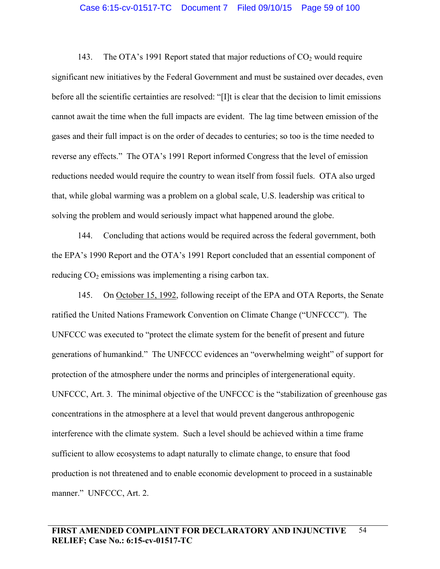143. The OTA's 1991 Report stated that major reductions of  $CO<sub>2</sub>$  would require significant new initiatives by the Federal Government and must be sustained over decades, even before all the scientific certainties are resolved: "[I]t is clear that the decision to limit emissions cannot await the time when the full impacts are evident. The lag time between emission of the gases and their full impact is on the order of decades to centuries; so too is the time needed to reverse any effects." The OTA's 1991 Report informed Congress that the level of emission reductions needed would require the country to wean itself from fossil fuels. OTA also urged that, while global warming was a problem on a global scale, U.S. leadership was critical to solving the problem and would seriously impact what happened around the globe.

144. Concluding that actions would be required across the federal government, both the EPA's 1990 Report and the OTA's 1991 Report concluded that an essential component of reducing  $CO<sub>2</sub>$  emissions was implementing a rising carbon tax.

145. On October 15, 1992, following receipt of the EPA and OTA Reports, the Senate ratified the United Nations Framework Convention on Climate Change ("UNFCCC"). The UNFCCC was executed to "protect the climate system for the benefit of present and future generations of humankind." The UNFCCC evidences an "overwhelming weight" of support for protection of the atmosphere under the norms and principles of intergenerational equity. UNFCCC, Art. 3. The minimal objective of the UNFCCC is the "stabilization of greenhouse gas concentrations in the atmosphere at a level that would prevent dangerous anthropogenic interference with the climate system. Such a level should be achieved within a time frame sufficient to allow ecosystems to adapt naturally to climate change, to ensure that food production is not threatened and to enable economic development to proceed in a sustainable manner." UNFCCC, Art. 2.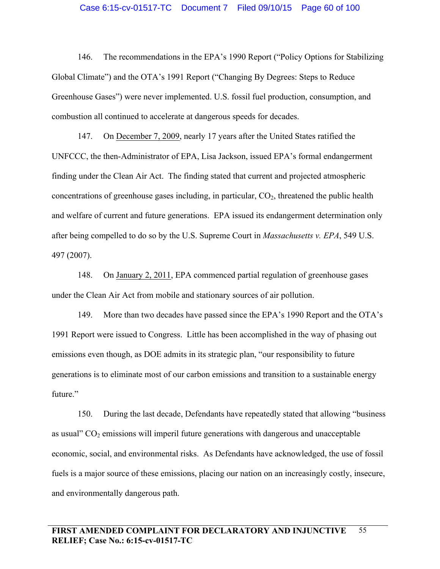#### Case 6:15-cv-01517-TC Document 7 Filed 09/10/15 Page 60 of 100

146. The recommendations in the EPA's 1990 Report ("Policy Options for Stabilizing Global Climate") and the OTA's 1991 Report ("Changing By Degrees: Steps to Reduce Greenhouse Gases") were never implemented. U.S. fossil fuel production, consumption, and combustion all continued to accelerate at dangerous speeds for decades.

147. On December 7, 2009, nearly 17 years after the United States ratified the UNFCCC, the then-Administrator of EPA, Lisa Jackson, issued EPA's formal endangerment finding under the Clean Air Act. The finding stated that current and projected atmospheric concentrations of greenhouse gases including, in particular,  $CO<sub>2</sub>$ , threatened the public health and welfare of current and future generations. EPA issued its endangerment determination only after being compelled to do so by the U.S. Supreme Court in *Massachusetts v. EPA*, 549 U.S. 497 (2007).

148. On January 2, 2011, EPA commenced partial regulation of greenhouse gases under the Clean Air Act from mobile and stationary sources of air pollution.

149. More than two decades have passed since the EPA's 1990 Report and the OTA's 1991 Report were issued to Congress. Little has been accomplished in the way of phasing out emissions even though, as DOE admits in its strategic plan, "our responsibility to future generations is to eliminate most of our carbon emissions and transition to a sustainable energy future."

150. During the last decade, Defendants have repeatedly stated that allowing "business as usual"  $CO<sub>2</sub>$  emissions will imperil future generations with dangerous and unacceptable economic, social, and environmental risks. As Defendants have acknowledged, the use of fossil fuels is a major source of these emissions, placing our nation on an increasingly costly, insecure, and environmentally dangerous path.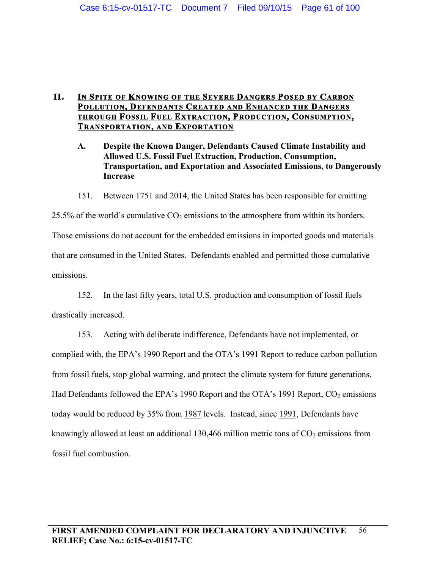# **II. IN SPITE OF KNOWING OF THE SEVERE DANGERS POSED BY CARBON POLLUTION, DEFENDANTS CREATED AND ENHANCED THE DANGERS THROUGH FOSSIL FUEL EXTRACTION, PRODUCTION, CONSUMPTION, TRANSPORTATION, AND EXPORTATION**

- **A. Despite the Known Danger, Defendants Caused Climate Instability and Allowed U.S. Fossil Fuel Extraction, Production, Consumption, Transportation, and Exportation and Associated Emissions, to Dangerously Increase**
- 151. Between 1751 and 2014, the United States has been responsible for emitting

25.5% of the world's cumulative  $CO_2$  emissions to the atmosphere from within its borders. Those emissions do not account for the embedded emissions in imported goods and materials that are consumed in the United States. Defendants enabled and permitted those cumulative emissions.

152. In the last fifty years, total U.S. production and consumption of fossil fuels drastically increased.

153. Acting with deliberate indifference, Defendants have not implemented, or complied with, the EPA's 1990 Report and the OTA's 1991 Report to reduce carbon pollution from fossil fuels, stop global warming, and protect the climate system for future generations. Had Defendants followed the EPA's 1990 Report and the OTA's 1991 Report,  $CO_2$  emissions today would be reduced by 35% from 1987 levels. Instead, since 1991, Defendants have knowingly allowed at least an additional 130,466 million metric tons of  $CO<sub>2</sub>$  emissions from fossil fuel combustion.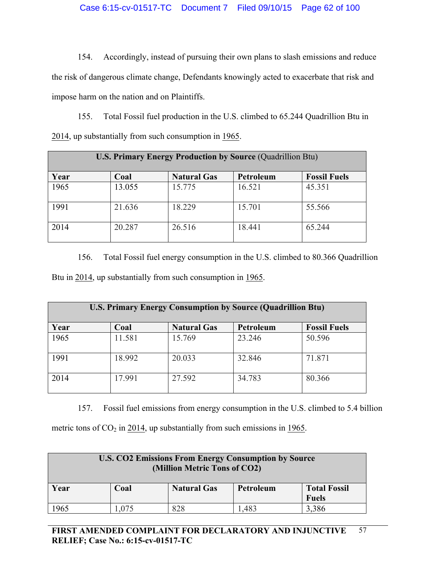154. Accordingly, instead of pursuing their own plans to slash emissions and reduce the risk of dangerous climate change, Defendants knowingly acted to exacerbate that risk and impose harm on the nation and on Plaintiffs.

155. Total Fossil fuel production in the U.S. climbed to 65.244 Quadrillion Btu in 2014, up substantially from such consumption in 1965.

| <b>U.S. Primary Energy Production by Source (Quadrillion Btu)</b> |        |                    |           |                     |
|-------------------------------------------------------------------|--------|--------------------|-----------|---------------------|
| Year                                                              | Coal   | <b>Natural Gas</b> | Petroleum | <b>Fossil Fuels</b> |
| 1965                                                              | 13.055 | 15.775             | 16.521    | 45.351              |
| 1991                                                              | 21.636 | 18.229             | 15.701    | 55.566              |
| 2014                                                              | 20.287 | 26.516             | 18.441    | 65.244              |

156. Total Fossil fuel energy consumption in the U.S. climbed to 80.366 Quadrillion Btu in 2014, up substantially from such consumption in 1965.

| <b>U.S. Primary Energy Consumption by Source (Quadrillion Btu)</b> |        |                    |           |                     |
|--------------------------------------------------------------------|--------|--------------------|-----------|---------------------|
| Year                                                               | Coal   | <b>Natural Gas</b> | Petroleum | <b>Fossil Fuels</b> |
| 1965                                                               | 11.581 | 15.769             | 23.246    | 50.596              |
| 1991                                                               | 18.992 | 20.033             | 32.846    | 71.871              |
| 2014                                                               | 17.991 | 27.592             | 34.783    | 80.366              |

157. Fossil fuel emissions from energy consumption in the U.S. climbed to 5.4 billion

metric tons of  $CO<sub>2</sub>$  in 2014, up substantially from such emissions in 1965.

| <b>U.S. CO2 Emissions From Energy Consumption by Source</b><br>(Million Metric Tons of CO2) |       |                    |           |                     |
|---------------------------------------------------------------------------------------------|-------|--------------------|-----------|---------------------|
| Year                                                                                        | Coal  | <b>Natural Gas</b> | Petroleum | <b>Total Fossil</b> |
|                                                                                             |       |                    |           | <b>Fuels</b>        |
| 1965                                                                                        | 1,075 | 828                | .483      | 3,386               |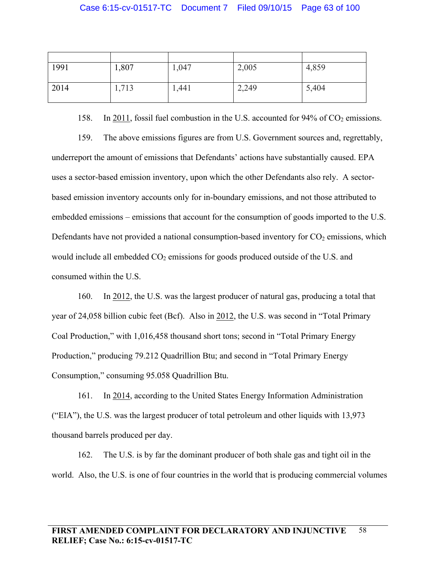| 1991 | 1,807 | 1,047 | 2,005 | 4,859 |
|------|-------|-------|-------|-------|
| 2014 | 1,713 | 1,441 | 2,249 | 5,404 |

158. In 2011, fossil fuel combustion in the U.S. accounted for  $94\%$  of  $CO<sub>2</sub>$  emissions.

159. The above emissions figures are from U.S. Government sources and, regrettably, underreport the amount of emissions that Defendants' actions have substantially caused. EPA uses a sector-based emission inventory, upon which the other Defendants also rely. A sectorbased emission inventory accounts only for in-boundary emissions, and not those attributed to embedded emissions – emissions that account for the consumption of goods imported to the U.S. Defendants have not provided a national consumption-based inventory for  $CO<sub>2</sub>$  emissions, which would include all embedded  $CO<sub>2</sub>$  emissions for goods produced outside of the U.S. and consumed within the U.S.

160. In 2012, the U.S. was the largest producer of natural gas, producing a total that year of 24,058 billion cubic feet (Bcf). Also in 2012, the U.S. was second in "Total Primary Coal Production," with 1,016,458 thousand short tons; second in "Total Primary Energy Production," producing 79.212 Quadrillion Btu; and second in "Total Primary Energy Consumption," consuming 95.058 Quadrillion Btu.

161. In 2014, according to the United States Energy Information Administration ("EIA"), the U.S. was the largest producer of total petroleum and other liquids with 13,973 thousand barrels produced per day.

162. The U.S. is by far the dominant producer of both shale gas and tight oil in the world. Also, the U.S. is one of four countries in the world that is producing commercial volumes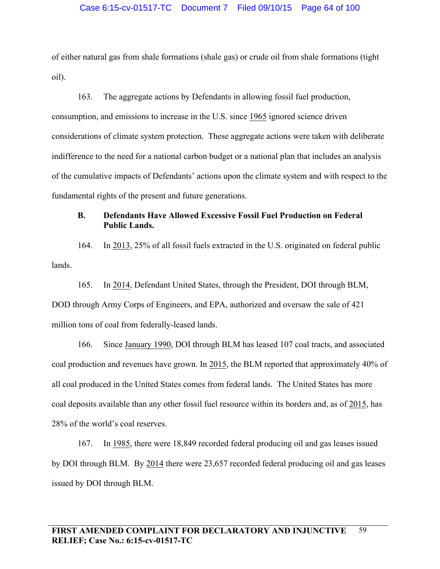of either natural gas from shale formations (shale gas) or crude oil from shale formations (tight oil).

163. The aggregate actions by Defendants in allowing fossil fuel production, consumption, and emissions to increase in the U.S. since 1965 ignored science driven considerations of climate system protection. These aggregate actions were taken with deliberate indifference to the need for a national carbon budget or a national plan that includes an analysis of the cumulative impacts of Defendants' actions upon the climate system and with respect to the fundamental rights of the present and future generations.

# **B. Defendants Have Allowed Excessive Fossil Fuel Production on Federal Public Lands.**

164. In 2013, 25% of all fossil fuels extracted in the U.S. originated on federal public lands.

165. In 2014, Defendant United States, through the President, DOI through BLM, DOD through Army Corps of Engineers, and EPA, authorized and oversaw the sale of 421 million tons of coal from federally-leased lands.

166. Since January 1990, DOI through BLM has leased 107 coal tracts, and associated coal production and revenues have grown. In 2015, the BLM reported that approximately 40% of all coal produced in the United States comes from federal lands. The United States has more coal deposits available than any other fossil fuel resource within its borders and, as of 2015, has 28% of the world's coal reserves.

167. In 1985, there were 18,849 recorded federal producing oil and gas leases issued by DOI through BLM. By 2014 there were 23,657 recorded federal producing oil and gas leases issued by DOI through BLM.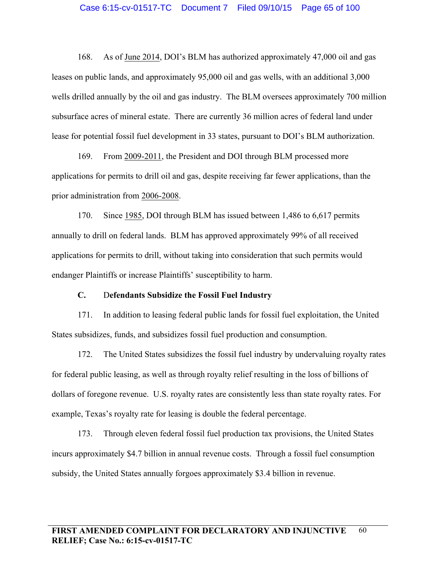168. As of June 2014, DOI's BLM has authorized approximately 47,000 oil and gas leases on public lands, and approximately 95,000 oil and gas wells, with an additional 3,000 wells drilled annually by the oil and gas industry. The BLM oversees approximately 700 million subsurface acres of mineral estate. There are currently 36 million acres of federal land under lease for potential fossil fuel development in 33 states, pursuant to DOI's BLM authorization.

169. From 2009-2011, the President and DOI through BLM processed more applications for permits to drill oil and gas, despite receiving far fewer applications, than the prior administration from 2006-2008.

170. Since 1985, DOI through BLM has issued between 1,486 to 6,617 permits annually to drill on federal lands. BLM has approved approximately 99% of all received applications for permits to drill, without taking into consideration that such permits would endanger Plaintiffs or increase Plaintiffs' susceptibility to harm.

## **C.** D**efendants Subsidize the Fossil Fuel Industry**

171. In addition to leasing federal public lands for fossil fuel exploitation, the United States subsidizes, funds, and subsidizes fossil fuel production and consumption.

172. The United States subsidizes the fossil fuel industry by undervaluing royalty rates for federal public leasing, as well as through royalty relief resulting in the loss of billions of dollars of foregone revenue. U.S. royalty rates are consistently less than state royalty rates. For example, Texas's royalty rate for leasing is double the federal percentage.

173. Through eleven federal fossil fuel production tax provisions, the United States incurs approximately \$4.7 billion in annual revenue costs. Through a fossil fuel consumption subsidy, the United States annually forgoes approximately \$3.4 billion in revenue.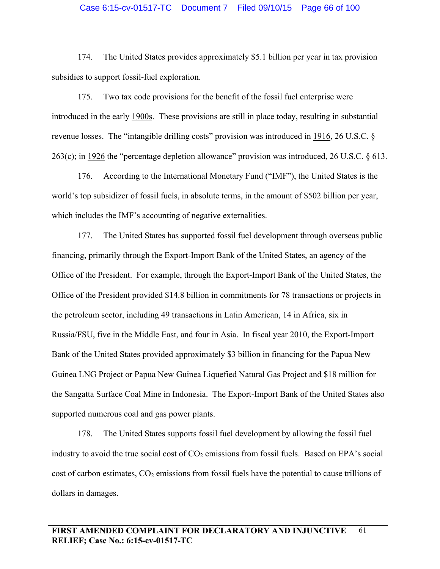### Case 6:15-cv-01517-TC Document 7 Filed 09/10/15 Page 66 of 100

174. The United States provides approximately \$5.1 billion per year in tax provision subsidies to support fossil-fuel exploration.

175. Two tax code provisions for the benefit of the fossil fuel enterprise were introduced in the early 1900s. These provisions are still in place today, resulting in substantial revenue losses. The "intangible drilling costs" provision was introduced in 1916, 26 U.S.C. § 263(c); in 1926 the "percentage depletion allowance" provision was introduced, 26 U.S.C. § 613.

176. According to the International Monetary Fund ("IMF"), the United States is the world's top subsidizer of fossil fuels, in absolute terms, in the amount of \$502 billion per year, which includes the IMF's accounting of negative externalities.

177. The United States has supported fossil fuel development through overseas public financing, primarily through the Export-Import Bank of the United States, an agency of the Office of the President. For example, through the Export-Import Bank of the United States, the Office of the President provided \$14.8 billion in commitments for 78 transactions or projects in the petroleum sector, including 49 transactions in Latin American, 14 in Africa, six in Russia/FSU, five in the Middle East, and four in Asia. In fiscal year 2010, the Export-Import Bank of the United States provided approximately \$3 billion in financing for the Papua New Guinea LNG Project or Papua New Guinea Liquefied Natural Gas Project and \$18 million for the Sangatta Surface Coal Mine in Indonesia. The Export-Import Bank of the United States also supported numerous coal and gas power plants.

178. The United States supports fossil fuel development by allowing the fossil fuel industry to avoid the true social cost of  $CO<sub>2</sub>$  emissions from fossil fuels. Based on EPA's social cost of carbon estimates,  $CO<sub>2</sub>$  emissions from fossil fuels have the potential to cause trillions of dollars in damages.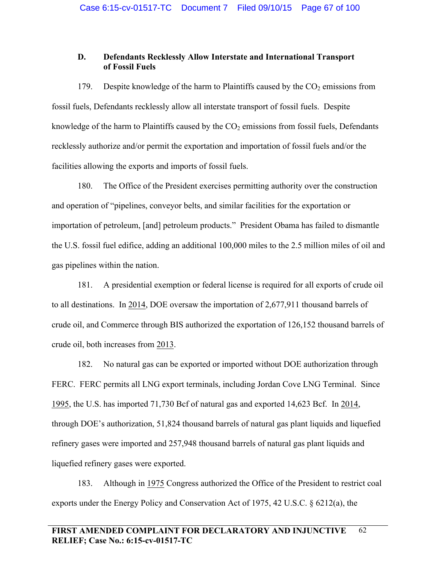# **D. Defendants Recklessly Allow Interstate and International Transport of Fossil Fuels**

179. Despite knowledge of the harm to Plaintiffs caused by the  $CO<sub>2</sub>$  emissions from fossil fuels, Defendants recklessly allow all interstate transport of fossil fuels. Despite knowledge of the harm to Plaintiffs caused by the  $CO<sub>2</sub>$  emissions from fossil fuels, Defendants recklessly authorize and/or permit the exportation and importation of fossil fuels and/or the facilities allowing the exports and imports of fossil fuels.

180. The Office of the President exercises permitting authority over the construction and operation of "pipelines, conveyor belts, and similar facilities for the exportation or importation of petroleum, [and] petroleum products." President Obama has failed to dismantle the U.S. fossil fuel edifice, adding an additional 100,000 miles to the 2.5 million miles of oil and gas pipelines within the nation.

181. A presidential exemption or federal license is required for all exports of crude oil to all destinations. In 2014, DOE oversaw the importation of 2,677,911 thousand barrels of crude oil, and Commerce through BIS authorized the exportation of 126,152 thousand barrels of crude oil, both increases from 2013.

182. No natural gas can be exported or imported without DOE authorization through FERC. FERC permits all LNG export terminals, including Jordan Cove LNG Terminal. Since 1995, the U.S. has imported 71,730 Bcf of natural gas and exported 14,623 Bcf. In 2014, through DOE's authorization, 51,824 thousand barrels of natural gas plant liquids and liquefied refinery gases were imported and 257,948 thousand barrels of natural gas plant liquids and liquefied refinery gases were exported.

183. Although in 1975 Congress authorized the Office of the President to restrict coal exports under the Energy Policy and Conservation Act of 1975, 42 U.S.C. § 6212(a), the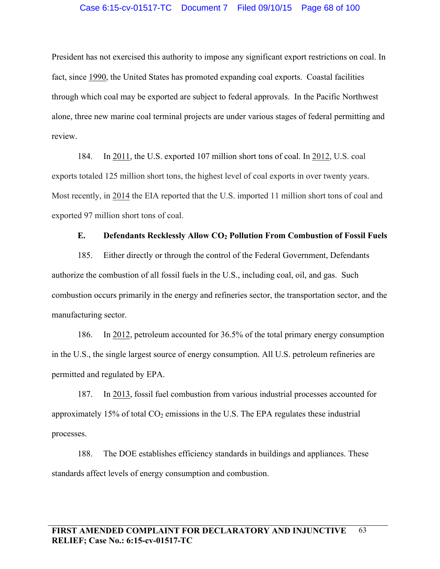### Case 6:15-cv-01517-TC Document 7 Filed 09/10/15 Page 68 of 100

President has not exercised this authority to impose any significant export restrictions on coal. In fact, since 1990, the United States has promoted expanding coal exports. Coastal facilities through which coal may be exported are subject to federal approvals. In the Pacific Northwest alone, three new marine coal terminal projects are under various stages of federal permitting and review.

184. In 2011, the U.S. exported 107 million short tons of coal. In 2012, U.S. coal exports totaled 125 million short tons, the highest level of coal exports in over twenty years. Most recently, in 2014 the EIA reported that the U.S. imported 11 million short tons of coal and exported 97 million short tons of coal.

## **E.** Defendants Recklessly Allow CO<sub>2</sub> Pollution From Combustion of Fossil Fuels

185. Either directly or through the control of the Federal Government, Defendants authorize the combustion of all fossil fuels in the U.S., including coal, oil, and gas. Such combustion occurs primarily in the energy and refineries sector, the transportation sector, and the manufacturing sector.

186. In 2012, petroleum accounted for 36.5% of the total primary energy consumption in the U.S., the single largest source of energy consumption. All U.S. petroleum refineries are permitted and regulated by EPA.

187. In 2013, fossil fuel combustion from various industrial processes accounted for approximately 15% of total  $CO<sub>2</sub>$  emissions in the U.S. The EPA regulates these industrial processes.

188. The DOE establishes efficiency standards in buildings and appliances. These standards affect levels of energy consumption and combustion.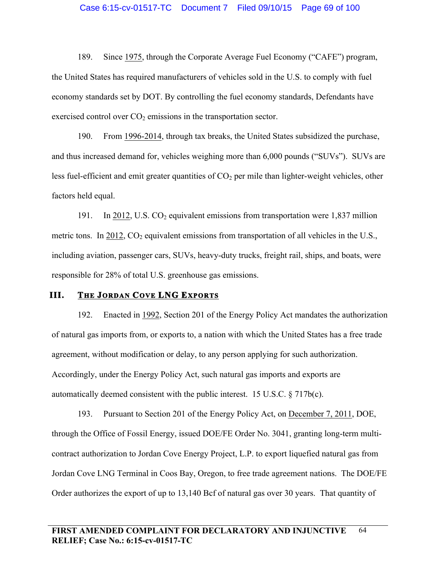189. Since 1975, through the Corporate Average Fuel Economy ("CAFE") program, the United States has required manufacturers of vehicles sold in the U.S. to comply with fuel economy standards set by DOT. By controlling the fuel economy standards, Defendants have exercised control over  $CO<sub>2</sub>$  emissions in the transportation sector.

190. From 1996-2014, through tax breaks, the United States subsidized the purchase, and thus increased demand for, vehicles weighing more than 6,000 pounds ("SUVs"). SUVs are less fuel-efficient and emit greater quantities of  $CO<sub>2</sub>$  per mile than lighter-weight vehicles, other factors held equal.

191. In 2012, U.S.  $CO<sub>2</sub>$  equivalent emissions from transportation were 1,837 million metric tons. In 2012,  $CO<sub>2</sub>$  equivalent emissions from transportation of all vehicles in the U.S., including aviation, passenger cars, SUVs, heavy-duty trucks, freight rail, ships, and boats, were responsible for 28% of total U.S. greenhouse gas emissions.

## **III. THE JORDAN COVE LNG EXPORTS**

192. Enacted in 1992, Section 201 of the Energy Policy Act mandates the authorization of natural gas imports from, or exports to, a nation with which the United States has a free trade agreement, without modification or delay, to any person applying for such authorization. Accordingly, under the Energy Policy Act, such natural gas imports and exports are automatically deemed consistent with the public interest. 15 U.S.C.  $\S$  717b(c).

193. Pursuant to Section 201 of the Energy Policy Act, on December 7, 2011, DOE, through the Office of Fossil Energy, issued DOE/FE Order No. 3041, granting long-term multicontract authorization to Jordan Cove Energy Project, L.P. to export liquefied natural gas from Jordan Cove LNG Terminal in Coos Bay, Oregon, to free trade agreement nations. The DOE/FE Order authorizes the export of up to 13,140 Bcf of natural gas over 30 years. That quantity of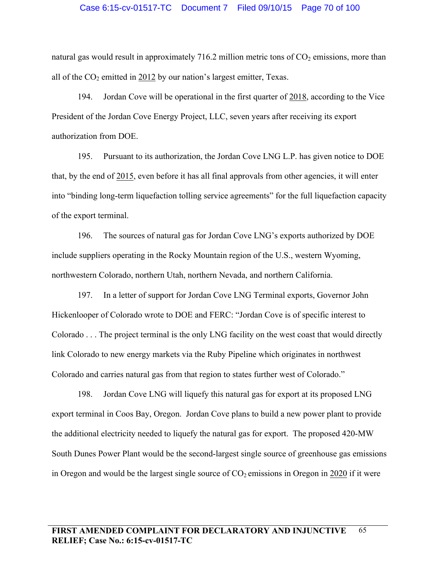#### Case 6:15-cv-01517-TC Document 7 Filed 09/10/15 Page 70 of 100

natural gas would result in approximately 716.2 million metric tons of  $CO<sub>2</sub>$  emissions, more than all of the  $CO<sub>2</sub>$  emitted in 2012 by our nation's largest emitter, Texas.

194. Jordan Cove will be operational in the first quarter of 2018, according to the Vice President of the Jordan Cove Energy Project, LLC, seven years after receiving its export authorization from DOE.

195. Pursuant to its authorization, the Jordan Cove LNG L.P. has given notice to DOE that, by the end of 2015, even before it has all final approvals from other agencies, it will enter into "binding long-term liquefaction tolling service agreements" for the full liquefaction capacity of the export terminal.

196. The sources of natural gas for Jordan Cove LNG's exports authorized by DOE include suppliers operating in the Rocky Mountain region of the U.S., western Wyoming, northwestern Colorado, northern Utah, northern Nevada, and northern California.

197. In a letter of support for Jordan Cove LNG Terminal exports, Governor John Hickenlooper of Colorado wrote to DOE and FERC: "Jordan Cove is of specific interest to Colorado . . . The project terminal is the only LNG facility on the west coast that would directly link Colorado to new energy markets via the Ruby Pipeline which originates in northwest Colorado and carries natural gas from that region to states further west of Colorado."

198. Jordan Cove LNG will liquefy this natural gas for export at its proposed LNG export terminal in Coos Bay, Oregon. Jordan Cove plans to build a new power plant to provide the additional electricity needed to liquefy the natural gas for export. The proposed 420-MW South Dunes Power Plant would be the second-largest single source of greenhouse gas emissions in Oregon and would be the largest single source of  $CO<sub>2</sub>$  emissions in Oregon in 2020 if it were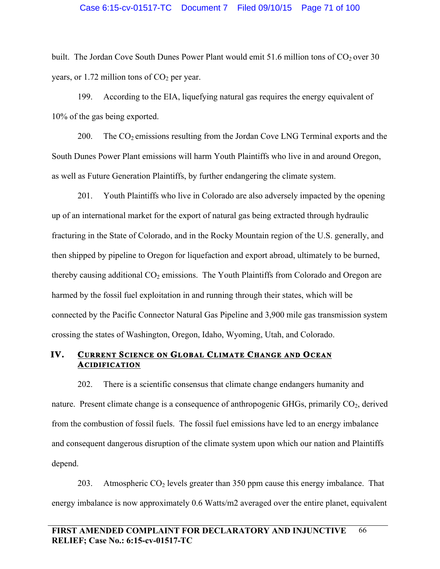### Case 6:15-cv-01517-TC Document 7 Filed 09/10/15 Page 71 of 100

built. The Jordan Cove South Dunes Power Plant would emit 51.6 million tons of  $CO<sub>2</sub>$  over 30 years, or 1.72 million tons of  $CO<sub>2</sub>$  per year.

199. According to the EIA, liquefying natural gas requires the energy equivalent of 10% of the gas being exported.

200. The  $CO<sub>2</sub>$  emissions resulting from the Jordan Cove LNG Terminal exports and the South Dunes Power Plant emissions will harm Youth Plaintiffs who live in and around Oregon, as well as Future Generation Plaintiffs, by further endangering the climate system.

201. Youth Plaintiffs who live in Colorado are also adversely impacted by the opening up of an international market for the export of natural gas being extracted through hydraulic fracturing in the State of Colorado, and in the Rocky Mountain region of the U.S. generally, and then shipped by pipeline to Oregon for liquefaction and export abroad, ultimately to be burned, thereby causing additional  $CO<sub>2</sub>$  emissions. The Youth Plaintiffs from Colorado and Oregon are harmed by the fossil fuel exploitation in and running through their states, which will be connected by the Pacific Connector Natural Gas Pipeline and 3,900 mile gas transmission system crossing the states of Washington, Oregon, Idaho, Wyoming, Utah, and Colorado.

# **IV. CURRENT SCIENCE ON GLOBAL CLIMATE CHANGE AND OCEAN ACIDIFICATION**

202. There is a scientific consensus that climate change endangers humanity and nature. Present climate change is a consequence of anthropogenic GHGs, primarily  $CO<sub>2</sub>$ , derived from the combustion of fossil fuels. The fossil fuel emissions have led to an energy imbalance and consequent dangerous disruption of the climate system upon which our nation and Plaintiffs depend.

203. Atmospheric  $CO<sub>2</sub>$  levels greater than 350 ppm cause this energy imbalance. That energy imbalance is now approximately 0.6 Watts/m2 averaged over the entire planet, equivalent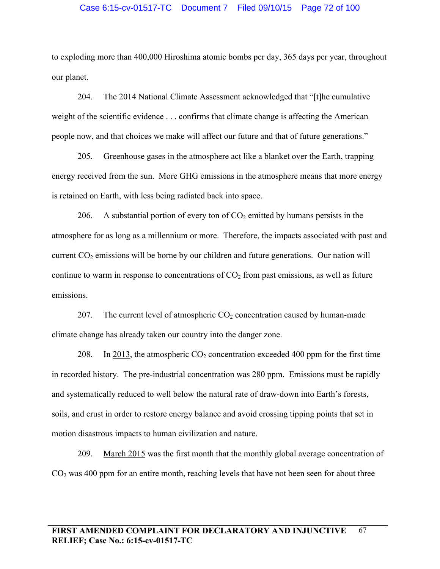### Case 6:15-cv-01517-TC Document 7 Filed 09/10/15 Page 72 of 100

to exploding more than 400,000 Hiroshima atomic bombs per day, 365 days per year, throughout our planet.

204. The 2014 National Climate Assessment acknowledged that "[t]he cumulative weight of the scientific evidence . . . confirms that climate change is affecting the American people now, and that choices we make will affect our future and that of future generations."

205. Greenhouse gases in the atmosphere act like a blanket over the Earth, trapping energy received from the sun. More GHG emissions in the atmosphere means that more energy is retained on Earth, with less being radiated back into space.

206. A substantial portion of every ton of  $CO<sub>2</sub>$  emitted by humans persists in the atmosphere for as long as a millennium or more. Therefore, the impacts associated with past and current  $CO<sub>2</sub>$  emissions will be borne by our children and future generations. Our nation will continue to warm in response to concentrations of  $CO<sub>2</sub>$  from past emissions, as well as future emissions.

207. The current level of atmospheric  $CO<sub>2</sub>$  concentration caused by human-made climate change has already taken our country into the danger zone.

208. In 2013, the atmospheric  $CO<sub>2</sub>$  concentration exceeded 400 ppm for the first time in recorded history. The pre-industrial concentration was 280 ppm. Emissions must be rapidly and systematically reduced to well below the natural rate of draw-down into Earth's forests, soils, and crust in order to restore energy balance and avoid crossing tipping points that set in motion disastrous impacts to human civilization and nature.

209. March 2015 was the first month that the monthly global average concentration of  $CO<sub>2</sub>$  was 400 ppm for an entire month, reaching levels that have not been seen for about three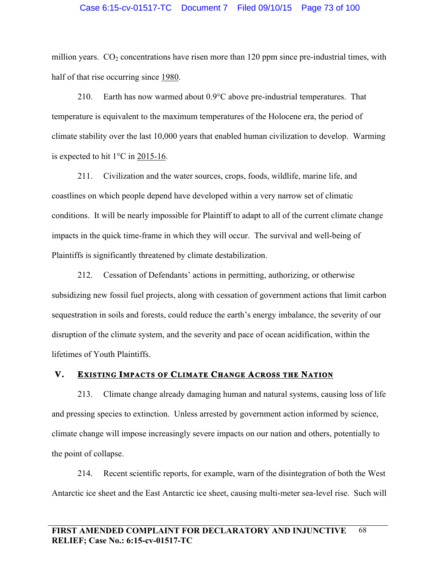## Case 6:15-cv-01517-TC Document 7 Filed 09/10/15 Page 73 of 100

million years.  $CO<sub>2</sub>$  concentrations have risen more than 120 ppm since pre-industrial times, with half of that rise occurring since 1980.

210. Earth has now warmed about 0.9°C above pre-industrial temperatures. That temperature is equivalent to the maximum temperatures of the Holocene era, the period of climate stability over the last 10,000 years that enabled human civilization to develop. Warming is expected to hit 1°C in 2015-16.

211. Civilization and the water sources, crops, foods, wildlife, marine life, and coastlines on which people depend have developed within a very narrow set of climatic conditions. It will be nearly impossible for Plaintiff to adapt to all of the current climate change impacts in the quick time-frame in which they will occur. The survival and well-being of Plaintiffs is significantly threatened by climate destabilization.

212. Cessation of Defendants' actions in permitting, authorizing, or otherwise subsidizing new fossil fuel projects, along with cessation of government actions that limit carbon sequestration in soils and forests, could reduce the earth's energy imbalance, the severity of our disruption of the climate system, and the severity and pace of ocean acidification, within the lifetimes of Youth Plaintiffs.

# **V. EXISTING IMPACTS OF CLIMATE CHANGE ACROSS THE NATION**

213. Climate change already damaging human and natural systems, causing loss of life and pressing species to extinction. Unless arrested by government action informed by science, climate change will impose increasingly severe impacts on our nation and others, potentially to the point of collapse.

214. Recent scientific reports, for example, warn of the disintegration of both the West Antarctic ice sheet and the East Antarctic ice sheet, causing multi-meter sea-level rise. Such will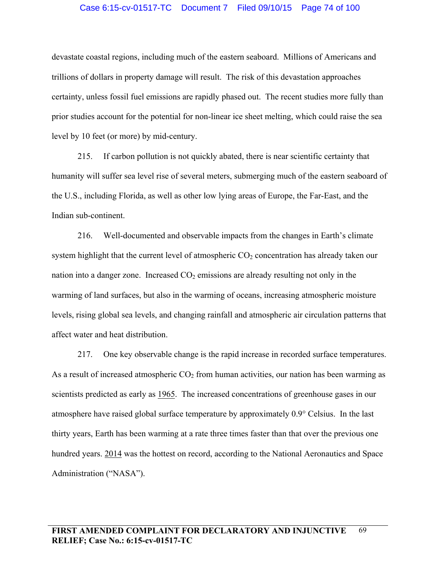## Case 6:15-cv-01517-TC Document 7 Filed 09/10/15 Page 74 of 100

devastate coastal regions, including much of the eastern seaboard. Millions of Americans and trillions of dollars in property damage will result. The risk of this devastation approaches certainty, unless fossil fuel emissions are rapidly phased out. The recent studies more fully than prior studies account for the potential for non-linear ice sheet melting, which could raise the sea level by 10 feet (or more) by mid-century.

215. If carbon pollution is not quickly abated, there is near scientific certainty that humanity will suffer sea level rise of several meters, submerging much of the eastern seaboard of the U.S., including Florida, as well as other low lying areas of Europe, the Far-East, and the Indian sub-continent.

216. Well-documented and observable impacts from the changes in Earth's climate system highlight that the current level of atmospheric  $CO<sub>2</sub>$  concentration has already taken our nation into a danger zone. Increased  $CO<sub>2</sub>$  emissions are already resulting not only in the warming of land surfaces, but also in the warming of oceans, increasing atmospheric moisture levels, rising global sea levels, and changing rainfall and atmospheric air circulation patterns that affect water and heat distribution.

217. One key observable change is the rapid increase in recorded surface temperatures. As a result of increased atmospheric  $CO<sub>2</sub>$  from human activities, our nation has been warming as scientists predicted as early as 1965. The increased concentrations of greenhouse gases in our atmosphere have raised global surface temperature by approximately 0.9° Celsius. In the last thirty years, Earth has been warming at a rate three times faster than that over the previous one hundred years. 2014 was the hottest on record, according to the National Aeronautics and Space Administration ("NASA").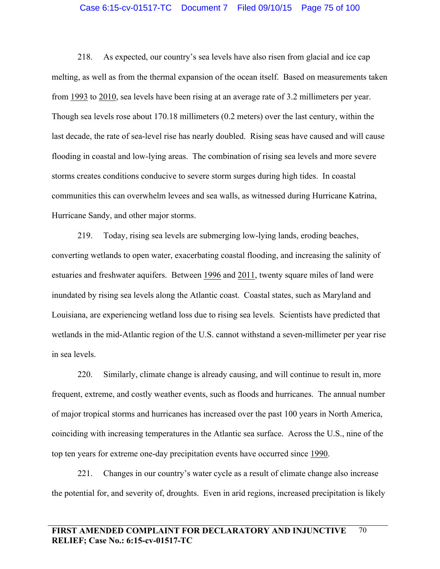#### Case 6:15-cv-01517-TC Document 7 Filed 09/10/15 Page 75 of 100

218. As expected, our country's sea levels have also risen from glacial and ice cap melting, as well as from the thermal expansion of the ocean itself. Based on measurements taken from 1993 to 2010, sea levels have been rising at an average rate of 3.2 millimeters per year. Though sea levels rose about 170.18 millimeters (0.2 meters) over the last century, within the last decade, the rate of sea-level rise has nearly doubled. Rising seas have caused and will cause flooding in coastal and low-lying areas. The combination of rising sea levels and more severe storms creates conditions conducive to severe storm surges during high tides. In coastal communities this can overwhelm levees and sea walls, as witnessed during Hurricane Katrina, Hurricane Sandy, and other major storms.

219. Today, rising sea levels are submerging low-lying lands, eroding beaches, converting wetlands to open water, exacerbating coastal flooding, and increasing the salinity of estuaries and freshwater aquifers. Between 1996 and 2011, twenty square miles of land were inundated by rising sea levels along the Atlantic coast. Coastal states, such as Maryland and Louisiana, are experiencing wetland loss due to rising sea levels. Scientists have predicted that wetlands in the mid-Atlantic region of the U.S. cannot withstand a seven-millimeter per year rise in sea levels.

220. Similarly, climate change is already causing, and will continue to result in, more frequent, extreme, and costly weather events, such as floods and hurricanes. The annual number of major tropical storms and hurricanes has increased over the past 100 years in North America, coinciding with increasing temperatures in the Atlantic sea surface. Across the U.S., nine of the top ten years for extreme one-day precipitation events have occurred since 1990.

221. Changes in our country's water cycle as a result of climate change also increase the potential for, and severity of, droughts. Even in arid regions, increased precipitation is likely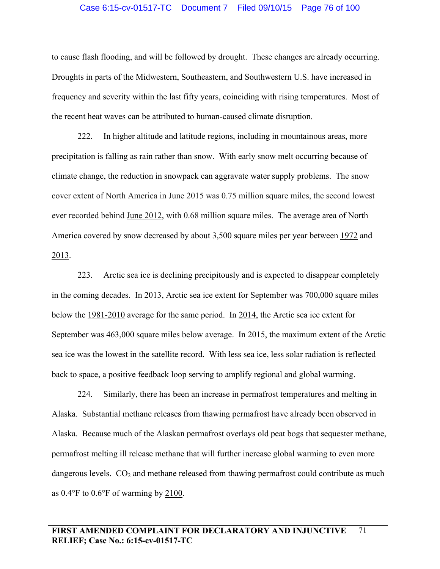#### Case 6:15-cv-01517-TC Document 7 Filed 09/10/15 Page 76 of 100

to cause flash flooding, and will be followed by drought. These changes are already occurring. Droughts in parts of the Midwestern, Southeastern, and Southwestern U.S. have increased in frequency and severity within the last fifty years, coinciding with rising temperatures. Most of the recent heat waves can be attributed to human-caused climate disruption.

222. In higher altitude and latitude regions, including in mountainous areas, more precipitation is falling as rain rather than snow. With early snow melt occurring because of climate change, the reduction in snowpack can aggravate water supply problems. The snow cover extent of North America in June 2015 was 0.75 million square miles, the second lowest ever recorded behind June 2012, with 0.68 million square miles. The average area of North America covered by snow decreased by about 3,500 square miles per year between 1972 and 2013.

223. Arctic sea ice is declining precipitously and is expected to disappear completely in the coming decades. In 2013, Arctic sea ice extent for September was 700,000 square miles below the 1981-2010 average for the same period. In 2014, the Arctic sea ice extent for September was 463,000 square miles below average. In 2015, the maximum extent of the Arctic sea ice was the lowest in the satellite record. With less sea ice, less solar radiation is reflected back to space, a positive feedback loop serving to amplify regional and global warming.

224. Similarly, there has been an increase in permafrost temperatures and melting in Alaska. Substantial methane releases from thawing permafrost have already been observed in Alaska. Because much of the Alaskan permafrost overlays old peat bogs that sequester methane, permafrost melting ill release methane that will further increase global warming to even more dangerous levels.  $CO<sub>2</sub>$  and methane released from thawing permafrost could contribute as much as 0.4°F to 0.6°F of warming by 2100.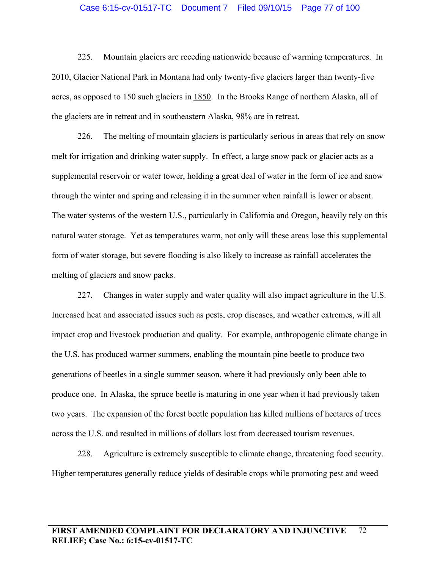## Case 6:15-cv-01517-TC Document 7 Filed 09/10/15 Page 77 of 100

225. Mountain glaciers are receding nationwide because of warming temperatures. In 2010, Glacier National Park in Montana had only twenty-five glaciers larger than twenty-five acres, as opposed to 150 such glaciers in 1850. In the Brooks Range of northern Alaska, all of the glaciers are in retreat and in southeastern Alaska, 98% are in retreat.

226. The melting of mountain glaciers is particularly serious in areas that rely on snow melt for irrigation and drinking water supply. In effect, a large snow pack or glacier acts as a supplemental reservoir or water tower, holding a great deal of water in the form of ice and snow through the winter and spring and releasing it in the summer when rainfall is lower or absent. The water systems of the western U.S., particularly in California and Oregon, heavily rely on this natural water storage. Yet as temperatures warm, not only will these areas lose this supplemental form of water storage, but severe flooding is also likely to increase as rainfall accelerates the melting of glaciers and snow packs.

227. Changes in water supply and water quality will also impact agriculture in the U.S. Increased heat and associated issues such as pests, crop diseases, and weather extremes, will all impact crop and livestock production and quality. For example, anthropogenic climate change in the U.S. has produced warmer summers, enabling the mountain pine beetle to produce two generations of beetles in a single summer season, where it had previously only been able to produce one. In Alaska, the spruce beetle is maturing in one year when it had previously taken two years. The expansion of the forest beetle population has killed millions of hectares of trees across the U.S. and resulted in millions of dollars lost from decreased tourism revenues.

228. Agriculture is extremely susceptible to climate change, threatening food security. Higher temperatures generally reduce yields of desirable crops while promoting pest and weed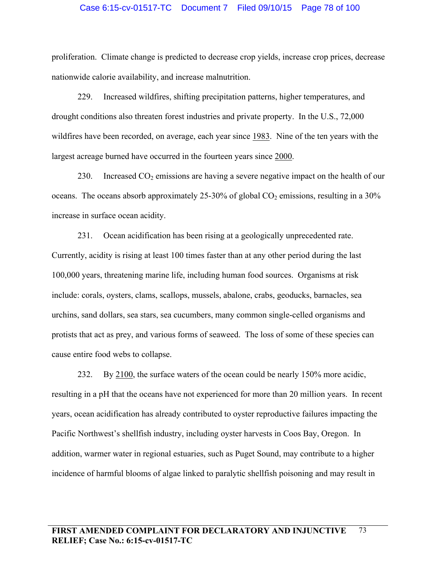### Case 6:15-cv-01517-TC Document 7 Filed 09/10/15 Page 78 of 100

proliferation. Climate change is predicted to decrease crop yields, increase crop prices, decrease nationwide calorie availability, and increase malnutrition.

229. Increased wildfires, shifting precipitation patterns, higher temperatures, and drought conditions also threaten forest industries and private property. In the U.S., 72,000 wildfires have been recorded, on average, each year since 1983. Nine of the ten years with the largest acreage burned have occurred in the fourteen years since 2000.

230. Increased  $CO<sub>2</sub>$  emissions are having a severe negative impact on the health of our oceans. The oceans absorb approximately 25-30% of global  $CO<sub>2</sub>$  emissions, resulting in a 30% increase in surface ocean acidity.

231. Ocean acidification has been rising at a geologically unprecedented rate. Currently, acidity is rising at least 100 times faster than at any other period during the last 100,000 years, threatening marine life, including human food sources. Organisms at risk include: corals, oysters, clams, scallops, mussels, abalone, crabs, geoducks, barnacles, sea urchins, sand dollars, sea stars, sea cucumbers, many common single-celled organisms and protists that act as prey, and various forms of seaweed. The loss of some of these species can cause entire food webs to collapse.

232. By 2100, the surface waters of the ocean could be nearly 150% more acidic, resulting in a pH that the oceans have not experienced for more than 20 million years. In recent years, ocean acidification has already contributed to oyster reproductive failures impacting the Pacific Northwest's shellfish industry, including oyster harvests in Coos Bay, Oregon. In addition, warmer water in regional estuaries, such as Puget Sound, may contribute to a higher incidence of harmful blooms of algae linked to paralytic shellfish poisoning and may result in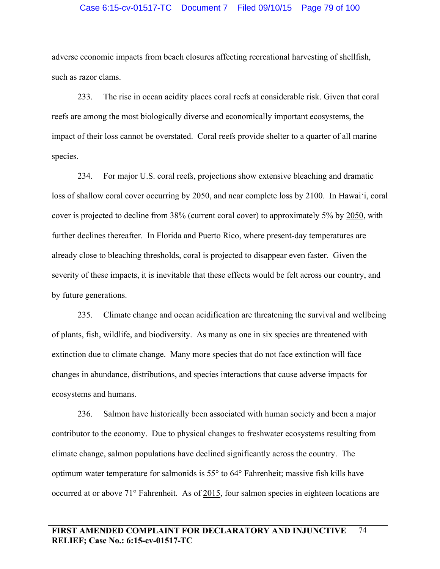### Case 6:15-cv-01517-TC Document 7 Filed 09/10/15 Page 79 of 100

adverse economic impacts from beach closures affecting recreational harvesting of shellfish, such as razor clams.

233. The rise in ocean acidity places coral reefs at considerable risk. Given that coral reefs are among the most biologically diverse and economically important ecosystems, the impact of their loss cannot be overstated. Coral reefs provide shelter to a quarter of all marine species.

234. For major U.S. coral reefs, projections show extensive bleaching and dramatic loss of shallow coral cover occurring by 2050, and near complete loss by 2100. In Hawai'i, coral cover is projected to decline from 38% (current coral cover) to approximately 5% by 2050, with further declines thereafter. In Florida and Puerto Rico, where present-day temperatures are already close to bleaching thresholds, coral is projected to disappear even faster. Given the severity of these impacts, it is inevitable that these effects would be felt across our country, and by future generations.

235. Climate change and ocean acidification are threatening the survival and wellbeing of plants, fish, wildlife, and biodiversity. As many as one in six species are threatened with extinction due to climate change. Many more species that do not face extinction will face changes in abundance, distributions, and species interactions that cause adverse impacts for ecosystems and humans.

236. Salmon have historically been associated with human society and been a major contributor to the economy. Due to physical changes to freshwater ecosystems resulting from climate change, salmon populations have declined significantly across the country. The optimum water temperature for salmonids is 55° to 64° Fahrenheit; massive fish kills have occurred at or above 71° Fahrenheit. As of 2015, four salmon species in eighteen locations are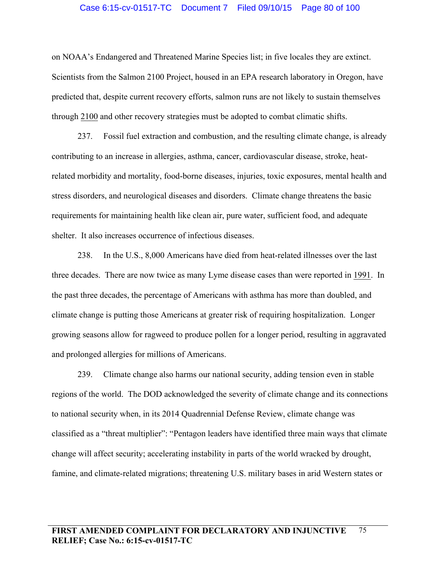### Case 6:15-cv-01517-TC Document 7 Filed 09/10/15 Page 80 of 100

on NOAA's Endangered and Threatened Marine Species list; in five locales they are extinct. Scientists from the Salmon 2100 Project, housed in an EPA research laboratory in Oregon, have predicted that, despite current recovery efforts, salmon runs are not likely to sustain themselves through 2100 and other recovery strategies must be adopted to combat climatic shifts.

237. Fossil fuel extraction and combustion, and the resulting climate change, is already contributing to an increase in allergies, asthma, cancer, cardiovascular disease, stroke, heatrelated morbidity and mortality, food-borne diseases, injuries, toxic exposures, mental health and stress disorders, and neurological diseases and disorders. Climate change threatens the basic requirements for maintaining health like clean air, pure water, sufficient food, and adequate shelter. It also increases occurrence of infectious diseases.

238. In the U.S., 8,000 Americans have died from heat-related illnesses over the last three decades. There are now twice as many Lyme disease cases than were reported in 1991. In the past three decades, the percentage of Americans with asthma has more than doubled, and climate change is putting those Americans at greater risk of requiring hospitalization. Longer growing seasons allow for ragweed to produce pollen for a longer period, resulting in aggravated and prolonged allergies for millions of Americans.

239. Climate change also harms our national security, adding tension even in stable regions of the world. The DOD acknowledged the severity of climate change and its connections to national security when, in its 2014 Quadrennial Defense Review, climate change was classified as a "threat multiplier": "Pentagon leaders have identified three main ways that climate change will affect security; accelerating instability in parts of the world wracked by drought, famine, and climate-related migrations; threatening U.S. military bases in arid Western states or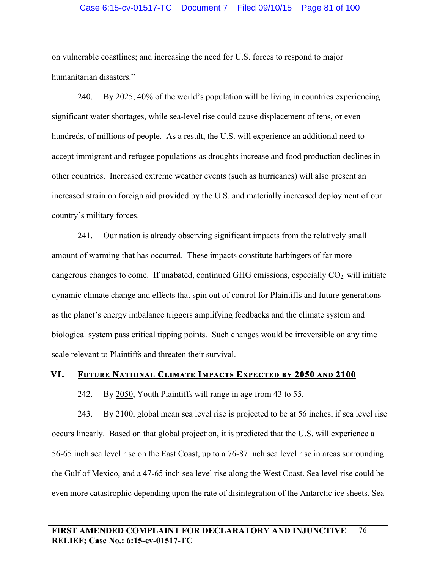## Case 6:15-cv-01517-TC Document 7 Filed 09/10/15 Page 81 of 100

on vulnerable coastlines; and increasing the need for U.S. forces to respond to major humanitarian disasters."

240. By 2025, 40% of the world's population will be living in countries experiencing significant water shortages, while sea-level rise could cause displacement of tens, or even hundreds, of millions of people. As a result, the U.S. will experience an additional need to accept immigrant and refugee populations as droughts increase and food production declines in other countries. Increased extreme weather events (such as hurricanes) will also present an increased strain on foreign aid provided by the U.S. and materially increased deployment of our country's military forces.

241. Our nation is already observing significant impacts from the relatively small amount of warming that has occurred. These impacts constitute harbingers of far more dangerous changes to come. If unabated, continued GHG emissions, especially  $CO<sub>2</sub>$  will initiate dynamic climate change and effects that spin out of control for Plaintiffs and future generations as the planet's energy imbalance triggers amplifying feedbacks and the climate system and biological system pass critical tipping points. Such changes would be irreversible on any time scale relevant to Plaintiffs and threaten their survival.

#### **VI. FUTURE NATIONAL CLIMATE IMPACTS EXPECTED BY 2050 AND 2100**

242. By 2050, Youth Plaintiffs will range in age from 43 to 55.

243. By 2100, global mean sea level rise is projected to be at 56 inches, if sea level rise occurs linearly. Based on that global projection, it is predicted that the U.S. will experience a 56-65 inch sea level rise on the East Coast, up to a 76-87 inch sea level rise in areas surrounding the Gulf of Mexico, and a 47-65 inch sea level rise along the West Coast. Sea level rise could be even more catastrophic depending upon the rate of disintegration of the Antarctic ice sheets. Sea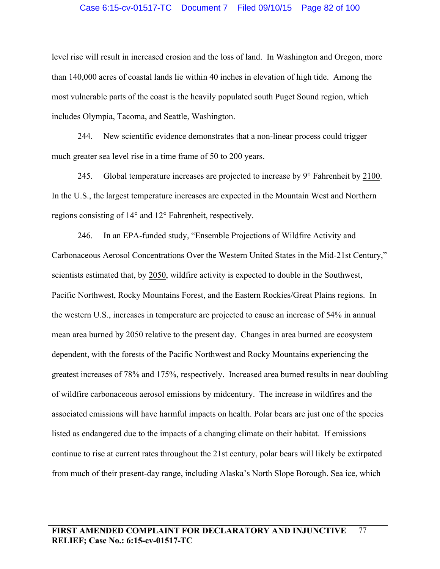## Case 6:15-cv-01517-TC Document 7 Filed 09/10/15 Page 82 of 100

level rise will result in increased erosion and the loss of land. In Washington and Oregon, more than 140,000 acres of coastal lands lie within 40 inches in elevation of high tide. Among the most vulnerable parts of the coast is the heavily populated south Puget Sound region, which includes Olympia, Tacoma, and Seattle, Washington.

244. New scientific evidence demonstrates that a non-linear process could trigger much greater sea level rise in a time frame of 50 to 200 years.

245. Global temperature increases are projected to increase by 9° Fahrenheit by 2100. In the U.S., the largest temperature increases are expected in the Mountain West and Northern regions consisting of 14° and 12° Fahrenheit, respectively.

246. In an EPA-funded study, "Ensemble Projections of Wildfire Activity and Carbonaceous Aerosol Concentrations Over the Western United States in the Mid-21st Century," scientists estimated that, by 2050, wildfire activity is expected to double in the Southwest, Pacific Northwest, Rocky Mountains Forest, and the Eastern Rockies/Great Plains regions. In the western U.S., increases in temperature are projected to cause an increase of 54% in annual mean area burned by 2050 relative to the present day. Changes in area burned are ecosystem dependent, with the forests of the Pacific Northwest and Rocky Mountains experiencing the greatest increases of 78% and 175%, respectively. Increased area burned results in near doubling of wildfire carbonaceous aerosol emissions by midcentury. The increase in wildfires and the associated emissions will have harmful impacts on health. Polar bears are just one of the species listed as endangered due to the impacts of a changing climate on their habitat. If emissions continue to rise at current rates throughout the 21st century, polar bears will likely be extirpated from much of their present-day range, including Alaska's North Slope Borough. Sea ice, which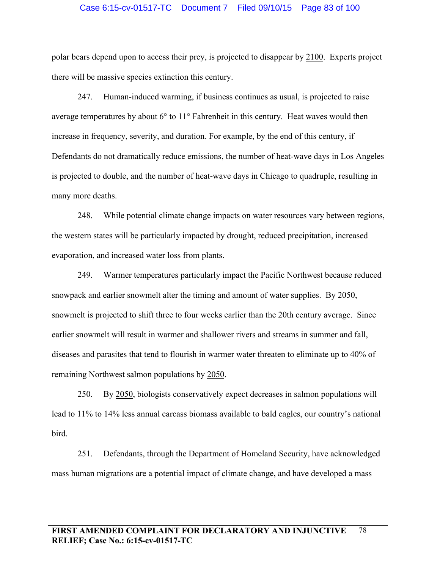#### Case 6:15-cv-01517-TC Document 7 Filed 09/10/15 Page 83 of 100

polar bears depend upon to access their prey, is projected to disappear by 2100. Experts project there will be massive species extinction this century.

247. Human-induced warming, if business continues as usual, is projected to raise average temperatures by about 6° to 11° Fahrenheit in this century. Heat waves would then increase in frequency, severity, and duration. For example, by the end of this century, if Defendants do not dramatically reduce emissions, the number of heat-wave days in Los Angeles is projected to double, and the number of heat-wave days in Chicago to quadruple, resulting in many more deaths.

248. While potential climate change impacts on water resources vary between regions, the western states will be particularly impacted by drought, reduced precipitation, increased evaporation, and increased water loss from plants.

249. Warmer temperatures particularly impact the Pacific Northwest because reduced snowpack and earlier snowmelt alter the timing and amount of water supplies. By 2050, snowmelt is projected to shift three to four weeks earlier than the 20th century average. Since earlier snowmelt will result in warmer and shallower rivers and streams in summer and fall, diseases and parasites that tend to flourish in warmer water threaten to eliminate up to 40% of remaining Northwest salmon populations by 2050.

250. By 2050, biologists conservatively expect decreases in salmon populations will lead to 11% to 14% less annual carcass biomass available to bald eagles, our country's national bird.

251. Defendants, through the Department of Homeland Security, have acknowledged mass human migrations are a potential impact of climate change, and have developed a mass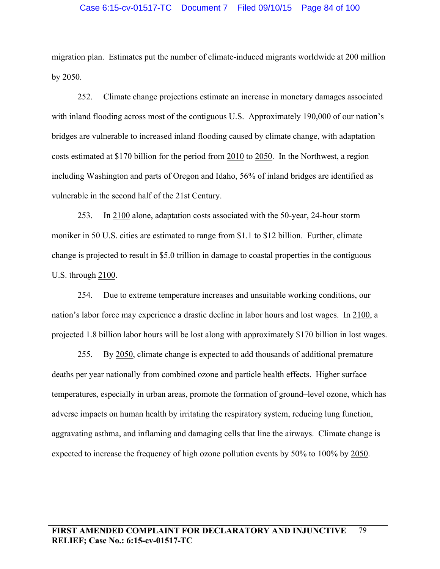### Case 6:15-cv-01517-TC Document 7 Filed 09/10/15 Page 84 of 100

migration plan. Estimates put the number of climate-induced migrants worldwide at 200 million by 2050.

252. Climate change projections estimate an increase in monetary damages associated with inland flooding across most of the contiguous U.S. Approximately 190,000 of our nation's bridges are vulnerable to increased inland flooding caused by climate change, with adaptation costs estimated at \$170 billion for the period from 2010 to 2050. In the Northwest, a region including Washington and parts of Oregon and Idaho, 56% of inland bridges are identified as vulnerable in the second half of the 21st Century.

253. In 2100 alone, adaptation costs associated with the 50-year, 24-hour storm moniker in 50 U.S. cities are estimated to range from \$1.1 to \$12 billion. Further, climate change is projected to result in \$5.0 trillion in damage to coastal properties in the contiguous U.S. through 2100.

254. Due to extreme temperature increases and unsuitable working conditions, our nation's labor force may experience a drastic decline in labor hours and lost wages. In 2100, a projected 1.8 billion labor hours will be lost along with approximately \$170 billion in lost wages.

255. By 2050, climate change is expected to add thousands of additional premature deaths per year nationally from combined ozone and particle health effects. Higher surface temperatures, especially in urban areas, promote the formation of ground–level ozone, which has adverse impacts on human health by irritating the respiratory system, reducing lung function, aggravating asthma, and inflaming and damaging cells that line the airways. Climate change is expected to increase the frequency of high ozone pollution events by 50% to 100% by 2050.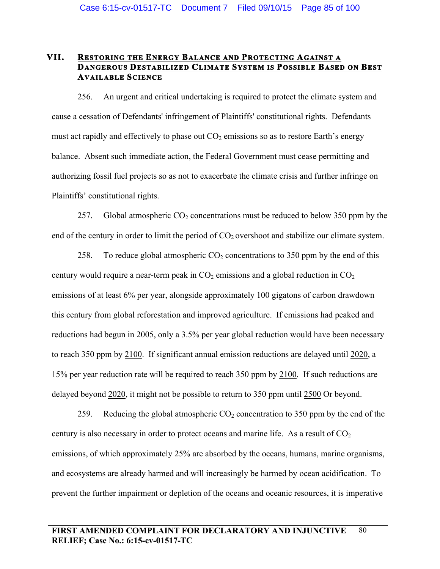# **VII. RESTORING THE ENERGY BALANCE AND PROTECTING AGAINST A DANGEROUS DESTABILIZED CLIMATE SYSTEM IS POSSIBLE BASED ON BEST AVAILABLE SCIENCE**

256. An urgent and critical undertaking is required to protect the climate system and cause a cessation of Defendants' infringement of Plaintiffs' constitutional rights. Defendants must act rapidly and effectively to phase out  $CO<sub>2</sub>$  emissions so as to restore Earth's energy balance. Absent such immediate action, the Federal Government must cease permitting and authorizing fossil fuel projects so as not to exacerbate the climate crisis and further infringe on Plaintiffs' constitutional rights.

257. Global atmospheric  $CO_2$  concentrations must be reduced to below 350 ppm by the end of the century in order to limit the period of  $CO<sub>2</sub>$  overshoot and stabilize our climate system.

258. To reduce global atmospheric  $CO<sub>2</sub>$  concentrations to 350 ppm by the end of this century would require a near-term peak in  $CO<sub>2</sub>$  emissions and a global reduction in  $CO<sub>2</sub>$ emissions of at least 6% per year, alongside approximately 100 gigatons of carbon drawdown this century from global reforestation and improved agriculture. If emissions had peaked and reductions had begun in 2005, only a 3.5% per year global reduction would have been necessary to reach 350 ppm by 2100. If significant annual emission reductions are delayed until 2020, a 15% per year reduction rate will be required to reach 350 ppm by 2100. If such reductions are delayed beyond 2020, it might not be possible to return to 350 ppm until 2500 Or beyond.

259. Reducing the global atmospheric  $CO<sub>2</sub>$  concentration to 350 ppm by the end of the century is also necessary in order to protect oceans and marine life. As a result of  $CO<sub>2</sub>$ emissions, of which approximately 25% are absorbed by the oceans, humans, marine organisms, and ecosystems are already harmed and will increasingly be harmed by ocean acidification. To prevent the further impairment or depletion of the oceans and oceanic resources, it is imperative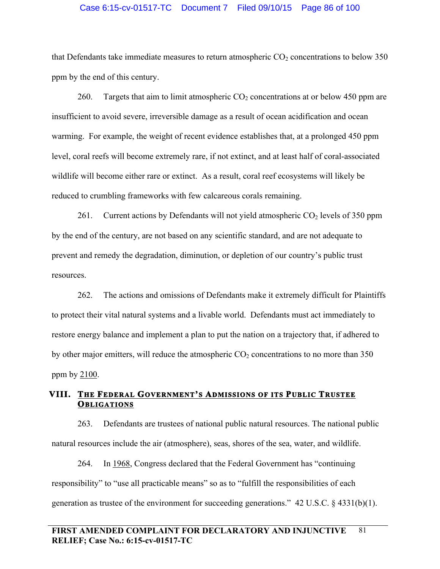#### Case 6:15-cv-01517-TC Document 7 Filed 09/10/15 Page 86 of 100

that Defendants take immediate measures to return atmospheric  $CO<sub>2</sub>$  concentrations to below 350 ppm by the end of this century.

260. Targets that aim to limit atmospheric  $CO<sub>2</sub>$  concentrations at or below 450 ppm are insufficient to avoid severe, irreversible damage as a result of ocean acidification and ocean warming. For example, the weight of recent evidence establishes that, at a prolonged 450 ppm level, coral reefs will become extremely rare, if not extinct, and at least half of coral-associated wildlife will become either rare or extinct. As a result, coral reef ecosystems will likely be reduced to crumbling frameworks with few calcareous corals remaining.

261. Current actions by Defendants will not yield atmospheric  $CO<sub>2</sub>$  levels of 350 ppm by the end of the century, are not based on any scientific standard, and are not adequate to prevent and remedy the degradation, diminution, or depletion of our country's public trust resources.

262. The actions and omissions of Defendants make it extremely difficult for Plaintiffs to protect their vital natural systems and a livable world. Defendants must act immediately to restore energy balance and implement a plan to put the nation on a trajectory that, if adhered to by other major emitters, will reduce the atmospheric  $CO<sub>2</sub>$  concentrations to no more than 350 ppm by 2100.

# **VIII. THE FEDERAL GOVERNMENT'S ADMISSIONS OF ITS PUBLIC TRUSTEE OBLIGATIONS**

263. Defendants are trustees of national public natural resources. The national public natural resources include the air (atmosphere), seas, shores of the sea, water, and wildlife.

264. In 1968, Congress declared that the Federal Government has "continuing responsibility" to "use all practicable means" so as to "fulfill the responsibilities of each generation as trustee of the environment for succeeding generations." 42 U.S.C. § 4331(b)(1).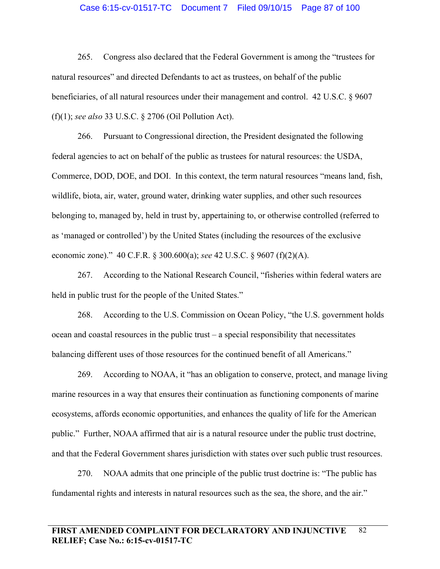#### Case 6:15-cv-01517-TC Document 7 Filed 09/10/15 Page 87 of 100

265. Congress also declared that the Federal Government is among the "trustees for natural resources" and directed Defendants to act as trustees, on behalf of the public beneficiaries, of all natural resources under their management and control. 42 U.S.C. § 9607 (f)(1); *see also* 33 U.S.C. § 2706 (Oil Pollution Act).

266. Pursuant to Congressional direction, the President designated the following federal agencies to act on behalf of the public as trustees for natural resources: the USDA, Commerce, DOD, DOE, and DOI. In this context, the term natural resources "means land, fish, wildlife, biota, air, water, ground water, drinking water supplies, and other such resources belonging to, managed by, held in trust by, appertaining to, or otherwise controlled (referred to as 'managed or controlled') by the United States (including the resources of the exclusive economic zone)." 40 C.F.R. § 300.600(a); *see* 42 U.S.C. § 9607 (f)(2)(A).

267. According to the National Research Council, "fisheries within federal waters are held in public trust for the people of the United States."

268. According to the U.S. Commission on Ocean Policy, "the U.S. government holds ocean and coastal resources in the public trust – a special responsibility that necessitates balancing different uses of those resources for the continued benefit of all Americans."

269. According to NOAA, it "has an obligation to conserve, protect, and manage living marine resources in a way that ensures their continuation as functioning components of marine ecosystems, affords economic opportunities, and enhances the quality of life for the American public." Further, NOAA affirmed that air is a natural resource under the public trust doctrine, and that the Federal Government shares jurisdiction with states over such public trust resources.

270. NOAA admits that one principle of the public trust doctrine is: "The public has fundamental rights and interests in natural resources such as the sea, the shore, and the air."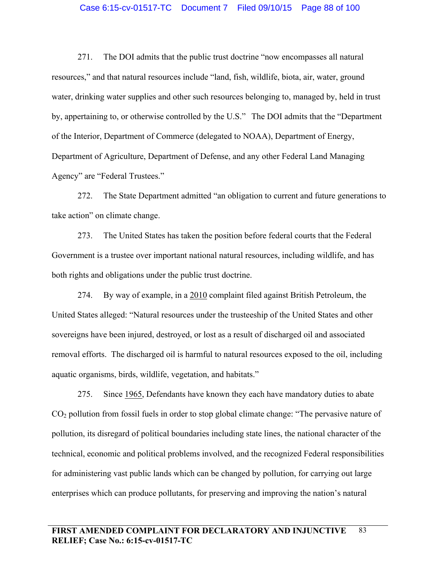#### Case 6:15-cv-01517-TC Document 7 Filed 09/10/15 Page 88 of 100

271. The DOI admits that the public trust doctrine "now encompasses all natural resources," and that natural resources include "land, fish, wildlife, biota, air, water, ground water, drinking water supplies and other such resources belonging to, managed by, held in trust by, appertaining to, or otherwise controlled by the U.S." The DOI admits that the "Department of the Interior, Department of Commerce (delegated to NOAA), Department of Energy, Department of Agriculture, Department of Defense, and any other Federal Land Managing Agency" are "Federal Trustees."

272. The State Department admitted "an obligation to current and future generations to take action" on climate change.

273. The United States has taken the position before federal courts that the Federal Government is a trustee over important national natural resources, including wildlife, and has both rights and obligations under the public trust doctrine.

274. By way of example, in a 2010 complaint filed against British Petroleum, the United States alleged: "Natural resources under the trusteeship of the United States and other sovereigns have been injured, destroyed, or lost as a result of discharged oil and associated removal efforts. The discharged oil is harmful to natural resources exposed to the oil, including aquatic organisms, birds, wildlife, vegetation, and habitats."

275. Since 1965, Defendants have known they each have mandatory duties to abate CO2 pollution from fossil fuels in order to stop global climate change: "The pervasive nature of pollution, its disregard of political boundaries including state lines, the national character of the technical, economic and political problems involved, and the recognized Federal responsibilities for administering vast public lands which can be changed by pollution, for carrying out large enterprises which can produce pollutants, for preserving and improving the nation's natural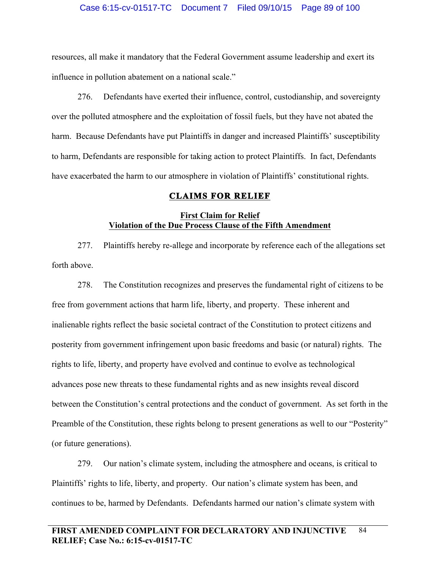resources, all make it mandatory that the Federal Government assume leadership and exert its influence in pollution abatement on a national scale."

276. Defendants have exerted their influence, control, custodianship, and sovereignty over the polluted atmosphere and the exploitation of fossil fuels, but they have not abated the harm. Because Defendants have put Plaintiffs in danger and increased Plaintiffs' susceptibility to harm, Defendants are responsible for taking action to protect Plaintiffs. In fact, Defendants have exacerbated the harm to our atmosphere in violation of Plaintiffs' constitutional rights.

# **CLAIMS FOR RELIEF**

# **First Claim for Relief Violation of the Due Process Clause of the Fifth Amendment**

277. Plaintiffs hereby re-allege and incorporate by reference each of the allegations set forth above.

278. The Constitution recognizes and preserves the fundamental right of citizens to be free from government actions that harm life, liberty, and property. These inherent and inalienable rights reflect the basic societal contract of the Constitution to protect citizens and posterity from government infringement upon basic freedoms and basic (or natural) rights. The rights to life, liberty, and property have evolved and continue to evolve as technological advances pose new threats to these fundamental rights and as new insights reveal discord between the Constitution's central protections and the conduct of government. As set forth in the Preamble of the Constitution, these rights belong to present generations as well to our "Posterity" (or future generations).

279. Our nation's climate system, including the atmosphere and oceans, is critical to Plaintiffs' rights to life, liberty, and property. Our nation's climate system has been, and continues to be, harmed by Defendants. Defendants harmed our nation's climate system with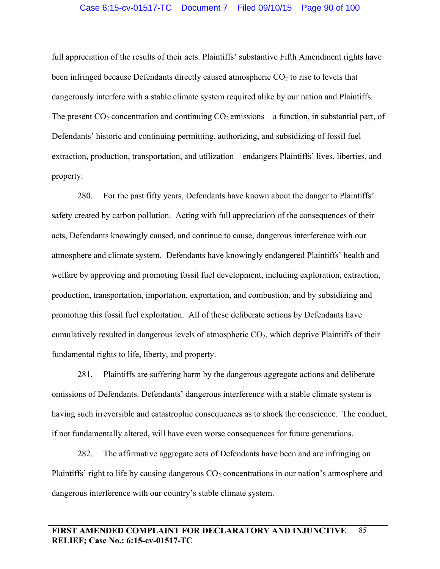# Case 6:15-cv-01517-TC Document 7 Filed 09/10/15 Page 90 of 100

full appreciation of the results of their acts. Plaintiffs' substantive Fifth Amendment rights have been infringed because Defendants directly caused atmospheric  $CO<sub>2</sub>$  to rise to levels that dangerously interfere with a stable climate system required alike by our nation and Plaintiffs. The present  $CO_2$  concentration and continuing  $CO_2$  emissions – a function, in substantial part, of Defendants' historic and continuing permitting, authorizing, and subsidizing of fossil fuel extraction, production, transportation, and utilization – endangers Plaintiffs' lives, liberties, and property.

280. For the past fifty years, Defendants have known about the danger to Plaintiffs' safety created by carbon pollution. Acting with full appreciation of the consequences of their acts, Defendants knowingly caused, and continue to cause, dangerous interference with our atmosphere and climate system. Defendants have knowingly endangered Plaintiffs' health and welfare by approving and promoting fossil fuel development, including exploration, extraction, production, transportation, importation, exportation, and combustion, and by subsidizing and promoting this fossil fuel exploitation. All of these deliberate actions by Defendants have cumulatively resulted in dangerous levels of atmospheric  $CO<sub>2</sub>$ , which deprive Plaintiffs of their fundamental rights to life, liberty, and property.

281. Plaintiffs are suffering harm by the dangerous aggregate actions and deliberate omissions of Defendants. Defendants' dangerous interference with a stable climate system is having such irreversible and catastrophic consequences as to shock the conscience. The conduct, if not fundamentally altered, will have even worse consequences for future generations.

282. The affirmative aggregate acts of Defendants have been and are infringing on Plaintiffs' right to life by causing dangerous  $CO<sub>2</sub>$  concentrations in our nation's atmosphere and dangerous interference with our country's stable climate system.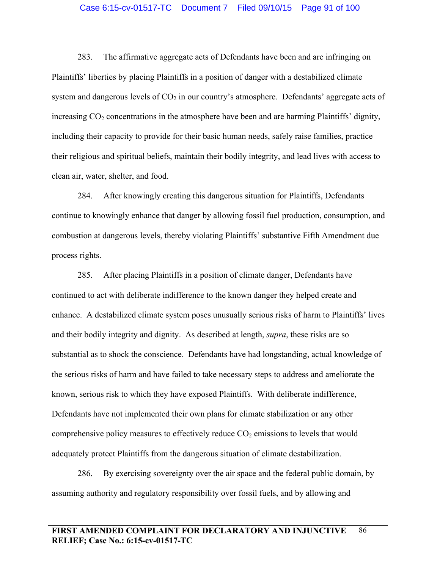## Case 6:15-cv-01517-TC Document 7 Filed 09/10/15 Page 91 of 100

283. The affirmative aggregate acts of Defendants have been and are infringing on Plaintiffs' liberties by placing Plaintiffs in a position of danger with a destabilized climate system and dangerous levels of  $CO<sub>2</sub>$  in our country's atmosphere. Defendants' aggregate acts of increasing  $CO<sub>2</sub>$  concentrations in the atmosphere have been and are harming Plaintiffs' dignity, including their capacity to provide for their basic human needs, safely raise families, practice their religious and spiritual beliefs, maintain their bodily integrity, and lead lives with access to clean air, water, shelter, and food.

284. After knowingly creating this dangerous situation for Plaintiffs, Defendants continue to knowingly enhance that danger by allowing fossil fuel production, consumption, and combustion at dangerous levels, thereby violating Plaintiffs' substantive Fifth Amendment due process rights.

285. After placing Plaintiffs in a position of climate danger, Defendants have continued to act with deliberate indifference to the known danger they helped create and enhance. A destabilized climate system poses unusually serious risks of harm to Plaintiffs' lives and their bodily integrity and dignity. As described at length, *supra*, these risks are so substantial as to shock the conscience. Defendants have had longstanding, actual knowledge of the serious risks of harm and have failed to take necessary steps to address and ameliorate the known, serious risk to which they have exposed Plaintiffs. With deliberate indifference, Defendants have not implemented their own plans for climate stabilization or any other comprehensive policy measures to effectively reduce  $CO<sub>2</sub>$  emissions to levels that would adequately protect Plaintiffs from the dangerous situation of climate destabilization.

286. By exercising sovereignty over the air space and the federal public domain, by assuming authority and regulatory responsibility over fossil fuels, and by allowing and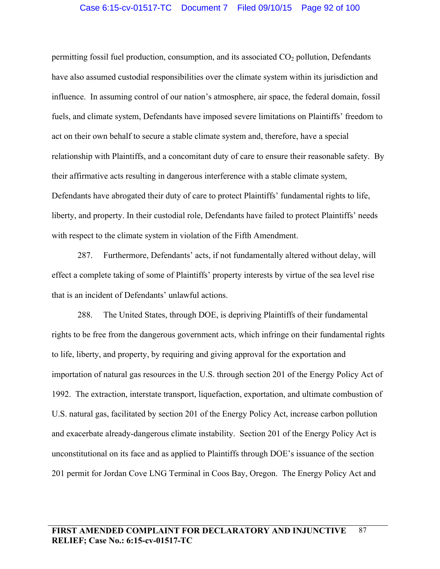# Case 6:15-cv-01517-TC Document 7 Filed 09/10/15 Page 92 of 100

permitting fossil fuel production, consumption, and its associated  $CO<sub>2</sub>$  pollution, Defendants have also assumed custodial responsibilities over the climate system within its jurisdiction and influence. In assuming control of our nation's atmosphere, air space, the federal domain, fossil fuels, and climate system, Defendants have imposed severe limitations on Plaintiffs' freedom to act on their own behalf to secure a stable climate system and, therefore, have a special relationship with Plaintiffs, and a concomitant duty of care to ensure their reasonable safety. By their affirmative acts resulting in dangerous interference with a stable climate system, Defendants have abrogated their duty of care to protect Plaintiffs' fundamental rights to life, liberty, and property. In their custodial role, Defendants have failed to protect Plaintiffs' needs with respect to the climate system in violation of the Fifth Amendment.

287. Furthermore, Defendants' acts, if not fundamentally altered without delay, will effect a complete taking of some of Plaintiffs' property interests by virtue of the sea level rise that is an incident of Defendants' unlawful actions.

288. The United States, through DOE, is depriving Plaintiffs of their fundamental rights to be free from the dangerous government acts, which infringe on their fundamental rights to life, liberty, and property, by requiring and giving approval for the exportation and importation of natural gas resources in the U.S. through section 201 of the Energy Policy Act of 1992. The extraction, interstate transport, liquefaction, exportation, and ultimate combustion of U.S. natural gas, facilitated by section 201 of the Energy Policy Act, increase carbon pollution and exacerbate already-dangerous climate instability. Section 201 of the Energy Policy Act is unconstitutional on its face and as applied to Plaintiffs through DOE's issuance of the section 201 permit for Jordan Cove LNG Terminal in Coos Bay, Oregon. The Energy Policy Act and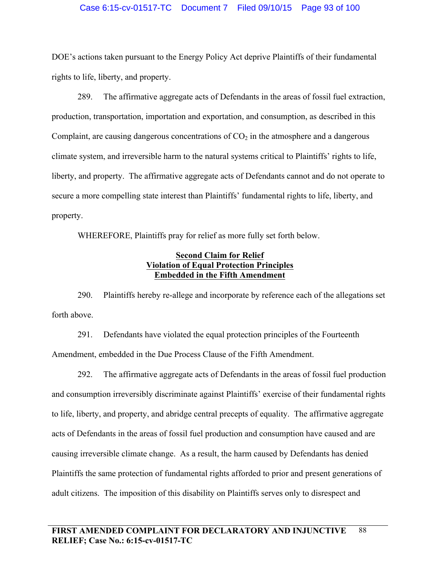## Case 6:15-cv-01517-TC Document 7 Filed 09/10/15 Page 93 of 100

DOE's actions taken pursuant to the Energy Policy Act deprive Plaintiffs of their fundamental rights to life, liberty, and property.

289. The affirmative aggregate acts of Defendants in the areas of fossil fuel extraction, production, transportation, importation and exportation, and consumption, as described in this Complaint, are causing dangerous concentrations of  $CO<sub>2</sub>$  in the atmosphere and a dangerous climate system, and irreversible harm to the natural systems critical to Plaintiffs' rights to life, liberty, and property. The affirmative aggregate acts of Defendants cannot and do not operate to secure a more compelling state interest than Plaintiffs' fundamental rights to life, liberty, and property.

WHEREFORE, Plaintiffs pray for relief as more fully set forth below.

# **Second Claim for Relief Violation of Equal Protection Principles Embedded in the Fifth Amendment**

290. Plaintiffs hereby re-allege and incorporate by reference each of the allegations set forth above.

291. Defendants have violated the equal protection principles of the Fourteenth Amendment, embedded in the Due Process Clause of the Fifth Amendment.

292. The affirmative aggregate acts of Defendants in the areas of fossil fuel production and consumption irreversibly discriminate against Plaintiffs' exercise of their fundamental rights to life, liberty, and property, and abridge central precepts of equality. The affirmative aggregate acts of Defendants in the areas of fossil fuel production and consumption have caused and are causing irreversible climate change. As a result, the harm caused by Defendants has denied Plaintiffs the same protection of fundamental rights afforded to prior and present generations of adult citizens. The imposition of this disability on Plaintiffs serves only to disrespect and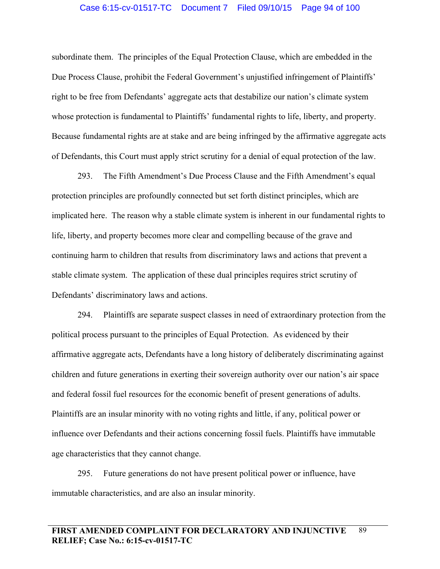subordinate them. The principles of the Equal Protection Clause, which are embedded in the Due Process Clause, prohibit the Federal Government's unjustified infringement of Plaintiffs' right to be free from Defendants' aggregate acts that destabilize our nation's climate system whose protection is fundamental to Plaintiffs' fundamental rights to life, liberty, and property. Because fundamental rights are at stake and are being infringed by the affirmative aggregate acts of Defendants, this Court must apply strict scrutiny for a denial of equal protection of the law.

293. The Fifth Amendment's Due Process Clause and the Fifth Amendment's equal protection principles are profoundly connected but set forth distinct principles, which are implicated here. The reason why a stable climate system is inherent in our fundamental rights to life, liberty, and property becomes more clear and compelling because of the grave and continuing harm to children that results from discriminatory laws and actions that prevent a stable climate system. The application of these dual principles requires strict scrutiny of Defendants' discriminatory laws and actions.

294. Plaintiffs are separate suspect classes in need of extraordinary protection from the political process pursuant to the principles of Equal Protection. As evidenced by their affirmative aggregate acts, Defendants have a long history of deliberately discriminating against children and future generations in exerting their sovereign authority over our nation's air space and federal fossil fuel resources for the economic benefit of present generations of adults. Plaintiffs are an insular minority with no voting rights and little, if any, political power or influence over Defendants and their actions concerning fossil fuels. Plaintiffs have immutable age characteristics that they cannot change.

295. Future generations do not have present political power or influence, have immutable characteristics, and are also an insular minority.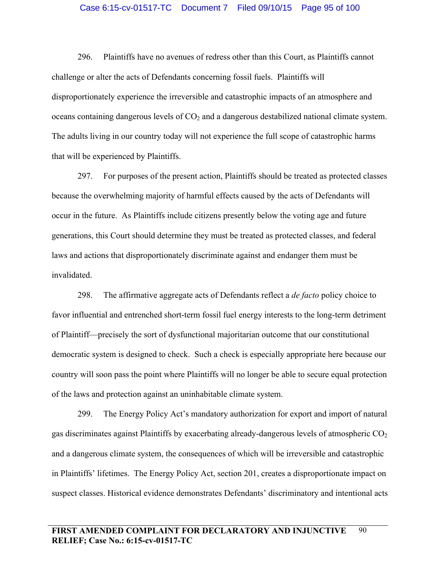#### Case 6:15-cv-01517-TC Document 7 Filed 09/10/15 Page 95 of 100

296. Plaintiffs have no avenues of redress other than this Court, as Plaintiffs cannot challenge or alter the acts of Defendants concerning fossil fuels. Plaintiffs will disproportionately experience the irreversible and catastrophic impacts of an atmosphere and oceans containing dangerous levels of  $CO<sub>2</sub>$  and a dangerous destabilized national climate system. The adults living in our country today will not experience the full scope of catastrophic harms that will be experienced by Plaintiffs.

297. For purposes of the present action, Plaintiffs should be treated as protected classes because the overwhelming majority of harmful effects caused by the acts of Defendants will occur in the future. As Plaintiffs include citizens presently below the voting age and future generations, this Court should determine they must be treated as protected classes, and federal laws and actions that disproportionately discriminate against and endanger them must be invalidated.

298. The affirmative aggregate acts of Defendants reflect a *de facto* policy choice to favor influential and entrenched short-term fossil fuel energy interests to the long-term detriment of Plaintiff—precisely the sort of dysfunctional majoritarian outcome that our constitutional democratic system is designed to check. Such a check is especially appropriate here because our country will soon pass the point where Plaintiffs will no longer be able to secure equal protection of the laws and protection against an uninhabitable climate system.

299. The Energy Policy Act's mandatory authorization for export and import of natural gas discriminates against Plaintiffs by exacerbating already-dangerous levels of atmospheric  $CO<sub>2</sub>$ and a dangerous climate system, the consequences of which will be irreversible and catastrophic in Plaintiffs' lifetimes. The Energy Policy Act, section 201, creates a disproportionate impact on suspect classes. Historical evidence demonstrates Defendants' discriminatory and intentional acts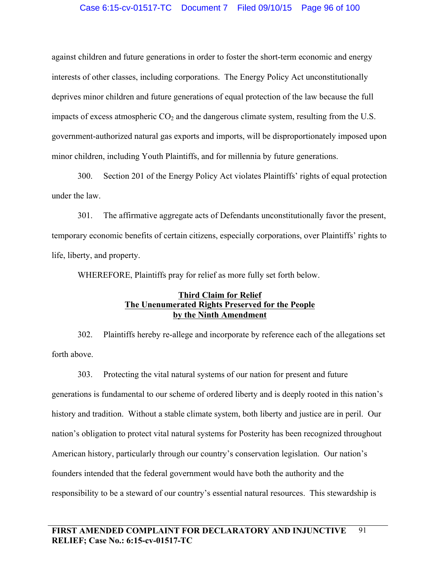# Case 6:15-cv-01517-TC Document 7 Filed 09/10/15 Page 96 of 100

against children and future generations in order to foster the short-term economic and energy interests of other classes, including corporations. The Energy Policy Act unconstitutionally deprives minor children and future generations of equal protection of the law because the full impacts of excess atmospheric  $CO<sub>2</sub>$  and the dangerous climate system, resulting from the U.S. government-authorized natural gas exports and imports, will be disproportionately imposed upon minor children, including Youth Plaintiffs, and for millennia by future generations.

300. Section 201 of the Energy Policy Act violates Plaintiffs' rights of equal protection under the law.

301. The affirmative aggregate acts of Defendants unconstitutionally favor the present, temporary economic benefits of certain citizens, especially corporations, over Plaintiffs' rights to life, liberty, and property.

WHEREFORE, Plaintiffs pray for relief as more fully set forth below.

# **Third Claim for Relief The Unenumerated Rights Preserved for the People by the Ninth Amendment**

302. Plaintiffs hereby re-allege and incorporate by reference each of the allegations set forth above.

303. Protecting the vital natural systems of our nation for present and future generations is fundamental to our scheme of ordered liberty and is deeply rooted in this nation's history and tradition. Without a stable climate system, both liberty and justice are in peril. Our nation's obligation to protect vital natural systems for Posterity has been recognized throughout American history, particularly through our country's conservation legislation. Our nation's founders intended that the federal government would have both the authority and the responsibility to be a steward of our country's essential natural resources. This stewardship is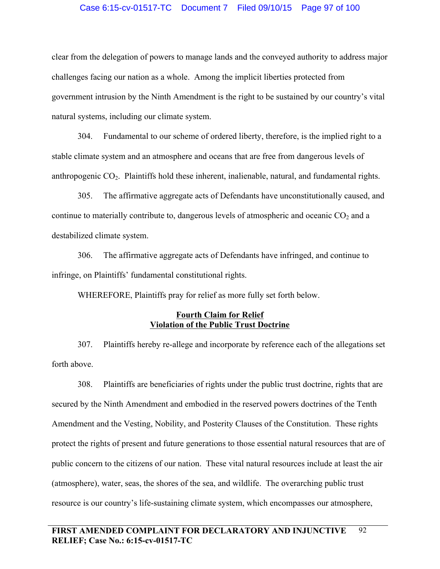## Case 6:15-cv-01517-TC Document 7 Filed 09/10/15 Page 97 of 100

clear from the delegation of powers to manage lands and the conveyed authority to address major challenges facing our nation as a whole. Among the implicit liberties protected from government intrusion by the Ninth Amendment is the right to be sustained by our country's vital natural systems, including our climate system.

304. Fundamental to our scheme of ordered liberty, therefore, is the implied right to a stable climate system and an atmosphere and oceans that are free from dangerous levels of anthropogenic  $CO<sub>2</sub>$ . Plaintiffs hold these inherent, inalienable, natural, and fundamental rights.

305. The affirmative aggregate acts of Defendants have unconstitutionally caused, and continue to materially contribute to, dangerous levels of atmospheric and oceanic  $CO<sub>2</sub>$  and a destabilized climate system.

306. The affirmative aggregate acts of Defendants have infringed, and continue to infringe, on Plaintiffs' fundamental constitutional rights.

WHEREFORE, Plaintiffs pray for relief as more fully set forth below.

# **Fourth Claim for Relief Violation of the Public Trust Doctrine**

307. Plaintiffs hereby re-allege and incorporate by reference each of the allegations set forth above.

308. Plaintiffs are beneficiaries of rights under the public trust doctrine, rights that are secured by the Ninth Amendment and embodied in the reserved powers doctrines of the Tenth Amendment and the Vesting, Nobility, and Posterity Clauses of the Constitution. These rights protect the rights of present and future generations to those essential natural resources that are of public concern to the citizens of our nation. These vital natural resources include at least the air (atmosphere), water, seas, the shores of the sea, and wildlife. The overarching public trust resource is our country's life-sustaining climate system, which encompasses our atmosphere,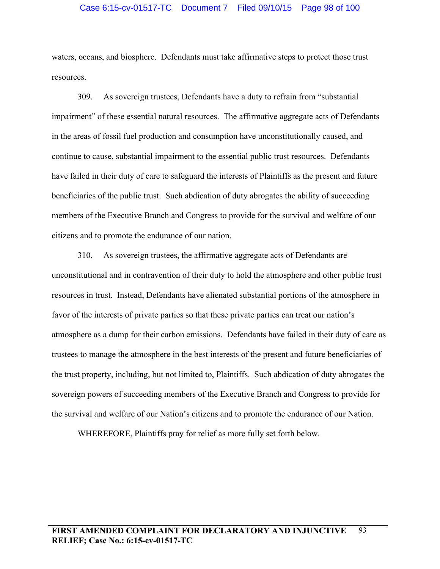## Case 6:15-cv-01517-TC Document 7 Filed 09/10/15 Page 98 of 100

waters, oceans, and biosphere. Defendants must take affirmative steps to protect those trust resources.

309. As sovereign trustees, Defendants have a duty to refrain from "substantial impairment" of these essential natural resources. The affirmative aggregate acts of Defendants in the areas of fossil fuel production and consumption have unconstitutionally caused, and continue to cause, substantial impairment to the essential public trust resources. Defendants have failed in their duty of care to safeguard the interests of Plaintiffs as the present and future beneficiaries of the public trust. Such abdication of duty abrogates the ability of succeeding members of the Executive Branch and Congress to provide for the survival and welfare of our citizens and to promote the endurance of our nation.

310. As sovereign trustees, the affirmative aggregate acts of Defendants are unconstitutional and in contravention of their duty to hold the atmosphere and other public trust resources in trust. Instead, Defendants have alienated substantial portions of the atmosphere in favor of the interests of private parties so that these private parties can treat our nation's atmosphere as a dump for their carbon emissions. Defendants have failed in their duty of care as trustees to manage the atmosphere in the best interests of the present and future beneficiaries of the trust property, including, but not limited to, Plaintiffs. Such abdication of duty abrogates the sovereign powers of succeeding members of the Executive Branch and Congress to provide for the survival and welfare of our Nation's citizens and to promote the endurance of our Nation.

WHEREFORE, Plaintiffs pray for relief as more fully set forth below.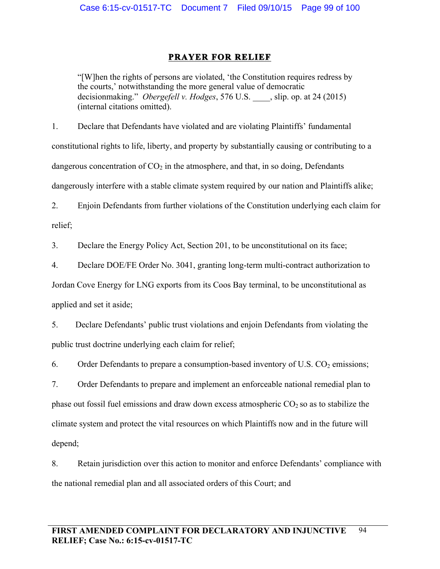# **PRAYER FOR RELIEF**

"[W]hen the rights of persons are violated, 'the Constitution requires redress by the courts,' notwithstanding the more general value of democratic decisionmaking." *Obergefell v. Hodges*, 576 U.S. \_\_\_\_, slip. op. at 24 (2015) (internal citations omitted).

1. Declare that Defendants have violated and are violating Plaintiffs' fundamental constitutional rights to life, liberty, and property by substantially causing or contributing to a dangerous concentration of  $CO<sub>2</sub>$  in the atmosphere, and that, in so doing, Defendants dangerously interfere with a stable climate system required by our nation and Plaintiffs alike;

2. Enjoin Defendants from further violations of the Constitution underlying each claim for relief;

3. Declare the Energy Policy Act, Section 201, to be unconstitutional on its face;

4. Declare DOE/FE Order No. 3041, granting long-term multi-contract authorization to

Jordan Cove Energy for LNG exports from its Coos Bay terminal, to be unconstitutional as applied and set it aside;

5. Declare Defendants' public trust violations and enjoin Defendants from violating the public trust doctrine underlying each claim for relief;

6. Order Defendants to prepare a consumption-based inventory of U.S.  $CO<sub>2</sub>$  emissions;

7. Order Defendants to prepare and implement an enforceable national remedial plan to phase out fossil fuel emissions and draw down excess atmospheric  $CO<sub>2</sub>$  so as to stabilize the climate system and protect the vital resources on which Plaintiffs now and in the future will depend;

8. Retain jurisdiction over this action to monitor and enforce Defendants' compliance with the national remedial plan and all associated orders of this Court; and